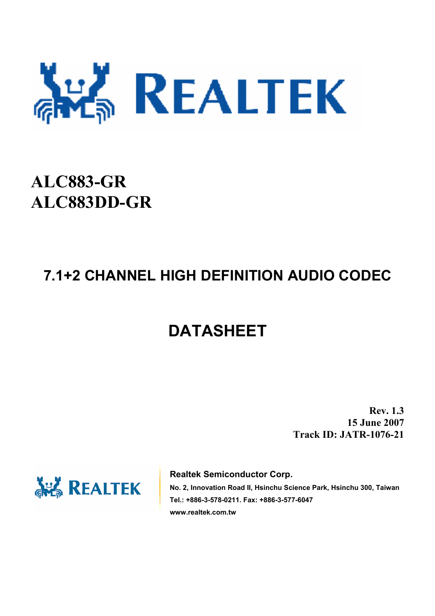

# **ALC883-GR ALC883DD-GR**

# **7.1+2 CHANNEL HIGH DEFINITION AUDIO CODEC**

# **DATASHEET**

**Rev. 1.3 15 June 2007 Track ID: JATR-1076-21** 



**Realtek Semiconductor Corp.** 

**No. 2, Innovation Road II, Hsinchu Science Park, Hsinchu 300, Taiwan Tel.: +886-3-578-0211. Fax: +886-3-577-6047 www.realtek.com.tw**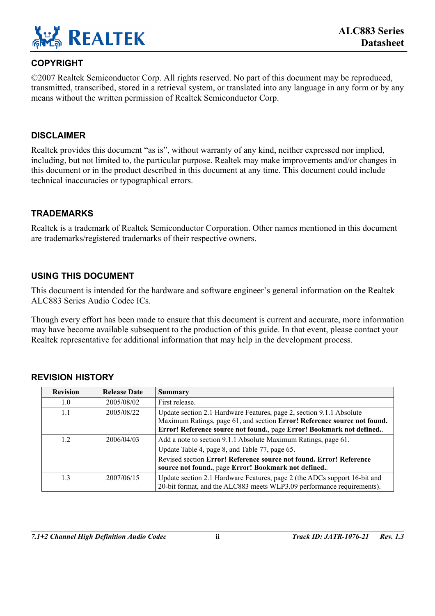

#### **COPYRIGHT**

©2007 Realtek Semiconductor Corp. All rights reserved. No part of this document may be reproduced, transmitted, transcribed, stored in a retrieval system, or translated into any language in any form or by any means without the written permission of Realtek Semiconductor Corp.

#### **DISCLAIMER**

Realtek provides this document "as is", without warranty of any kind, neither expressed nor implied, including, but not limited to, the particular purpose. Realtek may make improvements and/or changes in this document or in the product described in this document at any time. This document could include technical inaccuracies or typographical errors.

#### **TRADEMARKS**

Realtek is a trademark of Realtek Semiconductor Corporation. Other names mentioned in this document are trademarks/registered trademarks of their respective owners.

#### **USING THIS DOCUMENT**

This document is intended for the hardware and software engineer's general information on the Realtek ALC883 Series Audio Codec ICs.

Though every effort has been made to ensure that this document is current and accurate, more information may have become available subsequent to the production of this guide. In that event, please contact your Realtek representative for additional information that may help in the development process.

| <b>Revision</b> | <b>Release Date</b> | Summary                                                                                                                                                                                                                                        |
|-----------------|---------------------|------------------------------------------------------------------------------------------------------------------------------------------------------------------------------------------------------------------------------------------------|
| 1.0             | 2005/08/02          | First release.                                                                                                                                                                                                                                 |
| 1.1             | 2005/08/22          | Update section 2.1 Hardware Features, page 2, section 9.1.1 Absolute<br>Maximum Ratings, page 61, and section Error! Reference source not found.<br>Error! Reference source not found., page Error! Bookmark not defined                       |
| 1.2             | 2006/04/03          | Add a note to section 9.1.1 Absolute Maximum Ratings, page 61.<br>Update Table 4, page 8, and Table 77, page 65.<br>Revised section Error! Reference source not found. Error! Reference<br>source not found., page Error! Bookmark not defined |
| 13              | 2007/06/15          | Update section 2.1 Hardware Features, page 2 (the ADCs support 16-bit and<br>20-bit format, and the ALC883 meets WLP3.09 performance requirements).                                                                                            |

#### **REVISION HISTORY**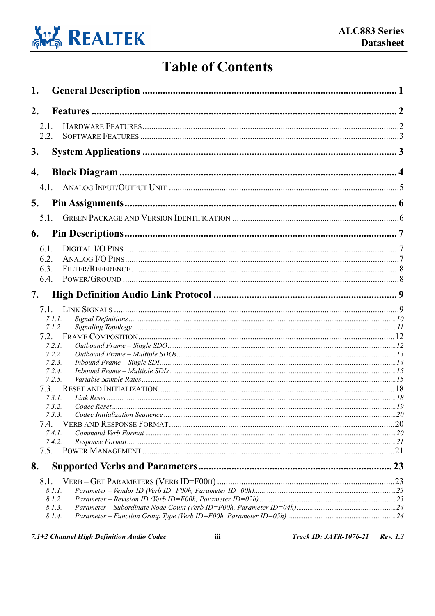

# **Table of Contents**

| 1.      |                  |    |
|---------|------------------|----|
| 2.      |                  |    |
| $2.1$ . |                  |    |
| 2.2.    |                  |    |
| 3.      |                  |    |
| 4.      |                  |    |
| 41      |                  |    |
| 5.      |                  |    |
| 5.1.    |                  |    |
| 6.      |                  |    |
| 6.1.    |                  |    |
| 6.2.    |                  |    |
| 6.3.    |                  |    |
| 6.4.    |                  |    |
| 7.      |                  |    |
| 71      |                  |    |
|         | 7.1.1.           |    |
|         | 7.1.2.           |    |
|         | 7.2.             |    |
|         | 7.2.1.<br>7.2.2. |    |
|         | 7.2.3.           |    |
|         | 7.2.4.           |    |
|         | 7.2.5.           |    |
|         | 7.3.             |    |
|         | 7.3.1.           |    |
|         | 7.3.2.           |    |
|         | 7.3.3.           |    |
| 7.4.    | 7.4.1.           |    |
|         | 7.4.2.           |    |
|         |                  |    |
| 8.      |                  | 23 |
| 8.1.    |                  |    |
|         | 8.I.I.           |    |
|         | 8.1.2.           |    |
|         | 8.1.3.           |    |
|         | 8.1.4.           |    |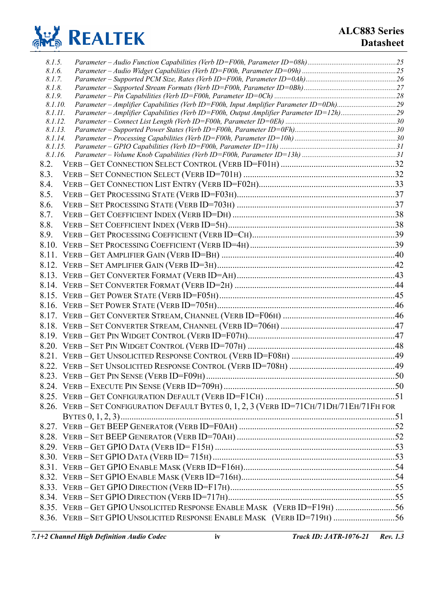

| 8.1.5.             |                                                                                          |  |
|--------------------|------------------------------------------------------------------------------------------|--|
| 8.1.6.             |                                                                                          |  |
| 8.1.7.             |                                                                                          |  |
| 8.1.8.             |                                                                                          |  |
| 8.1.9.             |                                                                                          |  |
| 8.1.10.            | Parameter – Amplifier Capabilities (Verb ID=F00h, Input Amplifier Parameter ID=0Dh)29    |  |
| 8.1.11.            | Parameter - Amplifier Capabilities (Verb ID=F00h, Output Amplifier Parameter ID=12h)29   |  |
| 8.1.12.<br>8.1.13. |                                                                                          |  |
| 8.1.14.            |                                                                                          |  |
| 8.1.15.            |                                                                                          |  |
| 8.1.16.            |                                                                                          |  |
| 8.2.               |                                                                                          |  |
| 8.3.               |                                                                                          |  |
| 8.4.               |                                                                                          |  |
| 8.5.               |                                                                                          |  |
| 8.6.               |                                                                                          |  |
| 8.7.               |                                                                                          |  |
| 8.8.               |                                                                                          |  |
| 8.9.               |                                                                                          |  |
|                    |                                                                                          |  |
|                    |                                                                                          |  |
|                    |                                                                                          |  |
|                    |                                                                                          |  |
|                    |                                                                                          |  |
|                    |                                                                                          |  |
|                    |                                                                                          |  |
|                    |                                                                                          |  |
|                    |                                                                                          |  |
|                    |                                                                                          |  |
|                    |                                                                                          |  |
|                    |                                                                                          |  |
|                    |                                                                                          |  |
|                    |                                                                                          |  |
|                    |                                                                                          |  |
|                    |                                                                                          |  |
|                    |                                                                                          |  |
|                    | 8.26. VERB - SET CONFIGURATION DEFAULT BYTES 0, 1, 2, 3 (VERB ID=71CH/71DH/71EH/71FH FOR |  |
|                    |                                                                                          |  |
|                    |                                                                                          |  |
|                    |                                                                                          |  |
|                    |                                                                                          |  |
|                    |                                                                                          |  |
|                    |                                                                                          |  |
|                    |                                                                                          |  |
|                    |                                                                                          |  |
|                    |                                                                                          |  |
|                    | 8.35. VERB-GET GPIO UNSOLICITED RESPONSE ENABLE MASK (VERB ID=F19H) 56                   |  |
|                    | 8.36. VERB - SET GPIO UNSOLICITED RESPONSE ENABLE MASK (VERB ID=719H) 56                 |  |
|                    |                                                                                          |  |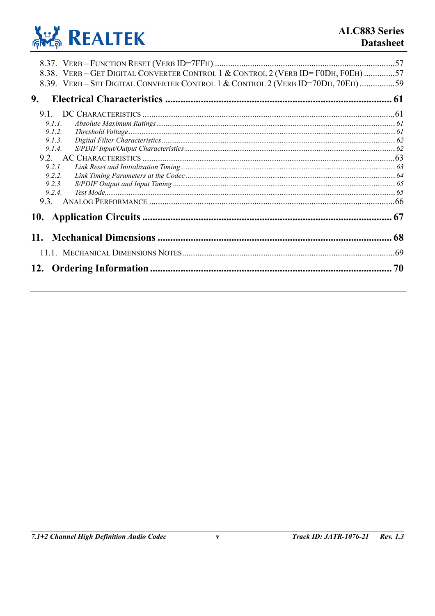

| 8.38. VERB-GET DIGITAL CONVERTER CONTROL 1 & CONTROL 2 (VERB ID=F0DH, F0EH) 57<br>8.39. VERB - SET DIGITAL CONVERTER CONTROL 1 & CONTROL 2 (VERB ID=70DH, 70EH) 59<br>9.                                                                                                                                                                                                                                                                                                                                                                                                                   |    |
|--------------------------------------------------------------------------------------------------------------------------------------------------------------------------------------------------------------------------------------------------------------------------------------------------------------------------------------------------------------------------------------------------------------------------------------------------------------------------------------------------------------------------------------------------------------------------------------------|----|
| 9.1.                                                                                                                                                                                                                                                                                                                                                                                                                                                                                                                                                                                       |    |
| 9.1.1.                                                                                                                                                                                                                                                                                                                                                                                                                                                                                                                                                                                     |    |
| $\emph{Threshold Voltage} \label{thm:1} {\it{Threshold Voltage}} \normalsize \normalsize \begin{minipage}{0.99\textwidth} \centering \begin{minipage}{0.99\textwidth} \centering \end{minipage} \normalsize \begin{minipage}{0.99\textwidth} \centering \end{minipage} \normalsize \begin{minipage}{0.99\textwidth} \centering \end{minipage} \normalsize \begin{minipage}{0.99\textwidth} \centering \end{minipage} \normalsize \begin{minipage}{0.99\textwidth} \centering \begin{minipage}{0.99\textwidth} \centering \centering \end{minipage} \normalsize \begin{minipage}{$<br>9.1.2 |    |
| 9.13                                                                                                                                                                                                                                                                                                                                                                                                                                                                                                                                                                                       |    |
| 9.1.4.                                                                                                                                                                                                                                                                                                                                                                                                                                                                                                                                                                                     |    |
|                                                                                                                                                                                                                                                                                                                                                                                                                                                                                                                                                                                            |    |
| 9.2 L                                                                                                                                                                                                                                                                                                                                                                                                                                                                                                                                                                                      |    |
| 9.2.2.                                                                                                                                                                                                                                                                                                                                                                                                                                                                                                                                                                                     |    |
| 9.2.3.                                                                                                                                                                                                                                                                                                                                                                                                                                                                                                                                                                                     |    |
| 9.2.4.                                                                                                                                                                                                                                                                                                                                                                                                                                                                                                                                                                                     |    |
| 9.3.                                                                                                                                                                                                                                                                                                                                                                                                                                                                                                                                                                                       |    |
|                                                                                                                                                                                                                                                                                                                                                                                                                                                                                                                                                                                            | 67 |
|                                                                                                                                                                                                                                                                                                                                                                                                                                                                                                                                                                                            | 68 |
|                                                                                                                                                                                                                                                                                                                                                                                                                                                                                                                                                                                            |    |
|                                                                                                                                                                                                                                                                                                                                                                                                                                                                                                                                                                                            | 70 |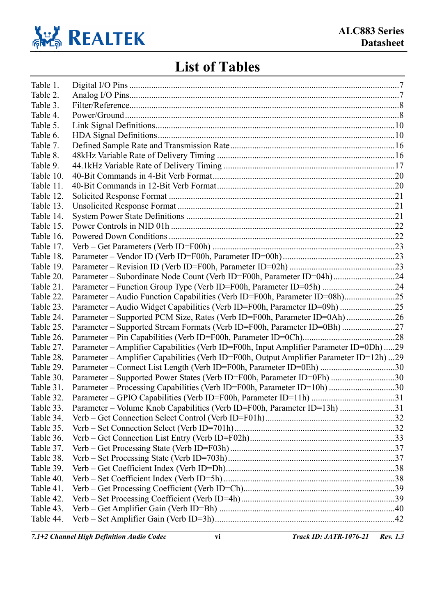

# **List of Tables**

| Table 1.  |                                                                                         |  |
|-----------|-----------------------------------------------------------------------------------------|--|
| Table 2.  |                                                                                         |  |
| Table 3.  |                                                                                         |  |
| Table 4.  |                                                                                         |  |
| Table 5.  |                                                                                         |  |
| Table 6.  |                                                                                         |  |
| Table 7.  |                                                                                         |  |
| Table 8.  |                                                                                         |  |
| Table 9.  |                                                                                         |  |
| Table 10. |                                                                                         |  |
| Table 11. |                                                                                         |  |
| Table 12. |                                                                                         |  |
| Table 13. |                                                                                         |  |
| Table 14. |                                                                                         |  |
| Table 15. |                                                                                         |  |
| Table 16. |                                                                                         |  |
| Table 17. |                                                                                         |  |
| Table 18. |                                                                                         |  |
| Table 19. |                                                                                         |  |
| Table 20. | Parameter – Subordinate Node Count (Verb ID=F00h, Parameter ID=04h)24                   |  |
| Table 21. | Parameter - Function Group Type (Verb ID=F00h, Parameter ID=05h) 24                     |  |
| Table 22. | Parameter – Audio Function Capabilities (Verb ID=F00h, Parameter ID=08h)25              |  |
| Table 23. | Parameter – Audio Widget Capabilities (Verb ID=F00h, Parameter ID=09h) 25               |  |
| Table 24. | Parameter – Supported PCM Size, Rates (Verb ID=F00h, Parameter ID=0Ah)26                |  |
| Table 25. | Parameter – Supported Stream Formats (Verb ID=F00h, Parameter ID=0Bh) 27                |  |
| Table 26. |                                                                                         |  |
| Table 27. | Parameter – Amplifier Capabilities (Verb ID=F00h, Input Amplifier Parameter ID=0Dh)29   |  |
| Table 28. | Parameter – Amplifier Capabilities (Verb ID=F00h, Output Amplifier Parameter ID=12h) 29 |  |
| Table 29. | Parameter – Connect List Length (Verb ID=F00h, Parameter ID=0Eh) 30                     |  |
| Table 30. | Parameter – Supported Power States (Verb ID=F00h, Parameter ID=0Fh) 30                  |  |
| Table 31. | Parameter – Processing Capabilities (Verb ID=F00h, Parameter ID=10h) 30                 |  |
| Table 32. |                                                                                         |  |
| Table 33. | Parameter – Volume Knob Capabilities (Verb ID=F00h, Parameter ID=13h) 31                |  |
| Table 34. |                                                                                         |  |
| Table 35. |                                                                                         |  |
| Table 36. |                                                                                         |  |
| Table 37. |                                                                                         |  |
| Table 38. |                                                                                         |  |
| Table 39. |                                                                                         |  |
| Table 40. |                                                                                         |  |
| Table 41. |                                                                                         |  |
| Table 42. |                                                                                         |  |
| Table 43. |                                                                                         |  |
| Table 44. |                                                                                         |  |

*7.1+2 Channel High Definition Audio Codec* **vi** *Track ID: JATR-1076-21 Rev. 1.3*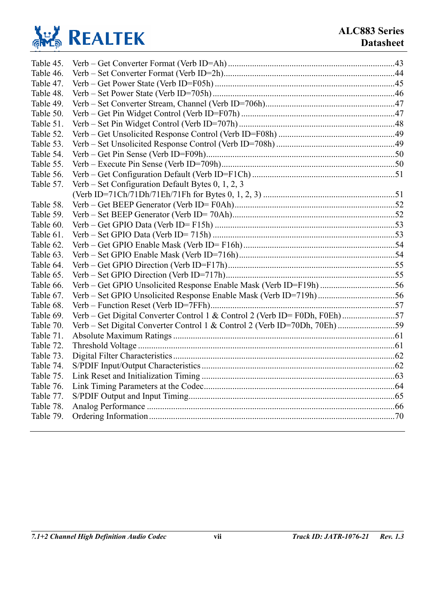

| Table 45. |                                                                            |  |
|-----------|----------------------------------------------------------------------------|--|
| Table 46. |                                                                            |  |
| Table 47. |                                                                            |  |
| Table 48. |                                                                            |  |
| Table 49. |                                                                            |  |
| Table 50. |                                                                            |  |
| Table 51. |                                                                            |  |
| Table 52. |                                                                            |  |
| Table 53. |                                                                            |  |
| Table 54. |                                                                            |  |
| Table 55. |                                                                            |  |
| Table 56. |                                                                            |  |
| Table 57. | Verb – Set Configuration Default Bytes $0, 1, 2, 3$                        |  |
|           |                                                                            |  |
| Table 58. |                                                                            |  |
| Table 59. |                                                                            |  |
| Table 60. |                                                                            |  |
| Table 61. |                                                                            |  |
| Table 62. |                                                                            |  |
| Table 63. |                                                                            |  |
| Table 64. |                                                                            |  |
| Table 65. |                                                                            |  |
| Table 66. |                                                                            |  |
| Table 67. |                                                                            |  |
| Table 68. |                                                                            |  |
| Table 69. | Verb – Get Digital Converter Control 1 & Control 2 (Verb ID= F0Dh, F0Eh)57 |  |
| Table 70. |                                                                            |  |
| Table 71. |                                                                            |  |
| Table 72. |                                                                            |  |
| Table 73. |                                                                            |  |
| Table 74. |                                                                            |  |
| Table 75. |                                                                            |  |
| Table 76. |                                                                            |  |
| Table 77. |                                                                            |  |
| Table 78. |                                                                            |  |
| Table 79. |                                                                            |  |
|           |                                                                            |  |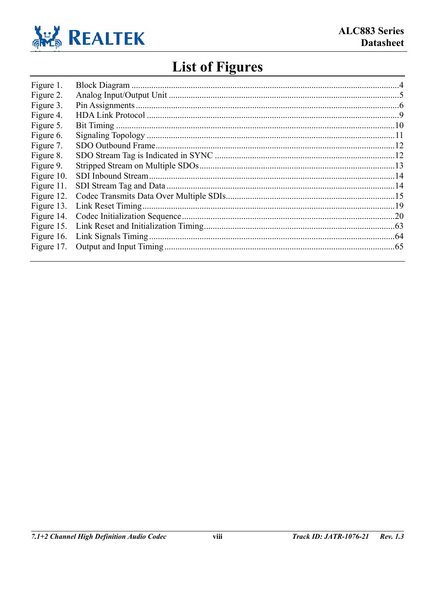

# **List of Figures**

| Figure 1.  |  |
|------------|--|
| Figure 2.  |  |
| Figure 3.  |  |
| Figure 4.  |  |
| Figure 5.  |  |
| Figure 6.  |  |
| Figure 7.  |  |
| Figure 8.  |  |
| Figure 9.  |  |
| Figure 10. |  |
| Figure 11. |  |
| Figure 12. |  |
| Figure 13. |  |
| Figure 14. |  |
| Figure 15. |  |
| Figure 16. |  |
| Figure 17. |  |
|            |  |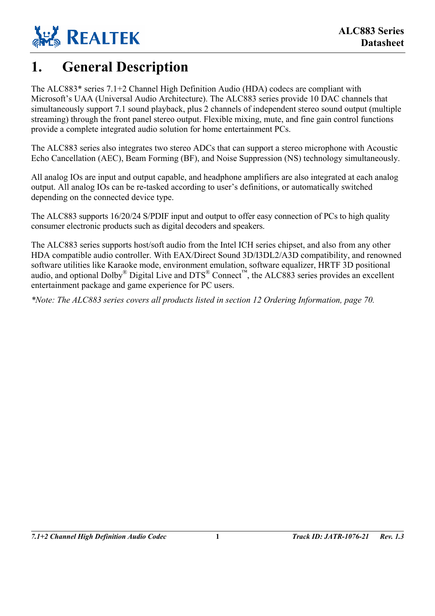

# <span id="page-8-0"></span>**1. General Description**

The ALC883\* series 7.1+2 Channel High Definition Audio (HDA) codecs are compliant with Microsoft's UAA (Universal Audio Architecture). The ALC883 series provide 10 DAC channels that simultaneously support 7.1 sound playback, plus 2 channels of independent stereo sound output (multiple streaming) through the front panel stereo output. Flexible mixing, mute, and fine gain control functions provide a complete integrated audio solution for home entertainment PCs.

The ALC883 series also integrates two stereo ADCs that can support a stereo microphone with Acoustic Echo Cancellation (AEC), Beam Forming (BF), and Noise Suppression (NS) technology simultaneously.

All analog IOs are input and output capable, and headphone amplifiers are also integrated at each analog output. All analog IOs can be re-tasked according to user's definitions, or automatically switched depending on the connected device type.

The ALC883 supports 16/20/24 S/PDIF input and output to offer easy connection of PCs to high quality consumer electronic products such as digital decoders and speakers.

The ALC883 series supports host/soft audio from the Intel ICH series chipset, and also from any other HDA compatible audio controller. With EAX/Direct Sound 3D/I3DL2/A3D compatibility, and renowned software utilities like Karaoke mode, environment emulation, software equalizer, HRTF 3D positional audio, and optional Dolby<sup>®</sup> Digital Live and DTS<sup>®</sup> Connect<sup>™</sup>, the ALC883 series provides an excellent entertainment package and game experience for PC users.

*\*Note: The ALC883 series covers all products listed in section [12 Ordering Information,](#page-77-0) page [70.](#page-77-0)*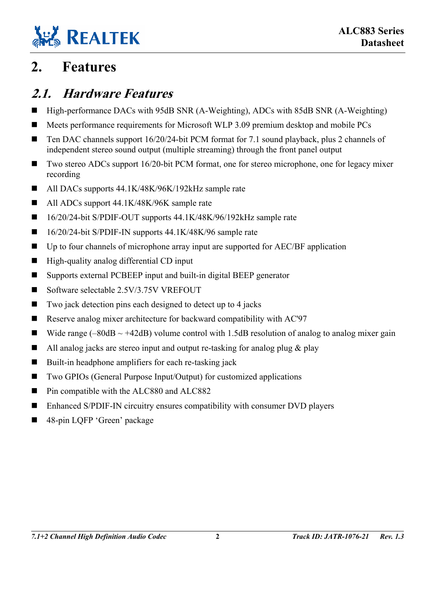

# <span id="page-9-1"></span>**2. Features**

## <span id="page-9-0"></span>**2.1. Hardware Features**

- High-performance DACs with 95dB SNR (A-Weighting), ADCs with 85dB SNR (A-Weighting)
- Meets performance requirements for Microsoft WLP 3.09 premium desktop and mobile PCs
- Ten DAC channels support 16/20/24-bit PCM format for 7.1 sound playback, plus 2 channels of independent stereo sound output (multiple streaming) through the front panel output
- Two stereo ADCs support 16/20-bit PCM format, one for stereo microphone, one for legacy mixer recording
- All DACs supports 44.1K/48K/96K/192kHz sample rate
- All ADCs support 44.1K/48K/96K sample rate
- 16/20/24-bit S/PDIF-OUT supports 44.1K/48K/96/192kHz sample rate
- $\blacksquare$  16/20/24-bit S/PDIF-IN supports 44.1K/48K/96 sample rate
- Up to four channels of microphone array input are supported for AEC/BF application
- $\blacksquare$  High-quality analog differential CD input
- Supports external PCBEEP input and built-in digital BEEP generator
- Software selectable 2.5V/3.75V VREFOUT
- $\blacksquare$  Two jack detection pins each designed to detect up to 4 jacks
- Reserve analog mixer architecture for backward compatibility with AC'97
- Wide range (–80dB  $\sim$  +42dB) volume control with 1.5dB resolution of analog to analog mixer gain
- All analog jacks are stereo input and output re-tasking for analog plug  $\&$  play
- Built-in headphone amplifiers for each re-tasking jack
- Two GPIOs (General Purpose Input/Output) for customized applications
- Pin compatible with the ALC880 and ALC882
- Enhanced S/PDIF-IN circuitry ensures compatibility with consumer DVD players
- 48-pin LQFP 'Green' package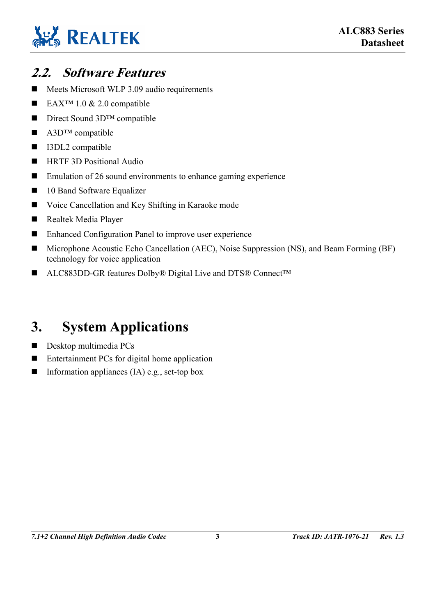

## <span id="page-10-0"></span>**2.2. Software Features**

- Meets Microsoft WLP 3.09 audio requirements
- EAX<sup>™</sup> 1.0 & 2.0 compatible
- Direct Sound 3D<sup>TM</sup> compatible
- $\blacksquare$  A3D<sup>TM</sup> compatible
- I3DL2 compatible
- **HRTF 3D Positional Audio**
- Emulation of 26 sound environments to enhance gaming experience
- 10 Band Software Equalizer
- Voice Cancellation and Key Shifting in Karaoke mode
- Realtek Media Player
- Enhanced Configuration Panel to improve user experience
- Microphone Acoustic Echo Cancellation (AEC), Noise Suppression (NS), and Beam Forming (BF) technology for voice application
- ALC883DD-GR features Dolby® Digital Live and DTS® Connect™

# <span id="page-10-1"></span>**3. System Applications**

- Desktop multimedia PCs
- Entertainment PCs for digital home application
- Information appliances (IA) e.g., set-top box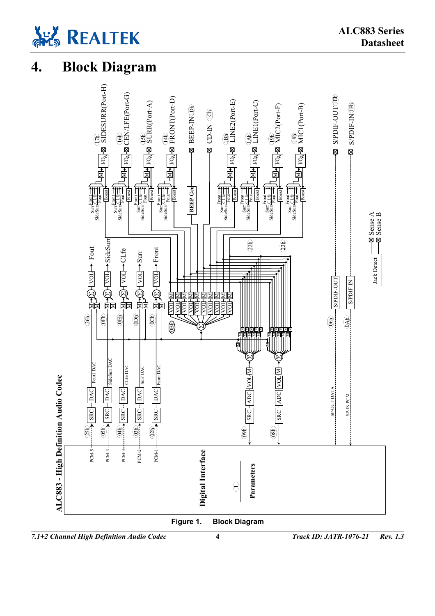

# <span id="page-11-1"></span><span id="page-11-0"></span>**4. Block Diagram**

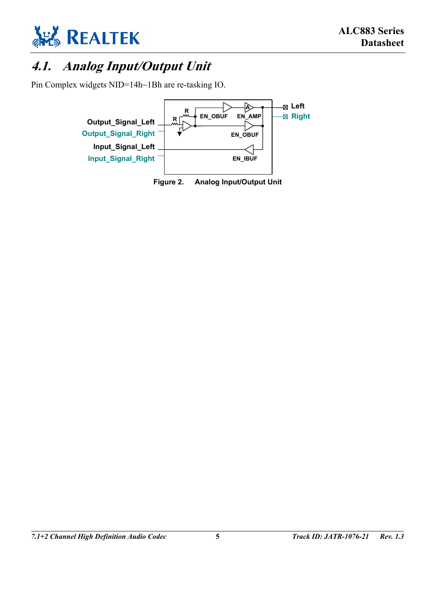

# <span id="page-12-0"></span>**4.1. Analog Input/Output Unit**

Pin Complex widgets NID=14h~1Bh are re-tasking IO.

<span id="page-12-1"></span>

**Figure 2. Analog Input/Output Unit**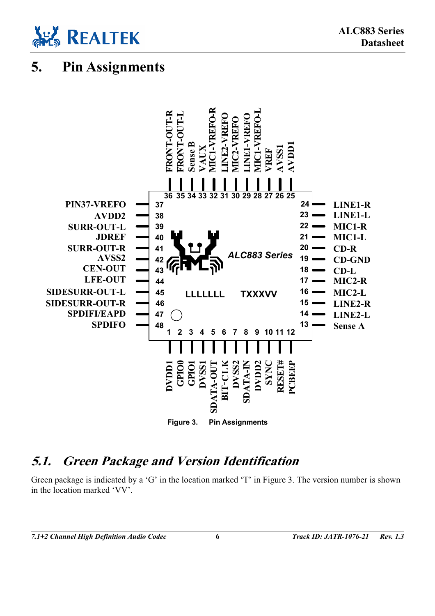

# <span id="page-13-0"></span>**5. Pin Assignments**

<span id="page-13-2"></span>

### <span id="page-13-1"></span>**5.1. Green Package and Version Identification**

Green package is indicated by a 'G' in the location marked 'T' in [Figure 3.](#page-13-2) The version number is shown in the location marked 'VV'.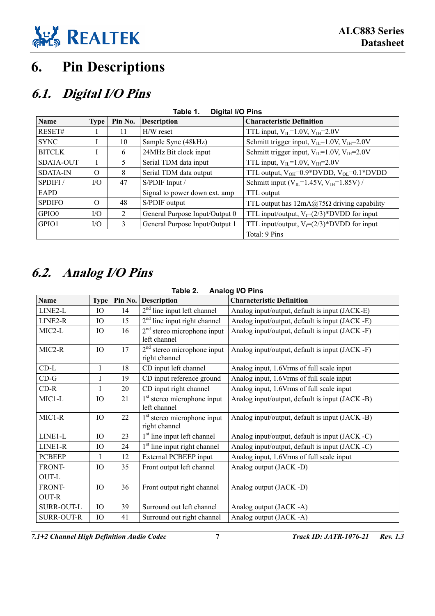

# <span id="page-14-0"></span>**6. Pin Descriptions**

## <span id="page-14-1"></span>**6.1. Digital I/O Pins**

<span id="page-14-3"></span>

| <b>Digital I/O Pins</b><br>Table 1. |             |                |                                |                                                        |  |
|-------------------------------------|-------------|----------------|--------------------------------|--------------------------------------------------------|--|
| <b>Name</b>                         | <b>Type</b> | Pin No.        | <b>Description</b>             | <b>Characteristic Definition</b>                       |  |
| RESET#                              |             | 11             | $H/W$ reset                    | TTL input, $V_{II}$ =1.0V, $V_{IH}$ =2.0V              |  |
| <b>SYNC</b>                         |             | 10             | Sample Sync (48kHz)            | Schmitt trigger input, $V_{IL}$ =1.0V, $V_{IH}$ =2.0V  |  |
| <b>BITCLK</b>                       |             | 6              | 24MHz Bit clock input          | Schmitt trigger input, $V_{IL}$ =1.0V, $V_{IH}$ =2.0V  |  |
| SDATA-OUT                           |             | 5.             | Serial TDM data input          | TTL input, $V_{II}$ =1.0V, $V_{IH}$ =2.0V              |  |
| <b>SDATA-IN</b>                     | $\Omega$    | 8              | Serial TDM data output         | TTL output, $V_{OH} = 0.9*$ DVDD, $V_{OL} = 0.1*$ DVDD |  |
| SPDIFI/                             | I/O         | 47             | S/PDIF Input /                 | Schmitt input ( $V_{IL}$ =1.45V, $V_{IH}$ =1.85V) /    |  |
| <b>EAPD</b>                         |             |                | Signal to power down ext. amp  | TTL output                                             |  |
| <b>SPDIFO</b>                       | $\Omega$    | 48             | S/PDIF output                  | TTL output has $12mA@75\Omega$ driving capability      |  |
| GPIO0                               | I/O         | $\overline{2}$ | General Purpose Input/Output 0 | TTL input/output, $V_t=(2/3)*DVDD$ for input           |  |
| GPIO1                               | $VO$        | 3              | General Purpose Input/Output 1 | TTL input/output, $V_t=(2/3)^*$ DVDD for input         |  |
| Total: 9 Pins                       |             |                |                                |                                                        |  |

# <span id="page-14-2"></span>**6.2. Analog I/O Pins**

| TADIE Z.<br><b>Alidiug I/U FIIIS</b> |             |    |                                                |                                                 |  |
|--------------------------------------|-------------|----|------------------------------------------------|-------------------------------------------------|--|
| <b>Name</b>                          | <b>Type</b> |    | Pin No. Description                            | <b>Characteristic Definition</b>                |  |
| LINE2-L                              | IO          | 14 | $2nd$ line input left channel                  | Analog input/output, default is input (JACK-E)  |  |
| LINE2-R                              | IO          | 15 | $2nd$ line input right channel                 | Analog input/output, default is input (JACK -E) |  |
| MIC2-L                               | IO.         | 16 | $2nd$ stereo microphone input<br>left channel  | Analog input/output, default is input (JACK -F) |  |
| MIC2-R                               | IO          | 17 | $2nd$ stereo microphone input<br>right channel | Analog input/output, default is input (JACK -F) |  |
| $CD-L$                               | I           | 18 | CD input left channel                          | Analog input, 1.6 Vrms of full scale input      |  |
| $CD-G$                               | I           | 19 | CD input reference ground                      | Analog input, 1.6Vrms of full scale input       |  |
| $CD-R$                               | I           | 20 | CD input right channel                         | Analog input, 1.6Vrms of full scale input       |  |
| MIC1-L                               | IО          | 21 | $1st$ stereo microphone input<br>left channel  | Analog input/output, default is input (JACK -B) |  |
| MIC1-R                               | IО          | 22 | $1st$ stereo microphone input<br>right channel | Analog input/output, default is input (JACK -B) |  |
| LINE1-L                              | IO          | 23 | 1 <sup>st</sup> line input left channel        | Analog input/output, default is input (JACK -C) |  |
| LINE1-R                              | IO          | 24 | 1 <sup>st</sup> line input right channel       | Analog input/output, default is input (JACK -C) |  |
| <b>PCBEEP</b>                        | Ī           | 12 | <b>External PCBEEP</b> input                   | Analog input, 1.6Vrms of full scale input       |  |
| FRONT-                               | IO          | 35 | Front output left channel                      | Analog output (JACK -D)                         |  |
| OUT-L                                |             |    |                                                |                                                 |  |
| FRONT-                               | IO          | 36 | Front output right channel                     | Analog output (JACK -D)                         |  |
| <b>OUT-R</b>                         |             |    |                                                |                                                 |  |
| <b>SURR-OUT-L</b>                    | IO          | 39 | Surround out left channel                      | Analog output (JACK -A)                         |  |
| <b>SURR-OUT-R</b>                    | IO          | 41 | Surround out right channel                     | Analog output (JACK -A)                         |  |

#### <span id="page-14-4"></span>**Table 2. Analog I/O Pins**

*7.1+2 Channel High Definition Audio Codec* **7** *Track ID: JATR-1076-21 Rev. 1.3*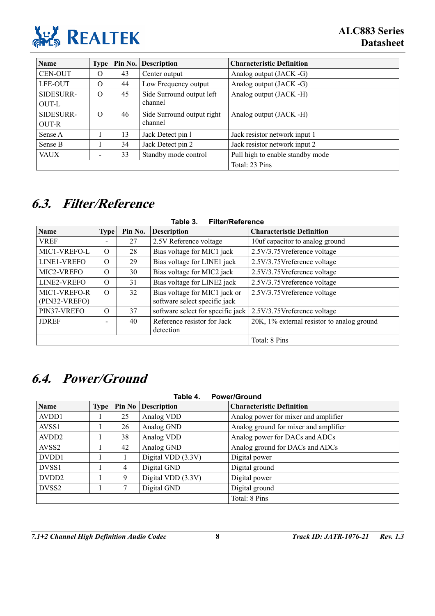

| <b>Name</b>  | <b>Type</b> |    | Pin No. Description        | <b>Characteristic Definition</b> |
|--------------|-------------|----|----------------------------|----------------------------------|
| CEN-OUT      | O           | 43 | Center output              | Analog output (JACK -G)          |
| LFE-OUT      | $\Omega$    | 44 | Low Frequency output       | Analog output (JACK -G)          |
| SIDESURR-    | $\Omega$    | 45 | Side Surround output left  | Analog output (JACK -H)          |
| <b>OUT-L</b> |             |    | channel                    |                                  |
| SIDESURR-    | $\Omega$    | 46 | Side Surround output right | Analog output (JACK -H)          |
| OUT-R        |             |    | channel                    |                                  |
| Sense A      |             | 13 | Jack Detect pin 1          | Jack resistor network input 1    |
| Sense B      |             | 34 | Jack Detect pin 2          | Jack resistor network input 2    |
| <b>VAUX</b>  |             | 33 | Standby mode control       | Pull high to enable standby mode |
|              |             |    |                            | Total: 23 Pins                   |

# <span id="page-15-1"></span>**6.3. Filter/Reference**

<span id="page-15-3"></span>

| <b>Filter/Reference</b><br>Table 3. |             |         |                                                                |                                            |  |
|-------------------------------------|-------------|---------|----------------------------------------------------------------|--------------------------------------------|--|
| <b>Name</b>                         | <b>Type</b> | Pin No. | <b>Description</b>                                             | <b>Characteristic Definition</b>           |  |
| <b>VREF</b>                         |             | 27      | 2.5V Reference voltage                                         | 10uf capacitor to analog ground            |  |
| MIC1-VREFO-L                        | $\Omega$    | 28      | Bias voltage for MIC1 jack                                     | 2.5V/3.75Vreference voltage                |  |
| LINE1-VREFO                         | $\Omega$    | 29      | Bias voltage for LINE1 jack                                    | 2.5V/3.75Vreference voltage                |  |
| MIC2-VREFO                          | $\Omega$    | 30      | Bias voltage for MIC2 jack                                     | 2.5V/3.75Vreference voltage                |  |
| LINE2-VREFO                         | $\Omega$    | 31      | Bias voltage for LINE2 jack                                    | 2.5V/3.75Vreference voltage                |  |
| MIC1-VREFO-R<br>(PIN32-VREFO)       | $\Omega$    | 32      | Bias voltage for MIC1 jack or<br>software select specific jack | 2.5V/3.75Vreference voltage                |  |
| PIN37-VREFO                         | $\Omega$    | 37      | software select for specific jack                              | 2.5V/3.75Vreference voltage                |  |
| <b>JDREF</b>                        |             | 40      | Reference resistor for Jack<br>detection                       | 20K, 1% external resistor to analog ground |  |
|                                     |             |         |                                                                | Total: 8 Pins                              |  |

# <span id="page-15-2"></span>**6.4. Power/Ground**

<span id="page-15-0"></span>

| Table 4.<br><b>Power/Ground</b> |             |        |                    |                                       |
|---------------------------------|-------------|--------|--------------------|---------------------------------------|
| <b>Name</b>                     | <b>Type</b> | Pin No | <b>Description</b> | <b>Characteristic Definition</b>      |
| AVDD1                           |             | 25     | Analog VDD         | Analog power for mixer and amplifier  |
| AVSS1                           |             | 26     | Analog GND         | Analog ground for mixer and amplifier |
| AVDD <sub>2</sub>               |             | 38     | Analog VDD         | Analog power for DACs and ADCs        |
| AVSS <sub>2</sub>               |             | 42     | Analog GND         | Analog ground for DACs and ADCs       |
| DVDD1                           |             |        | Digital VDD (3.3V) | Digital power                         |
| DVSS <sub>1</sub>               |             | 4      | Digital GND        | Digital ground                        |
| DVDD <sub>2</sub>               |             | 9      | Digital VDD (3.3V) | Digital power                         |
| DVSS <sub>2</sub>               |             | 7      | Digital GND        | Digital ground                        |
|                                 |             |        |                    | Total: 8 Pins                         |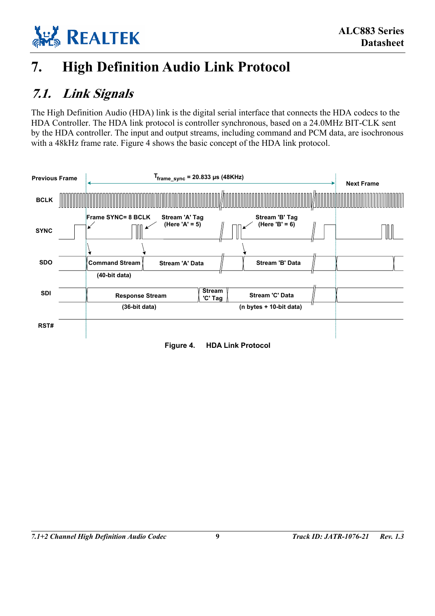

# <span id="page-16-0"></span>**7. High Definition Audio Link Protocol**

## <span id="page-16-1"></span>**7.1. Link Signals**

The High Definition Audio (HDA) link is the digital serial interface that connects the HDA codecs to the HDA Controller. The HDA link protocol is controller synchronous, based on a 24.0MHz BIT-CLK sent by the HDA controller. The input and output streams, including command and PCM data, are isochronous with a 48kHz frame rate. [Figure 4](#page-16-2) shows the basic concept of the HDA link protocol.

<span id="page-16-2"></span>

| <b>Previous Frame</b> |  | $T_{frame\_sync}$ = 20.833 µs (48KHz)   |                                  |                          |  |                                     |  | <b>Next Frame</b> |
|-----------------------|--|-----------------------------------------|----------------------------------|--------------------------|--|-------------------------------------|--|-------------------|
| <b>BCLK</b>           |  |                                         |                                  |                          |  |                                     |  |                   |
| <b>SYNC</b>           |  | Frame SYNC= 8 BCLK                      | Stream 'A' Tag<br>(Here 'A' = 5) |                          |  | Stream 'B' Tag<br>(Here $'B' = 6$ ) |  |                   |
| <b>SDO</b>            |  | <b>Command Stream</b>                   | Stream 'A' Data                  |                          |  | Stream 'B' Data                     |  |                   |
| <b>SDI</b>            |  | (40-bit data)<br><b>Response Stream</b> |                                  | <b>Stream</b><br>'C' Tag |  | Stream 'C' Data                     |  |                   |
| RST#                  |  | (36-bit data)                           |                                  |                          |  | (n bytes + 10-bit data)             |  |                   |

**Figure 4. HDA Link Protocol**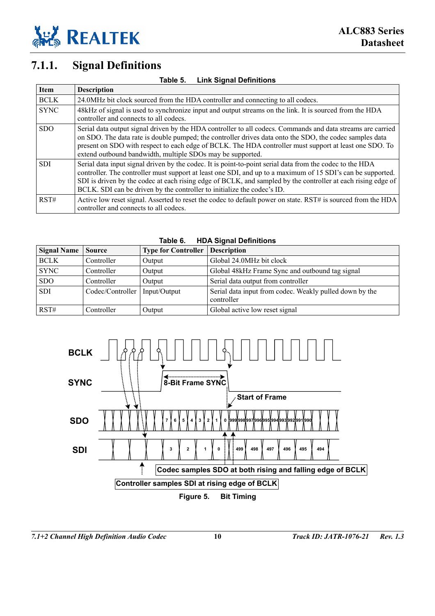

### <span id="page-17-0"></span>**7.1.1. Signal Definitions**

| <b>Item</b> | <b>Description</b>                                                                                                                                                                                                                                                                                                                                                                                                 |
|-------------|--------------------------------------------------------------------------------------------------------------------------------------------------------------------------------------------------------------------------------------------------------------------------------------------------------------------------------------------------------------------------------------------------------------------|
| <b>BCLK</b> | 24.0MHz bit clock sourced from the HDA controller and connecting to all codecs.                                                                                                                                                                                                                                                                                                                                    |
| <b>SYNC</b> | 48kHz of signal is used to synchronize input and output streams on the link. It is sourced from the HDA<br>controller and connects to all codecs.                                                                                                                                                                                                                                                                  |
| <b>SDO</b>  | Serial data output signal driven by the HDA controller to all codecs. Commands and data streams are carried<br>on SDO. The data rate is double pumped; the controller drives data onto the SDO, the codec samples data<br>present on SDO with respect to each edge of BCLK. The HDA controller must support at least one SDO. To<br>extend outbound bandwidth, multiple SDOs may be supported.                     |
| <b>SDI</b>  | Serial data input signal driven by the codec. It is point-to-point serial data from the codec to the HDA<br>controller. The controller must support at least one SDI, and up to a maximum of 15 SDI's can be supported.<br>SDI is driven by the codec at each rising edge of BCLK, and sampled by the controller at each rising edge of<br>BCLK. SDI can be driven by the controller to initialize the codec's ID. |
| RST#        | Active low reset signal. Asserted to reset the codec to default power on state. RST# is sourced from the HDA<br>controller and connects to all codecs.                                                                                                                                                                                                                                                             |

<span id="page-17-1"></span>**Table 5. Link Signal Definitions** 

<span id="page-17-2"></span>

| <b>HDA Signal Definitions</b><br>Table 6. |                  |                            |                                                                       |  |  |  |
|-------------------------------------------|------------------|----------------------------|-----------------------------------------------------------------------|--|--|--|
| <b>Signal Name</b>                        | <b>Source</b>    | <b>Type for Controller</b> | <b>Description</b>                                                    |  |  |  |
| <b>BCLK</b>                               | Controller       | Output                     | Global 24.0MHz bit clock                                              |  |  |  |
| <b>SYNC</b>                               | Controller       | Output                     | Global 48kHz Frame Sync and outbound tag signal                       |  |  |  |
| <b>SDO</b>                                | Controller       | Output                     | Serial data output from controller                                    |  |  |  |
| <b>SDI</b>                                | Codec/Controller | Input/Output               | Serial data input from codec. Weakly pulled down by the<br>controller |  |  |  |
| RST#                                      | Controller       | Output                     | Global active low reset signal                                        |  |  |  |

<span id="page-17-3"></span>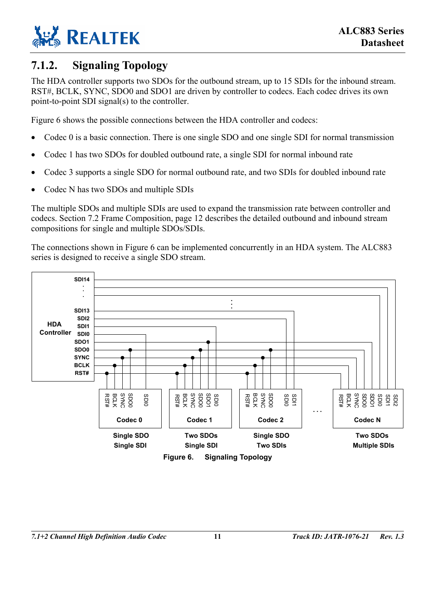

### <span id="page-18-0"></span>**7.1.2. Signaling Topology**

The HDA controller supports two SDOs for the outbound stream, up to 15 SDIs for the inbound stream. RST#, BCLK, SYNC, SDO0 and SDO1 are driven by controller to codecs. Each codec drives its own point-to-point SDI signal(s) to the controller.

[Figure 6](#page-18-1) shows the possible connections between the HDA controller and codecs:

- Codec 0 is a basic connection. There is one single SDO and one single SDI for normal transmission
- Codec 1 has two SDOs for doubled outbound rate, a single SDI for normal inbound rate
- Codec 3 supports a single SDO for normal outbound rate, and two SDIs for doubled inbound rate
- Codec N has two SDOs and multiple SDIs

The multiple SDOs and multiple SDIs are used to expand the transmission rate between controller and codecs. Section [7.2 Frame Composition,](#page-19-0) page [12](#page-19-0) describes the detailed outbound and inbound stream compositions for single and multiple SDOs/SDIs.

<span id="page-18-1"></span>The connections shown in [Figure 6](#page-18-1) can be implemented concurrently in an HDA system. The ALC883 series is designed to receive a single SDO stream.

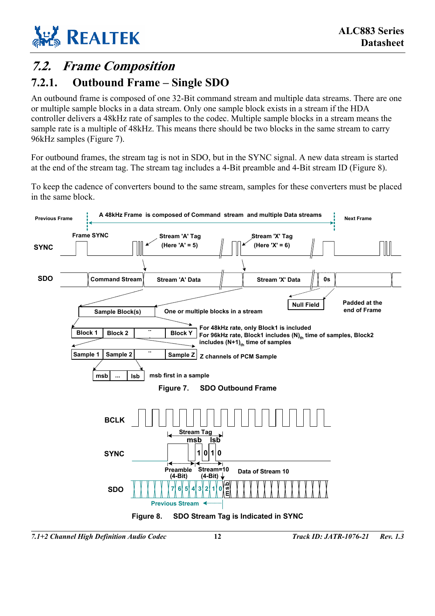

# <span id="page-19-0"></span>**7.2. Frame Composition**

#### <span id="page-19-1"></span>**7.2.1. Outbound Frame – Single SDO**

An outbound frame is composed of one 32-Bit command stream and multiple data streams. There are one or multiple sample blocks in a data stream. Only one sample block exists in a stream if the HDA controller delivers a 48kHz rate of samples to the codec. Multiple sample blocks in a stream means the sample rate is a multiple of 48kHz. This means there should be two blocks in the same stream to carry 96kHz samples [\(Figure 7\)](#page-19-2).

For outbound frames, the stream tag is not in SDO, but in the SYNC signal. A new data stream is started at the end of the stream tag. The stream tag includes a 4-Bit preamble and 4-Bit stream ID [\(Figure 8\)](#page-19-3).

To keep the cadence of converters bound to the same stream, samples for these converters must be placed in the same block.

<span id="page-19-3"></span><span id="page-19-2"></span>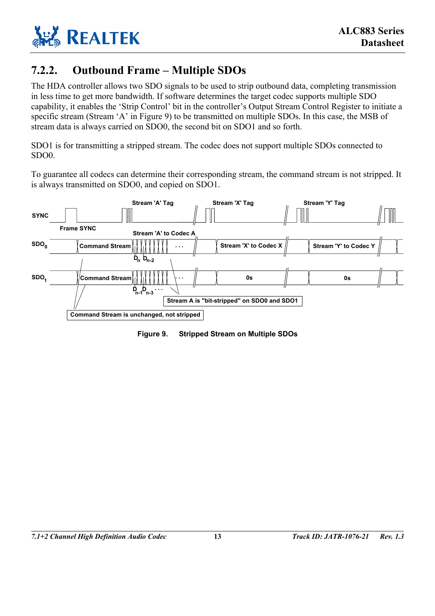

### <span id="page-20-0"></span>**7.2.2. Outbound Frame – Multiple SDOs**

The HDA controller allows two SDO signals to be used to strip outbound data, completing transmission in less time to get more bandwidth. If software determines the target codec supports multiple SDO capability, it enables the 'Strip Control' bit in the controller's Output Stream Control Register to initiate a specific stream (Stream 'A' in [Figure 9\)](#page-20-1) to be transmitted on multiple SDOs. In this case, the MSB of stream data is always carried on SDO0, the second bit on SDO1 and so forth.

SDO1 is for transmitting a stripped stream. The codec does not support multiple SDOs connected to SDO0.

<span id="page-20-1"></span>To guarantee all codecs can determine their corresponding stream, the command stream is not stripped. It is always transmitted on SDO0, and copied on SDO1.



**Figure 9. Stripped Stream on Multiple SDOs**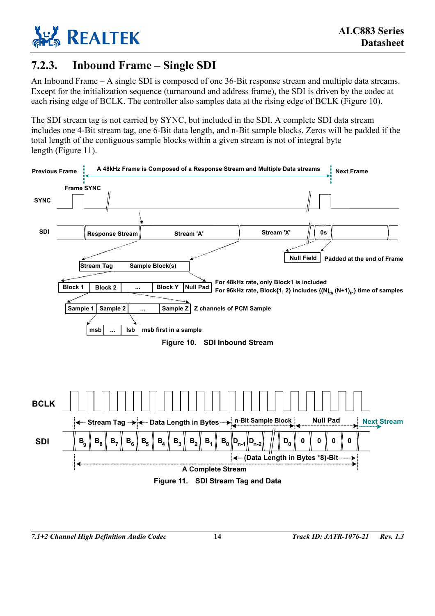

### <span id="page-21-0"></span>**7.2.3. Inbound Frame – Single SDI**

An Inbound Frame – A single SDI is composed of one 36-Bit response stream and multiple data streams. Except for the initialization sequence (turnaround and address frame), the SDI is driven by the codec at each rising edge of BCLK. The controller also samples data at the rising edge of BCLK [\(Figure 10\)](#page-21-1).

The SDI stream tag is not carried by SYNC, but included in the SDI. A complete SDI data stream includes one 4-Bit stream tag, one 6-Bit data length, and n-Bit sample blocks. Zeros will be padded if the total length of the contiguous sample blocks within a given stream is not of integral byte length [\(Figure 11\)](#page-21-2).

<span id="page-21-2"></span><span id="page-21-1"></span>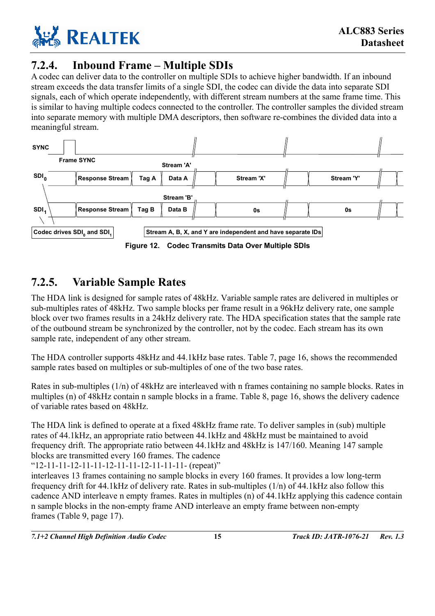

### <span id="page-22-0"></span>**7.2.4. Inbound Frame – Multiple SDIs**

A codec can deliver data to the controller on multiple SDIs to achieve higher bandwidth. If an inbound stream exceeds the data transfer limits of a single SDI, the codec can divide the data into separate SDI signals, each of which operate independently, with different stream numbers at the same frame time. This is similar to having multiple codecs connected to the controller. The controller samples the divided stream into separate memory with multiple DMA descriptors, then software re-combines the divided data into a meaningful stream.

<span id="page-22-2"></span>

### <span id="page-22-1"></span>**7.2.5. Variable Sample Rates**

The HDA link is designed for sample rates of 48kHz. Variable sample rates are delivered in multiples or sub-multiples rates of 48kHz. Two sample blocks per frame result in a 96kHz delivery rate, one sample block over two frames results in a 24kHz delivery rate. The HDA specification states that the sample rate of the outbound stream be synchronized by the controller, not by the codec. Each stream has its own sample rate, independent of any other stream.

The HDA controller supports 48kHz and 44.1kHz base rates. [Table 7,](#page-23-0) page [16,](#page-23-0) shows the recommended sample rates based on multiples or sub-multiples of one of the two base rates.

Rates in sub-multiples (1/n) of 48kHz are interleaved with n frames containing no sample blocks. Rates in multiples (n) of 48kHz contain n sample blocks in a frame. [Table 8,](#page-23-1) page [16,](#page-23-1) shows the delivery cadence of variable rates based on 48kHz.

The HDA link is defined to operate at a fixed 48kHz frame rate. To deliver samples in (sub) multiple rates of 44.1kHz, an appropriate ratio between 44.1kHz and 48kHz must be maintained to avoid frequency drift. The appropriate ratio between 44.1kHz and 48kHz is 147/160. Meaning 147 sample blocks are transmitted every 160 frames. The cadence

"12-11-11-12-11-11-12-11-11-12-11-11-11- (repeat)"

interleaves 13 frames containing no sample blocks in every 160 frames. It provides a low long-term frequency drift for 44.1kHz of delivery rate. Rates in sub-multiples (1/n) of 44.1kHz also follow this cadence AND interleave n empty frames. Rates in multiples (n) of 44.1kHz applying this cadence contain n sample blocks in the non-empty frame AND interleave an empty frame between non-empty frames ([Table 9,](#page-24-0) page [17\)](#page-24-0).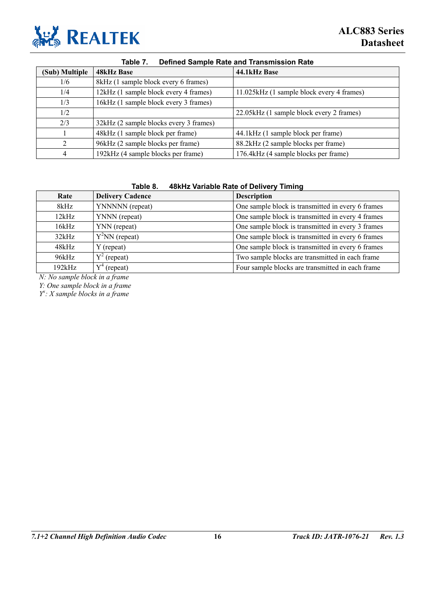

<span id="page-23-0"></span>

| <b>Defined Sample Rate and Transmission Rate</b><br>Table 7. |                                        |                                           |  |  |  |  |
|--------------------------------------------------------------|----------------------------------------|-------------------------------------------|--|--|--|--|
| (Sub) Multiple                                               | 48kHz Base                             | 44.1kHz Base                              |  |  |  |  |
| 1/6                                                          | 8kHz (1 sample block every 6 frames)   |                                           |  |  |  |  |
| 1/4                                                          | 12kHz (1 sample block every 4 frames)  | 11.025kHz (1 sample block every 4 frames) |  |  |  |  |
| 1/3                                                          | 16kHz (1 sample block every 3 frames)  |                                           |  |  |  |  |
| 1/2                                                          |                                        | 22.05kHz (1 sample block every 2 frames)  |  |  |  |  |
| 2/3                                                          | 32kHz (2 sample blocks every 3 frames) |                                           |  |  |  |  |
|                                                              | 48kHz (1 sample block per frame)       | 44.1kHz (1 sample block per frame)        |  |  |  |  |
| $\mathcal{D}_{\mathcal{L}}$                                  | 96kHz (2 sample blocks per frame)      | 88.2kHz (2 sample blocks per frame)       |  |  |  |  |
| 4                                                            | 192kHz (4 sample blocks per frame)     | 176.4kHz (4 sample blocks per frame)      |  |  |  |  |

#### <span id="page-23-1"></span>**Table 8. 48kHz Variable Rate of Delivery Timing**

| Rate   | <b>Delivery Cadence</b> | <b>Description</b>                                |  |  |  |
|--------|-------------------------|---------------------------------------------------|--|--|--|
|        |                         |                                                   |  |  |  |
| 8kHz   | YNNNNN (repeat)         | One sample block is transmitted in every 6 frames |  |  |  |
| 12kHz  | YNNN (repeat)           | One sample block is transmitted in every 4 frames |  |  |  |
| 16kHz  | YNN (repeat)            | One sample block is transmitted in every 3 frames |  |  |  |
| 32kHz  | $Y^2NN$ (repeat)        | One sample block is transmitted in every 6 frames |  |  |  |
| 48kHz  | Y (repeat)              | One sample block is transmitted in every 6 frames |  |  |  |
| 96kHz  | $Y^2$ (repeat)          | Two sample blocks are transmitted in each frame   |  |  |  |
| 192kHz | (repeat)                | Four sample blocks are transmitted in each frame  |  |  |  |

*N: No sample block in a frame* 

*Y: One sample block in a frame* 

*Yx : X sample blocks in a frame*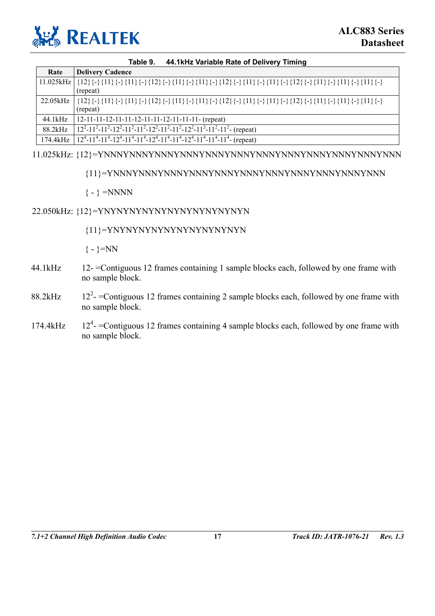

#### <span id="page-24-0"></span>**Table 9. 44.1kHz Variable Rate of Delivery Timing**

| Rate     | <b>Delivery Cadence</b>                                                                                                                                                                                                                                                                                                                                                                                                                                                                                                        |
|----------|--------------------------------------------------------------------------------------------------------------------------------------------------------------------------------------------------------------------------------------------------------------------------------------------------------------------------------------------------------------------------------------------------------------------------------------------------------------------------------------------------------------------------------|
|          | $11.025kHz \mid \{12\}\{\text{-}\{\{11\}\{\text{-}\{\{12\}\{\text{-}\{\{11\}\{\text{-}\{\{11\}\{\text{-}\{\{11\}\{\text{-}\{\{11\}\{\text{-}\{\{11\}\{\text{-}\{\{11\}\{\text{-}\{\{11\}\{\text{-}\{\{11\}\{\text{-}\{\{11\}\{\text{-}\{\{11\}\{\text{-}\{\{11\}\{\text{-}\}\{11\}\{\text{-}\{\{11\}\{\text{-}\{\{11\}\{\text{-}\}\{11\}\{\text{-}\}\{11\}\{\text{-}\}\}\}}^2\}\}}\}}$                                                                                                                                         |
|          | (repeat)                                                                                                                                                                                                                                                                                                                                                                                                                                                                                                                       |
| 22.05kHz | $\{12\} \{\rightarrow \{11\} \{\rightarrow \{11\} \{\rightarrow \{12\} \{\rightarrow \{11\} \{\rightarrow \{12\} \{\rightarrow \{11\} \{\rightarrow \{11\} \{\rightarrow \{11\} \{\rightarrow \{12\} \{\rightarrow \{11\} \{\rightarrow \{11\} \{\rightarrow \{11\} \{\rightarrow \{11\} \{\rightarrow \{11\} \{\rightarrow \{11\} \{\rightarrow \{11\} \{\rightarrow \{11\} \{\rightarrow \{11\} \{\rightarrow \{11\} \{\rightarrow \{11\} \{\rightarrow \{11\} \{\rightarrow \{11\} \{\rightarrow \{11\} \{\rightarrow \{11$ |
|          | (repeat)                                                                                                                                                                                                                                                                                                                                                                                                                                                                                                                       |
| 44.1kHz  | $12-11-11-12-11-11-12-11-11-11-11-11-$ (repeat)                                                                                                                                                                                                                                                                                                                                                                                                                                                                                |
| 88.2kHz  |                                                                                                                                                                                                                                                                                                                                                                                                                                                                                                                                |
| 174.4kHz | $124$ -11 <sup>4</sup> -11 <sup>4</sup> -12 <sup>4</sup> -11 <sup>4</sup> -11 <sup>4</sup> -12 <sup>4</sup> -11 <sup>4</sup> -11 <sup>4</sup> -12 <sup>4</sup> -11 <sup>4</sup> -11 <sup>4</sup> -11 <sup>4</sup> -11 <sup>4</sup> (repeat)                                                                                                                                                                                                                                                                                    |

11.025kHz: {12}=YNNNYNNNYNNNYNNNYNNNYNNNYNNNYNNNYNNNYNNNYNNNYNNN

#### {11}=YNNNYNNNYNNNYNNNYNNNYNNNYNNNYNNNYNNNYNNNYNNN

 $\{-\}$  =NNNN

#### 22.050kHz: {12}=YNYNYNYNYNYNYNYNYNYNYNYN

{11}=YNYNYNYNYNYNYNYNYNYNYN

 $\{-\}$ =NN

- 44.1kHz 12- =Contiguous 12 frames containing 1 sample blocks each, followed by one frame with no sample block.
- 88.2kHz  $12^2$ - =Contiguous 12 frames containing 2 sample blocks each, followed by one frame with no sample block.
- $174.4kHz$  $12<sup>4</sup>$  =Contiguous 12 frames containing 4 sample blocks each, followed by one frame with no sample block.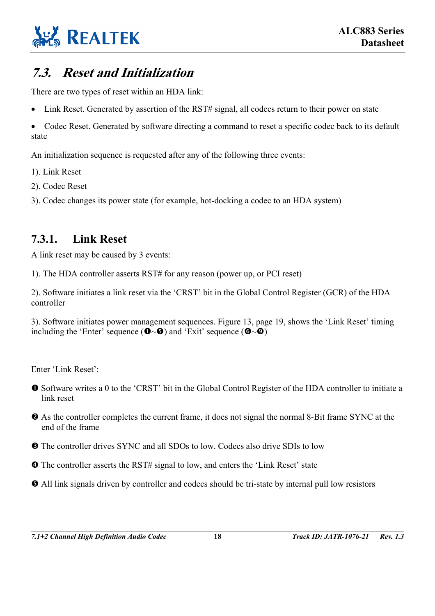

## <span id="page-25-0"></span>**7.3. Reset and Initialization**

There are two types of reset within an HDA link:

• Link Reset. Generated by assertion of the RST# signal, all codecs return to their power on state

• Codec Reset. Generated by software directing a command to reset a specific codec back to its default state

An initialization sequence is requested after any of the following three events:

1). Link Reset

- 2). Codec Reset
- 3). Codec changes its power state (for example, hot-docking a codec to an HDA system)

### <span id="page-25-1"></span>**7.3.1. Link Reset**

A link reset may be caused by 3 events:

1). The HDA controller asserts RST# for any reason (power up, or PCI reset)

2). Software initiates a link reset via the 'CRST' bit in the Global Control Register (GCR) of the HDA controller

3). Software initiates power management sequences. [Figure 13,](#page-26-1) page [19,](#page-26-1) shows the 'Link Reset' timing including the 'Enter' sequence ( $\bullet \sim \bullet$ ) and 'Exit' sequence ( $\bullet \sim \bullet$ )

Enter 'Link Reset':

- n Software writes a 0 to the 'CRST' bit in the Global Control Register of the HDA controller to initiate a link reset
- o As the controller completes the current frame, it does not signal the normal 8-Bit frame SYNC at the end of the frame
- $\bullet$  The controller drives SYNC and all SDOs to low. Codecs also drive SDIs to low
- q The controller asserts the RST# signal to low, and enters the 'Link Reset' state
- $\Theta$  All link signals driven by controller and codecs should be tri-state by internal pull low resistors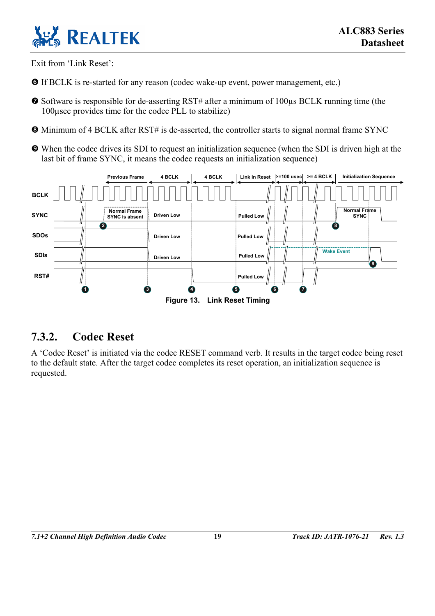

Exit from 'Link Reset':

- **O** If BCLK is re-started for any reason (codec wake-up event, power management, etc.)
- $\bullet$  Software is responsible for de-asserting RST# after a minimum of 100 $\mu$ s BCLK running time (the 100µsec provides time for the codec PLL to stabilize)
- u Minimum of 4 BCLK after RST# is de-asserted, the controller starts to signal normal frame SYNC
- <span id="page-26-1"></span> $\bullet$  When the codec drives its SDI to request an initialization sequence (when the SDI is driven high at the last bit of frame SYNC, it means the codec requests an initialization sequence)



#### <span id="page-26-0"></span>**7.3.2. Codec Reset**

A 'Codec Reset' is initiated via the codec RESET command verb. It results in the target codec being reset to the default state. After the target codec completes its reset operation, an initialization sequence is requested.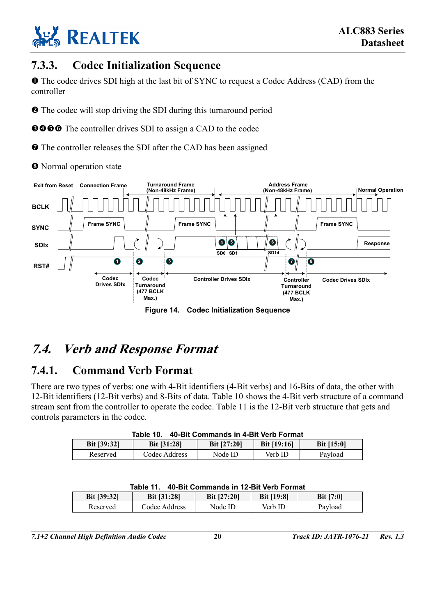

### <span id="page-27-0"></span>**7.3.3. Codec Initialization Sequence**

**O** The codec drives SDI high at the last bit of SYNC to request a Codec Address (CAD) from the controller

 $\bullet$  The codec will stop driving the SDI during this turnaround period

**9000** The controller drives SDI to assign a CAD to the codec

 $\bullet$  The controller releases the SDI after the CAD has been assigned

<sup>O</sup> Normal operation state

<span id="page-27-5"></span>

**Figure 14. Codec Initialization Sequence** 

## <span id="page-27-1"></span>**7.4. Verb and Response Format**

#### <span id="page-27-2"></span>**7.4.1. Command Verb Format**

There are two types of verbs: one with 4-Bit identifiers (4-Bit verbs) and 16-Bits of data, the other with 12-Bit identifiers (12-Bit verbs) and 8-Bits of data. [Table 10](#page-27-3) shows the 4-Bit verb structure of a command stream sent from the controller to operate the codec. [Table 11](#page-27-4) is the 12-Bit verb structure that gets and controls parameters in the codec.

| 40-Bit Commands in 4-Bit Verb Format<br>Table 10. |                                                                                     |         |         |         |  |  |  |
|---------------------------------------------------|-------------------------------------------------------------------------------------|---------|---------|---------|--|--|--|
| <b>Bit [39:32]</b>                                | <b>Bit [19:16]</b><br><b>Bit [27:20]</b><br><b>Bit [31:28]</b><br><b>Bit [15:0]</b> |         |         |         |  |  |  |
| Reserved                                          | Codec Address                                                                       | Node ID | Verb ID | Payload |  |  |  |

| 40-Bit Commands in 12-Bit Verb Format<br>Table 11.                                                      |               |         |         |         |  |  |  |
|---------------------------------------------------------------------------------------------------------|---------------|---------|---------|---------|--|--|--|
| <b>Bit [7:0]</b><br><b>Bit [39:32]</b><br><b>Bit [27:20]</b><br><b>Bit [19:8]</b><br><b>Bit [31:28]</b> |               |         |         |         |  |  |  |
| Reserved                                                                                                | Codec Address | Node ID | Verb ID | Payload |  |  |  |

<span id="page-27-4"></span><span id="page-27-3"></span>

| able 11. 40-Bit Commands in 12-Bit Verb Format_ |
|-------------------------------------------------|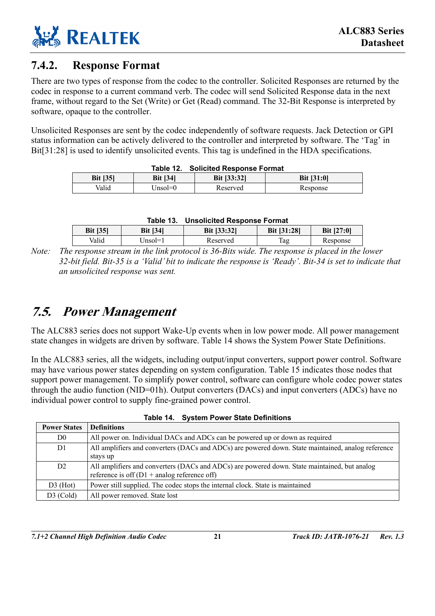

#### <span id="page-28-0"></span>**7.4.2. Response Format**

There are two types of response from the codec to the controller. Solicited Responses are returned by the codec in response to a current command verb. The codec will send Solicited Response data in the next frame, without regard to the Set (Write) or Get (Read) command. The 32-Bit Response is interpreted by software, opaque to the controller.

Unsolicited Responses are sent by the codec independently of software requests. Jack Detection or GPI status information can be actively delivered to the controller and interpreted by software. The 'Tag' in Bit[31:28] is used to identify unsolicited events. This tag is undefined in the HDA specifications.

|                                                                        | Table TZ. | <b>SOLICILED RESPOSE FORMAL</b> |          |  |  |  |
|------------------------------------------------------------------------|-----------|---------------------------------|----------|--|--|--|
| <b>Bit [35]</b><br>Bit [33:32]<br><b>Bit [34]</b><br><b>Bit [31:0]</b> |           |                                 |          |  |  |  |
| Valid                                                                  | Jnsol=0   | Reserved                        | Response |  |  |  |

#### <span id="page-28-3"></span><span id="page-28-2"></span>**Table 12. Solicited Response Format**

|                 |                 | Table 13. Unsolicited Response Format |                    |              |  |  |
|-----------------|-----------------|---------------------------------------|--------------------|--------------|--|--|
| <b>Bit [35]</b> | <b>Bit [34]</b> | <b>Bit [33:32]</b>                    | <b>Bit [31:28]</b> | Bit $[27:0]$ |  |  |

|       | Valid | $Unsol=1$                         | Reserved                                                                                                  | Tag | Response |  |
|-------|-------|-----------------------------------|-----------------------------------------------------------------------------------------------------------|-----|----------|--|
| Note: |       |                                   | The response stream in the link protocol is 36-Bits wide. The response is placed in the lower             |     |          |  |
|       |       |                                   | 32-bit field. Bit-35 is a 'Valid' bit to indicate the response is 'Ready'. Bit-34 is set to indicate that |     |          |  |
|       |       | an unsolicited response was sent. |                                                                                                           |     |          |  |

## <span id="page-28-1"></span>**7.5. Power Management**

The ALC883 series does not support Wake-Up events when in low power mode. All power management state changes in widgets are driven by software. [Table 14](#page-28-4) shows the System Power State Definitions.

In the ALC883 series, all the widgets, including output/input converters, support power control. Software may have various power states depending on system configuration. [Table 15](#page-29-0) indicates those nodes that support power management. To simplify power control, software can configure whole codec power states through the audio function (NID=01h). Output converters (DACs) and input converters (ADCs) have no individual power control to supply fine-grained power control.

| <b>Power States</b> | <b>Definitions</b>                                                                                                                                    |  |
|---------------------|-------------------------------------------------------------------------------------------------------------------------------------------------------|--|
| D0                  | All power on. Individual DACs and ADCs can be powered up or down as required                                                                          |  |
| D1                  | All amplifiers and converters (DACs and ADCs) are powered down. State maintained, analog reference                                                    |  |
|                     | stays up                                                                                                                                              |  |
| D2                  | All amplifiers and converters (DACs and ADCs) are powered down. State maintained, but analog<br>reference is off $(D1 + \text{analog reference off})$ |  |
| $D3$ (Hot)          | Power still supplied. The codec stops the internal clock. State is maintained                                                                         |  |
| $D3$ (Cold)         | All power removed. State lost                                                                                                                         |  |

<span id="page-28-4"></span>

| Table 14. System Power State Definitions |  |  |  |  |  |
|------------------------------------------|--|--|--|--|--|
|------------------------------------------|--|--|--|--|--|

*7.1+2 Channel High Definition Audio Codec* **21** *Track ID: JATR-1076-21 Rev. 1.3*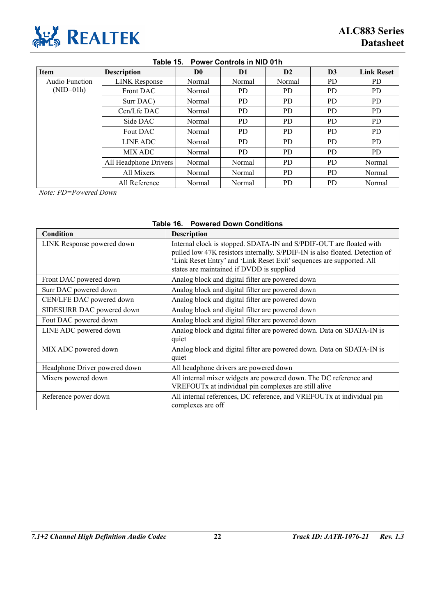

<span id="page-29-0"></span>

| <b>Power Controls in NID 01h</b><br>Table 15. |                       |                |           |        |                |                   |  |
|-----------------------------------------------|-----------------------|----------------|-----------|--------|----------------|-------------------|--|
| <b>Item</b>                                   | <b>Description</b>    | D <sub>0</sub> | D1        | D2     | D <sub>3</sub> | <b>Link Reset</b> |  |
| Audio Function                                | <b>LINK</b> Response  | Normal         | Normal    | Normal | PD.            | PD.               |  |
| $(NID=01h)$                                   | Front DAC             | Normal         | PD.       | PD.    | <b>PD</b>      | PD.               |  |
|                                               | Surr DAC)             | Normal         | PD.       | PD.    | <b>PD</b>      | PD.               |  |
|                                               | $Cen/Lfe$ DAC         | Normal         | PD.       | PD.    | <b>PD</b>      | PD.               |  |
|                                               | Side DAC              | Normal         | PD.       | PD.    | <b>PD</b>      | PD.               |  |
|                                               | Fout DAC              | Normal         | PD.       | PD     | <b>PD</b>      | PD.               |  |
|                                               | LINE ADC              | Normal         | <b>PD</b> | PD.    | <b>PD</b>      | PD.               |  |
|                                               | MIX ADC               | Normal         | PD.       | PD.    | <b>PD</b>      | PD.               |  |
|                                               | All Headphone Drivers | Normal         | Normal    | PD.    | <b>PD</b>      | Normal            |  |
|                                               | All Mixers            | Normal         | Normal    | PD.    | <b>PD</b>      | Normal            |  |
|                                               | All Reference         | Normal         | Normal    | PD.    | P <sub>D</sub> | Normal            |  |

*Note: PD=Powered Down* 

#### <span id="page-29-1"></span>**Table 16. Powered Down Conditions**

| Condition                     | <b>Description</b>                                                                                                                                                                                                                                                        |
|-------------------------------|---------------------------------------------------------------------------------------------------------------------------------------------------------------------------------------------------------------------------------------------------------------------------|
| LINK Response powered down    | Internal clock is stopped. SDATA-IN and S/PDIF-OUT are floated with<br>pulled low 47K resistors internally. S/PDIF-IN is also floated. Detection of<br>'Link Reset Entry' and 'Link Reset Exit' sequences are supported. All<br>states are maintained if DVDD is supplied |
| Front DAC powered down        | Analog block and digital filter are powered down                                                                                                                                                                                                                          |
| Surr DAC powered down         | Analog block and digital filter are powered down                                                                                                                                                                                                                          |
| CEN/LFE DAC powered down      | Analog block and digital filter are powered down                                                                                                                                                                                                                          |
| SIDESURR DAC powered down     | Analog block and digital filter are powered down                                                                                                                                                                                                                          |
| Fout DAC powered down         | Analog block and digital filter are powered down                                                                                                                                                                                                                          |
| LINE ADC powered down         | Analog block and digital filter are powered down. Data on SDATA-IN is<br>quiet                                                                                                                                                                                            |
| MIX ADC powered down          | Analog block and digital filter are powered down. Data on SDATA-IN is<br>quiet                                                                                                                                                                                            |
| Headphone Driver powered down | All headphone drivers are powered down                                                                                                                                                                                                                                    |
| Mixers powered down           | All internal mixer widgets are powered down. The DC reference and<br>VREFOUTx at individual pin complexes are still alive                                                                                                                                                 |
| Reference power down          | All internal references, DC reference, and VREFOUTx at individual pin<br>complexes are off                                                                                                                                                                                |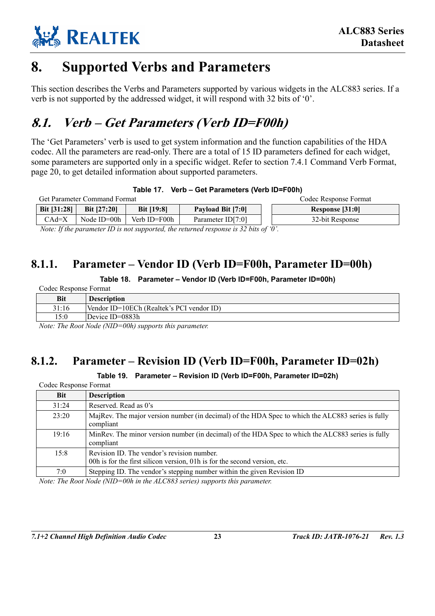

# <span id="page-30-0"></span>**8. Supported Verbs and Parameters**

This section describes the Verbs and Parameters supported by various widgets in the ALC883 series. If a verb is not supported by the addressed widget, it will respond with 32 bits of '0'.

# <span id="page-30-1"></span>**8.1. Verb – Get Parameters (Verb ID=F00h)**

The 'Get Parameters' verb is used to get system information and the function capabilities of the HDA codec. All the parameters are read-only. There are a total of 15 ID parameters defined for each widget, some parameters are supported only in a specific widget. Refer to section [7.4.1 Command Verb Format,](#page-27-2) page [20,](#page-27-2) to get detailed information about supported parameters.

<span id="page-30-4"></span>

| Table 17. Verb – Get Parameters (Verb ID=F00h) |  |
|------------------------------------------------|--|
|                                                |  |

| <b>Get Parameter Command Format</b> |                    |                                                                                                                                                                                                                                                                  |                                                                                                                                                                                                                                                                                                                                                                                      | Codec Response Format |
|-------------------------------------|--------------------|------------------------------------------------------------------------------------------------------------------------------------------------------------------------------------------------------------------------------------------------------------------|--------------------------------------------------------------------------------------------------------------------------------------------------------------------------------------------------------------------------------------------------------------------------------------------------------------------------------------------------------------------------------------|-----------------------|
| Bit [31:28]                         | <b>Bit [27:20]</b> | <b>Bit [19:8]</b>                                                                                                                                                                                                                                                | Payload Bit [7:0]                                                                                                                                                                                                                                                                                                                                                                    | Response [31:0]       |
| $CAd=X$                             | Node $ID=00h$      | Verb ID=F00h                                                                                                                                                                                                                                                     | Parameter ID[7:0]                                                                                                                                                                                                                                                                                                                                                                    | 32-bit Response       |
| $\mathbf{v}$ $\mathbf{v}$           |                    | $\mathbf{m}$ . The state of $\mathbf{m}$ is the state of $\mathbf{m}$ is the state of $\mathbf{m}$ is the state of $\mathbf{m}$ is the state of $\mathbf{m}$ is the state of $\mathbf{m}$ is the state of $\mathbf{m}$ is the state of $\mathbf{m}$ is the state | $\overline{1}$ $\overline{2}$ $\overline{3}$ $\overline{1}$ $\overline{1}$ $\overline{1}$ $\overline{1}$ $\overline{1}$ $\overline{1}$ $\overline{1}$ $\overline{1}$ $\overline{1}$ $\overline{1}$ $\overline{1}$ $\overline{1}$ $\overline{1}$ $\overline{1}$ $\overline{1}$ $\overline{1}$ $\overline{1}$ $\overline{1}$ $\overline{1}$ $\overline{1}$ $\overline{1}$ $\overline{$ |                       |

 *Note: If the parameter ID is not supported, the returned response is 32 bits of '0'.* 

### **8.1.1. Parameter – Vendor ID (Verb ID=F00h, Parameter ID=00h)**

#### <span id="page-30-5"></span><span id="page-30-2"></span>**Table 18. Parameter – Vendor ID (Verb ID=F00h, Parameter ID=00h)**

| Codec Response Format |                                           |  |
|-----------------------|-------------------------------------------|--|
| <b>Bit</b>            | <b>Description</b>                        |  |
| 31:16                 | Vendor ID=10ECh (Realtek's PCI vendor ID) |  |
| 15:0                  | Device ID=0883h                           |  |

*Note: The Root Node (NID=00h) supports this parameter.* 

### **8.1.2. Parameter – Revision ID (Verb ID=F00h, Parameter ID=02h)**

<span id="page-30-6"></span><span id="page-30-3"></span>**Table 19. Parameter – Revision ID (Verb ID=F00h, Parameter ID=02h)** 

| Codec Response Format |                                                                                                                                                                                                                                                                                                                                    |  |
|-----------------------|------------------------------------------------------------------------------------------------------------------------------------------------------------------------------------------------------------------------------------------------------------------------------------------------------------------------------------|--|
| <b>Bit</b>            | <b>Description</b>                                                                                                                                                                                                                                                                                                                 |  |
| 31:24                 | Reserved. Read as 0's                                                                                                                                                                                                                                                                                                              |  |
| 23:20                 | MajRev. The major version number (in decimal) of the HDA Spec to which the ALC883 series is fully<br>compliant                                                                                                                                                                                                                     |  |
| 19:16                 | MinRev. The minor version number (in decimal) of the HDA Spec to which the ALC883 series is fully<br>compliant                                                                                                                                                                                                                     |  |
| 15:8                  | Revision ID. The vendor's revision number.<br>00h is for the first silicon version, 01h is for the second version, etc.                                                                                                                                                                                                            |  |
| 7:0                   | Stepping ID. The vendor's stepping number within the given Revision ID                                                                                                                                                                                                                                                             |  |
| ת והכיר זו            | $\mathbf{1}$ $\mathbf{1}$ $\mathbf{1}$ $\mathbf{1}$ $\mathbf{1}$ $\mathbf{1}$ $\mathbf{1}$ $\mathbf{1}$ $\mathbf{1}$ $\mathbf{1}$ $\mathbf{1}$ $\mathbf{1}$ $\mathbf{1}$ $\mathbf{1}$ $\mathbf{1}$ $\mathbf{1}$ $\mathbf{1}$ $\mathbf{1}$ $\mathbf{1}$ $\mathbf{1}$ $\mathbf{1}$ $\mathbf{1}$ $\mathbf{1}$ $\mathbf{1}$ $\mathbf{$ |  |

*Note: The Root Node (NID=00h in the ALC883 series) supports this parameter.*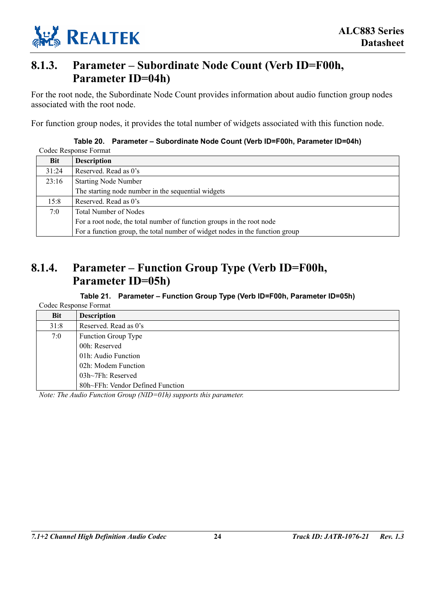

#### <span id="page-31-0"></span>**8.1.3. Parameter – Subordinate Node Count (Verb ID=F00h, Parameter ID=04h)**

For the root node, the Subordinate Node Count provides information about audio function group nodes associated with the root node.

For function group nodes, it provides the total number of widgets associated with this function node.

|       | CUUTE NESPUIST FUITHAI                                                       |
|-------|------------------------------------------------------------------------------|
| Bit   | <b>Description</b>                                                           |
| 31:24 | Reserved. Read as 0's                                                        |
| 23:16 | <b>Starting Node Number</b>                                                  |
|       | The starting node number in the sequential widgets                           |
| 15:8  | Reserved. Read as 0's                                                        |
| 7:0   | <b>Total Number of Nodes</b>                                                 |
|       | For a root node, the total number of function groups in the root node        |
|       | For a function group, the total number of widget nodes in the function group |

#### <span id="page-31-2"></span>**Table 20. Parameter – Subordinate Node Count (Verb ID=F00h, Parameter ID=04h)**  Codec Response Format

### **8.1.4. Parameter – Function Group Type (Verb ID=F00h, Parameter ID=05h)**

<span id="page-31-3"></span><span id="page-31-1"></span>**Table 21. Parameter – Function Group Type (Verb ID=F00h, Parameter ID=05h)** 

| Codec Response Format |                                  |  |
|-----------------------|----------------------------------|--|
| <b>Bit</b>            | <b>Description</b>               |  |
| 31:8                  | Reserved. Read as 0's            |  |
| 7:0                   | <b>Function Group Type</b>       |  |
|                       | 00h: Reserved                    |  |
|                       | 01h: Audio Function              |  |
|                       | 02h: Modem Function              |  |
|                       | $03h\sim$ 7Fh: Reserved          |  |
|                       | 80h~FFh: Vendor Defined Function |  |

*Note: The Audio Function Group (NID=01h) supports this parameter.*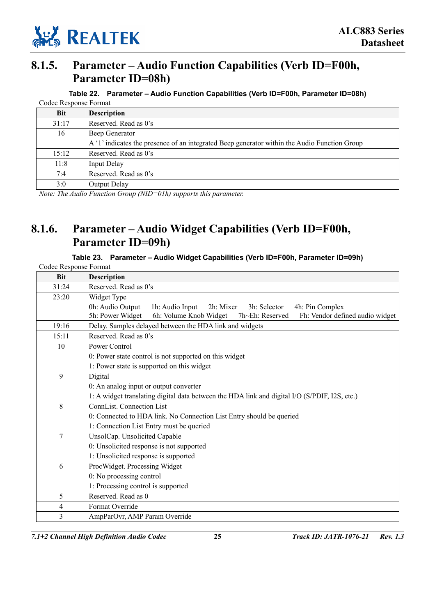

### **8.1.5. Parameter – Audio Function Capabilities (Verb ID=F00h, Parameter ID=08h)**

<span id="page-32-2"></span><span id="page-32-0"></span>**Table 22. Parameter – Audio Function Capabilities (Verb ID=F00h, Parameter ID=08h)** 

| Codec Response Format |                                                                                              |  |
|-----------------------|----------------------------------------------------------------------------------------------|--|
| Bit                   | <b>Description</b>                                                                           |  |
| 31:17                 | Reserved. Read as 0's                                                                        |  |
| 16                    | Beep Generator                                                                               |  |
|                       | A '1' indicates the presence of an integrated Beep generator within the Audio Function Group |  |
| 15:12                 | Reserved. Read as 0's                                                                        |  |
| 11:8                  | <b>Input Delay</b>                                                                           |  |
| 7:4                   | Reserved. Read as 0's                                                                        |  |
| 3:0                   | Output Delay                                                                                 |  |

*Note: The Audio Function Group (NID=01h) supports this parameter.* 

### **8.1.6. Parameter – Audio Widget Capabilities (Verb ID=F00h, Parameter ID=09h)**

#### <span id="page-32-3"></span><span id="page-32-1"></span>**Table 23. Parameter – Audio Widget Capabilities (Verb ID=F00h, Parameter ID=09h)**

| Codec Response Format |                                                                                                  |  |  |  |  |
|-----------------------|--------------------------------------------------------------------------------------------------|--|--|--|--|
| <b>Bit</b>            | <b>Description</b>                                                                               |  |  |  |  |
| 31:24                 | Reserved. Read as 0's                                                                            |  |  |  |  |
| 23:20                 | Widget Type                                                                                      |  |  |  |  |
|                       | 0h: Audio Output<br>1h: Audio Input<br>2h: Mixer<br>3h: Selector<br>4h: Pin Complex              |  |  |  |  |
|                       | 5h: Power Widget<br>6h: Volume Knob Widget<br>Fh: Vendor defined audio widget<br>7h~Eh: Reserved |  |  |  |  |
| 19:16                 | Delay. Samples delayed between the HDA link and widgets                                          |  |  |  |  |
| 15:11                 | Reserved. Read as 0's                                                                            |  |  |  |  |
| 10                    | Power Control                                                                                    |  |  |  |  |
|                       | 0: Power state control is not supported on this widget                                           |  |  |  |  |
|                       | 1: Power state is supported on this widget                                                       |  |  |  |  |
| 9                     | Digital                                                                                          |  |  |  |  |
|                       | 0: An analog input or output converter                                                           |  |  |  |  |
|                       | 1: A widget translating digital data between the HDA link and digital I/O (S/PDIF, I2S, etc.)    |  |  |  |  |
| 8                     | <b>ConnList.</b> Connection List                                                                 |  |  |  |  |
|                       | 0: Connected to HDA link. No Connection List Entry should be queried                             |  |  |  |  |
|                       | 1: Connection List Entry must be queried                                                         |  |  |  |  |
| 7                     | UnsolCap. Unsolicited Capable                                                                    |  |  |  |  |
|                       | 0: Unsolicited response is not supported                                                         |  |  |  |  |
|                       | 1: Unsolicited response is supported                                                             |  |  |  |  |
| 6                     | ProcWidget. Processing Widget                                                                    |  |  |  |  |
|                       | 0: No processing control                                                                         |  |  |  |  |
|                       | 1: Processing control is supported                                                               |  |  |  |  |
| 5                     | Reserved. Read as 0                                                                              |  |  |  |  |
| 4                     | Format Override                                                                                  |  |  |  |  |
| 3                     | AmpParOvr, AMP Param Override                                                                    |  |  |  |  |

*7.1+2 Channel High Definition Audio Codec* **25** *Track ID: JATR-1076-21 Rev. 1.3*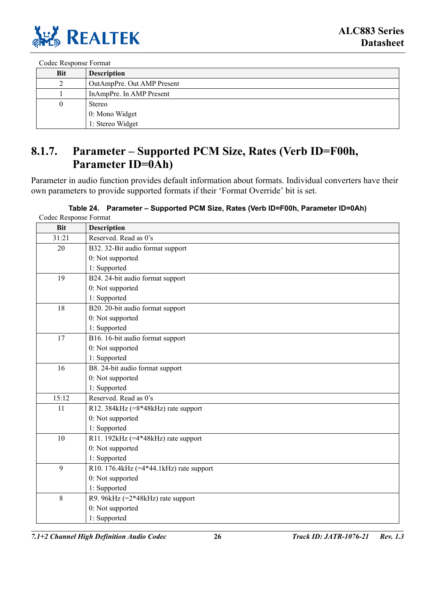

Codec Response Format

| Bit      | <b>Description</b>         |
|----------|----------------------------|
|          | OutAmpPre. Out AMP Present |
|          | InAmpPre. In AMP Present   |
| $\theta$ | <b>Stereo</b>              |
|          | 0: Mono Widget             |
|          | 1: Stereo Widget           |

### <span id="page-33-0"></span>**8.1.7. Parameter – Supported PCM Size, Rates (Verb ID=F00h, Parameter ID=0Ah)**

Parameter in audio function provides default information about formats. Individual converters have their own parameters to provide supported formats if their 'Format Override' bit is set.

<span id="page-33-1"></span>

| Codec Response Format |                                           |
|-----------------------|-------------------------------------------|
| <b>Bit</b>            | <b>Description</b>                        |
| 31:21                 | Reserved. Read as 0's                     |
| 20                    | B32. 32-Bit audio format support          |
|                       | 0: Not supported                          |
|                       | 1: Supported                              |
| 19                    | B24. 24-bit audio format support          |
|                       | 0: Not supported                          |
|                       | 1: Supported                              |
| 18                    | B20. 20-bit audio format support          |
|                       | 0: Not supported                          |
|                       | 1: Supported                              |
| 17                    | B16. 16-bit audio format support          |
|                       | 0: Not supported                          |
|                       | 1: Supported                              |
| 16                    | B8. 24-bit audio format support           |
|                       | 0: Not supported                          |
|                       | 1: Supported                              |
| 15:12                 | Reserved. Read as 0's                     |
| 11                    | R12. 384kHz $(=8*48kHz)$ rate support     |
|                       | 0: Not supported                          |
|                       | 1: Supported                              |
| 10                    | R11. 192kHz (=4*48kHz) rate support       |
|                       | 0: Not supported                          |
|                       | 1: Supported                              |
| $\mathbf{Q}$          | R10. 176.4kHz $(=4*44.1kHz)$ rate support |
|                       | 0: Not supported                          |
|                       | 1: Supported                              |
| 8                     | R9. 96kHz (=2*48kHz) rate support         |
|                       | 0: Not supported                          |
|                       | 1: Supported                              |

*7.1+2 Channel High Definition Audio Codec* **26** *Track ID: JATR-1076-21 Rev. 1.3*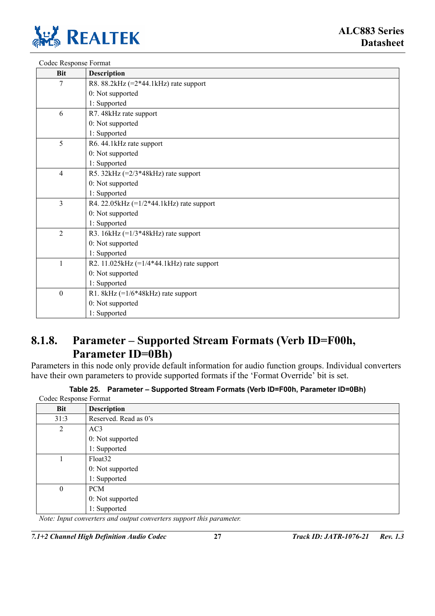

| Codec Response Format |                                             |
|-----------------------|---------------------------------------------|
| <b>Bit</b>            | <b>Description</b>                          |
| 7                     | R8. 88.2kHz $(=2*44.1kHz)$ rate support     |
|                       | 0: Not supported                            |
|                       | 1: Supported                                |
| 6                     | R7. 48kHz rate support                      |
|                       | 0: Not supported                            |
|                       | 1: Supported                                |
| 5                     | R6. 44.1 kHz rate support                   |
|                       | 0: Not supported                            |
|                       | 1: Supported                                |
| $\overline{4}$        | R5. 32kHz $(=2/3*48kHz)$ rate support       |
|                       | 0: Not supported                            |
|                       | 1: Supported                                |
| $\overline{3}$        | R4. 22.05kHz $(=1/2*44.1kHz)$ rate support  |
|                       | 0: Not supported                            |
|                       | 1: Supported                                |
| $\overline{2}$        | R3. $16kHz$ (= $1/3*48kHz$ ) rate support   |
|                       | 0: Not supported                            |
|                       | 1: Supported                                |
| 1                     | R2. 11.025kHz $(=1/4*44.1kHz)$ rate support |
|                       | 0: Not supported                            |
|                       | 1: Supported                                |
| $\mathbf{0}$          | R1. 8kHz $(=1/6*48kHz)$ rate support        |
|                       | 0: Not supported                            |
|                       | 1: Supported                                |

#### <span id="page-34-0"></span>**8.1.8. Parameter – Supported Stream Formats (Verb ID=F00h, Parameter ID=0Bh)**

Parameters in this node only provide default information for audio function groups. Individual converters have their own parameters to provide supported formats if the 'Format Override' bit is set.

<span id="page-34-1"></span>

|  | Table 25. Parameter - Supported Stream Formats (Verb ID=F00h, Parameter ID=0Bh) |  |
|--|---------------------------------------------------------------------------------|--|
|--|---------------------------------------------------------------------------------|--|

| Codec Response Format |                                                                     |
|-----------------------|---------------------------------------------------------------------|
| <b>Bit</b>            | <b>Description</b>                                                  |
| 31:3                  | Reserved. Read as 0's                                               |
| 2                     | AC3                                                                 |
|                       | 0: Not supported                                                    |
|                       | 1: Supported                                                        |
|                       | Float <sub>32</sub>                                                 |
|                       | 0: Not supported                                                    |
|                       | 1: Supported                                                        |
| $\theta$              | <b>PCM</b>                                                          |
|                       | 0: Not supported                                                    |
|                       | 1: Supported                                                        |
|                       | Note: Input converters and output converters support this parameter |

*Note: Input converters and output converters support this parameter.* 

*7.1+2 Channel High Definition Audio Codec* **27** *Track ID: JATR-1076-21 Rev. 1.3*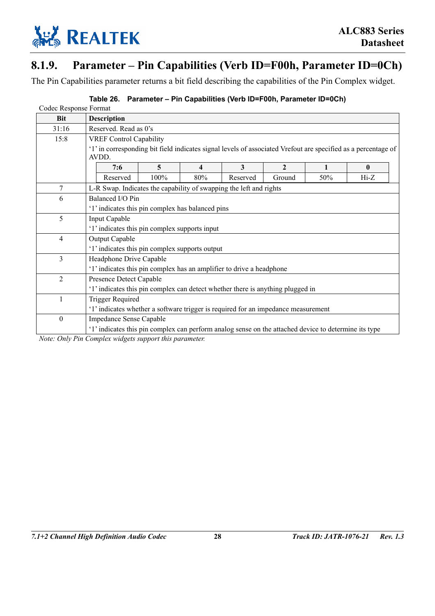

### **8.1.9. Parameter – Pin Capabilities (Verb ID=F00h, Parameter ID=0Ch)**

The Pin Capabilities parameter returns a bit field describing the capabilities of the Pin Complex widget.

#### <span id="page-35-1"></span><span id="page-35-0"></span>**Table 26. Parameter – Pin Capabilities (Verb ID=F00h, Parameter ID=0Ch)**

| Codec Response Format                                                                                                  |      |                         |          |              |     |                                                                                                                                                                     |                                                                                                      |
|------------------------------------------------------------------------------------------------------------------------|------|-------------------------|----------|--------------|-----|---------------------------------------------------------------------------------------------------------------------------------------------------------------------|------------------------------------------------------------------------------------------------------|
| <b>Description</b>                                                                                                     |      |                         |          |              |     |                                                                                                                                                                     |                                                                                                      |
| Reserved. Read as 0's                                                                                                  |      |                         |          |              |     |                                                                                                                                                                     |                                                                                                      |
| <b>VREF Control Capability</b>                                                                                         |      |                         |          |              |     |                                                                                                                                                                     |                                                                                                      |
| '1' in corresponding bit field indicates signal levels of associated Vrefout are specified as a percentage of<br>AVDD. |      |                         |          |              |     |                                                                                                                                                                     |                                                                                                      |
| 7:6                                                                                                                    | 5    | $\overline{\mathbf{4}}$ | 3        | $\mathbf{2}$ | 1   | $\bf{0}$                                                                                                                                                            |                                                                                                      |
| Reserved                                                                                                               | 100% | 80%                     | Reserved | Ground       | 50% | $Hi-Z$                                                                                                                                                              |                                                                                                      |
| L-R Swap. Indicates the capability of swapping the left and rights                                                     |      |                         |          |              |     |                                                                                                                                                                     |                                                                                                      |
| Balanced I/O Pin                                                                                                       |      |                         |          |              |     |                                                                                                                                                                     |                                                                                                      |
| '1' indicates this pin complex has balanced pins                                                                       |      |                         |          |              |     |                                                                                                                                                                     |                                                                                                      |
| Input Capable                                                                                                          |      |                         |          |              |     |                                                                                                                                                                     |                                                                                                      |
| '1' indicates this pin complex supports input                                                                          |      |                         |          |              |     |                                                                                                                                                                     |                                                                                                      |
| Output Capable                                                                                                         |      |                         |          |              |     |                                                                                                                                                                     |                                                                                                      |
| '1' indicates this pin complex supports output                                                                         |      |                         |          |              |     |                                                                                                                                                                     |                                                                                                      |
| Headphone Drive Capable                                                                                                |      |                         |          |              |     |                                                                                                                                                                     |                                                                                                      |
| '1' indicates this pin complex has an amplifier to drive a headphone                                                   |      |                         |          |              |     |                                                                                                                                                                     |                                                                                                      |
| Presence Detect Capable                                                                                                |      |                         |          |              |     |                                                                                                                                                                     |                                                                                                      |
|                                                                                                                        |      |                         |          |              |     |                                                                                                                                                                     |                                                                                                      |
| <b>Trigger Required</b>                                                                                                |      |                         |          |              |     |                                                                                                                                                                     |                                                                                                      |
|                                                                                                                        |      |                         |          |              |     |                                                                                                                                                                     |                                                                                                      |
|                                                                                                                        |      |                         |          |              |     |                                                                                                                                                                     |                                                                                                      |
|                                                                                                                        |      |                         |          |              |     |                                                                                                                                                                     |                                                                                                      |
|                                                                                                                        |      | Impedance Sense Capable |          |              |     | '1' indicates this pin complex can detect whether there is anything plugged in<br>'1' indicates whether a software trigger is required for an impedance measurement | '1' indicates this pin complex can perform analog sense on the attached device to determine its type |

*Note: Only Pin Complex widgets support this parameter.*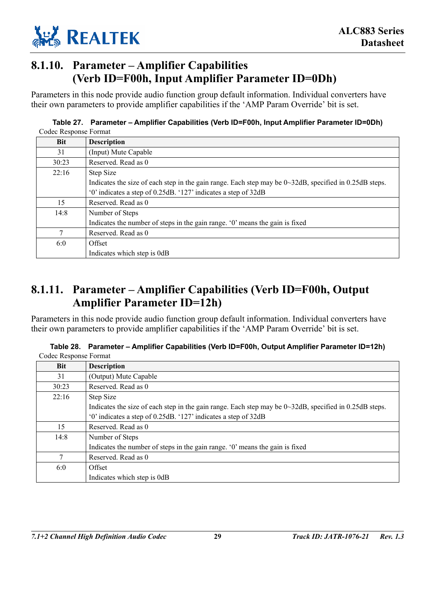

### **8.1.10. Parameter – Amplifier Capabilities (Verb ID=F00h, Input Amplifier Parameter ID=0Dh)**

Parameters in this node provide audio function group default information. Individual converters have their own parameters to provide amplifier capabilities if the 'AMP Param Override' bit is set.

#### **Table 27. Parameter – Amplifier Capabilities (Verb ID=F00h, Input Amplifier Parameter ID=0Dh)**  Codec Response Format

| <b>Bit</b> | <b>Description</b>                                                                                              |
|------------|-----------------------------------------------------------------------------------------------------------------|
| 31         | (Input) Mute Capable                                                                                            |
| 30:23      | Reserved. Read as 0                                                                                             |
| 22:16      | Step Size                                                                                                       |
|            | Indicates the size of each step in the gain range. Each step may be $0 \sim 32 dB$ , specified in 0.25dB steps. |
|            | '0' indicates a step of 0.25dB. '127' indicates a step of 32dB                                                  |
| 15         | Reserved. Read as 0                                                                                             |
| 14:8       | Number of Steps                                                                                                 |
|            | Indicates the number of steps in the gain range. '0' means the gain is fixed                                    |
| 7          | Reserved. Read as 0                                                                                             |
| 6:0        | Offset                                                                                                          |
|            | Indicates which step is 0dB                                                                                     |

### **8.1.11. Parameter – Amplifier Capabilities (Verb ID=F00h, Output Amplifier Parameter ID=12h)**

Parameters in this node provide audio function group default information. Individual converters have their own parameters to provide amplifier capabilities if the 'AMP Param Override' bit is set.

| <b>Bit</b> | <b>Description</b>                                                                                             |
|------------|----------------------------------------------------------------------------------------------------------------|
| 31         | (Output) Mute Capable                                                                                          |
| 30:23      | Reserved. Read as 0                                                                                            |
| 22:16      | Step Size                                                                                                      |
|            | Indicates the size of each step in the gain range. Each step may be $0 \sim 32$ dB, specified in 0.25dB steps. |
|            | '0' indicates a step of 0.25dB. '127' indicates a step of 32dB                                                 |
| 15         | Reserved. Read as 0                                                                                            |
| 14:8       | Number of Steps                                                                                                |
|            | Indicates the number of steps in the gain range. '0' means the gain is fixed                                   |
|            | Reserved. Read as 0                                                                                            |
| 6:0        | Offset                                                                                                         |
|            | Indicates which step is 0dB                                                                                    |

**Table 28. Parameter – Amplifier Capabilities (Verb ID=F00h, Output Amplifier Parameter ID=12h)**  Codec Response Format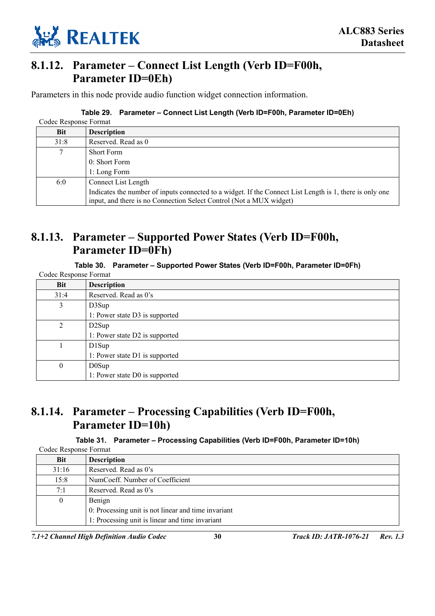

### **8.1.12. Parameter – Connect List Length (Verb ID=F00h, Parameter ID=0Eh)**

Parameters in this node provide audio function widget connection information.

### **Table 29. Parameter – Connect List Length (Verb ID=F00h, Parameter ID=0Eh)**

| Codec Response Format |                                                                                                                                                                                 |
|-----------------------|---------------------------------------------------------------------------------------------------------------------------------------------------------------------------------|
| <b>Bit</b>            | <b>Description</b>                                                                                                                                                              |
| 31:8                  | Reserved. Read as 0                                                                                                                                                             |
| 7                     | <b>Short Form</b>                                                                                                                                                               |
|                       | 0: Short Form                                                                                                                                                                   |
|                       | 1: Long Form                                                                                                                                                                    |
| 6:0                   | Connect List Length                                                                                                                                                             |
|                       | Indicates the number of inputs connected to a widget. If the Connect List Length is 1, there is only one<br>input, and there is no Connection Select Control (Not a MUX widget) |

### **8.1.13. Parameter – Supported Power States (Verb ID=F00h, Parameter ID=0Fh)**

**Table 30. Parameter – Supported Power States (Verb ID=F00h, Parameter ID=0Fh)** 

|  | Codec Response Format |  |
|--|-----------------------|--|
|--|-----------------------|--|

| Bit          | <b>Description</b>             |  |  |
|--------------|--------------------------------|--|--|
| 31:4         | Reserved. Read as 0's          |  |  |
| 3            | D3Sup                          |  |  |
|              | 1: Power state D3 is supported |  |  |
| 2            | D <sub>2</sub> Sup             |  |  |
|              | 1: Power state D2 is supported |  |  |
|              | D1Sup                          |  |  |
|              | 1: Power state D1 is supported |  |  |
| $\mathbf{0}$ | DOSup                          |  |  |
|              | 1: Power state D0 is supported |  |  |

### **8.1.14. Parameter – Processing Capabilities (Verb ID=F00h, Parameter ID=10h)**

### **Table 31. Parameter – Processing Capabilities (Verb ID=F00h, Parameter ID=10h)**

|              | Codec Response Format                               |  |  |
|--------------|-----------------------------------------------------|--|--|
| Bit          | <b>Description</b>                                  |  |  |
| 31:16        | Reserved. Read as 0's                               |  |  |
| 15:8         | NumCoeff. Number of Coefficient                     |  |  |
| 7:1          | Reserved. Read as 0's                               |  |  |
| $\mathbf{0}$ | Benign                                              |  |  |
|              | 0: Processing unit is not linear and time invariant |  |  |
|              | 1: Processing unit is linear and time invariant     |  |  |

*7.1+2 Channel High Definition Audio Codec* **30** *Track ID: JATR-1076-21 Rev. 1.3*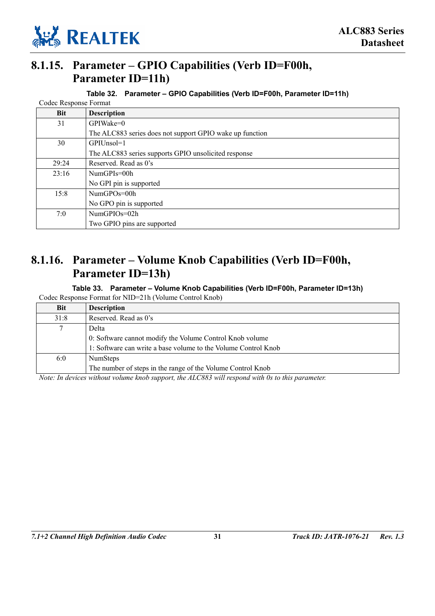

### **8.1.15. Parameter – GPIO Capabilities (Verb ID=F00h, Parameter ID=11h)**

| Table 32. Parameter – GPIO Capabilities (Verb ID=F00h, Parameter ID=11h) |  |  |
|--------------------------------------------------------------------------|--|--|
|                                                                          |  |  |

|                                                      | Codec Response Format                                    |  |  |  |
|------------------------------------------------------|----------------------------------------------------------|--|--|--|
| <b>Bit</b>                                           | <b>Description</b>                                       |  |  |  |
| 31                                                   | GPIWake=0                                                |  |  |  |
|                                                      | The ALC883 series does not support GPIO wake up function |  |  |  |
| 30                                                   | GPIUnsol=1                                               |  |  |  |
| The ALC883 series supports GPIO unsolicited response |                                                          |  |  |  |
| 29:24                                                | Reserved. Read as 0's                                    |  |  |  |
| 23:16                                                | $NumGPIs = 00h$                                          |  |  |  |
|                                                      | No GPI pin is supported                                  |  |  |  |
| 15:8                                                 | NumGPOs=00h                                              |  |  |  |
|                                                      | No GPO pin is supported                                  |  |  |  |
| 7:0                                                  | NumGPIOs=02h                                             |  |  |  |
|                                                      | Two GPIO pins are supported                              |  |  |  |

### **8.1.16. Parameter – Volume Knob Capabilities (Verb ID=F00h, Parameter ID=13h)**

**Table 33. Parameter – Volume Knob Capabilities (Verb ID=F00h, Parameter ID=13h)**  Codec Response Format for NID=21h (Volume Control Knob)

| <b>Bit</b> | <b>Description</b>                                             |  |  |  |
|------------|----------------------------------------------------------------|--|--|--|
| 31:8       | Reserved. Read as 0's                                          |  |  |  |
| 7          | Delta                                                          |  |  |  |
|            | 0: Software cannot modify the Volume Control Knob volume       |  |  |  |
|            | 1: Software can write a base volume to the Volume Control Knob |  |  |  |
| 6:0        | <b>NumSteps</b>                                                |  |  |  |
|            | The number of steps in the range of the Volume Control Knob    |  |  |  |

*Note: In devices without volume knob support, the ALC883 will respond with 0s to this parameter.*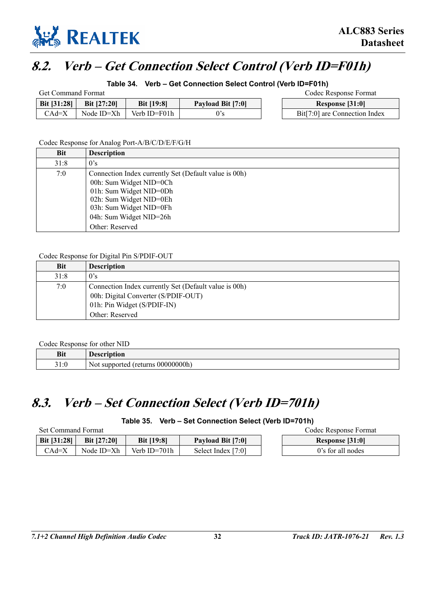

# **8.2. Verb – Get Connection Select Control (Verb ID=F01h)**

**Table 34. Verb – Get Connection Select Control (Verb ID=F01h)** 

| <b>Get Command Format</b> |                    |                   |                   |  | Codec Response Format         |
|---------------------------|--------------------|-------------------|-------------------|--|-------------------------------|
| <b>Bit [31:28]</b>        | <b>Bit [27:20]</b> | <b>Bit [19:8]</b> | Payload Bit [7:0] |  | Response [31:0]               |
| $CAd=X$                   | Node ID=Xh         | Verb ID=F01h      |                   |  | Bit[7:0] are Connection Index |

Codec Response for Analog Port-A/B/C/D/E/F/G/H

| <b>Bit</b> | <b>Description</b>                                    |  |  |  |
|------------|-------------------------------------------------------|--|--|--|
| 31:8       | 0's                                                   |  |  |  |
| 7:0        | Connection Index currently Set (Default value is 00h) |  |  |  |
|            | 00h: Sum Widget NID=0Ch                               |  |  |  |
|            | 01h: Sum Widget NID=0Dh                               |  |  |  |
|            | 02h: Sum Widget NID=0Eh                               |  |  |  |
|            | 03h: Sum Widget NID=0Fh                               |  |  |  |
|            | 04h: Sum Widget NID=26h                               |  |  |  |
|            | Other: Reserved                                       |  |  |  |

Codec Response for Digital Pin S/PDIF-OUT

| <b>Bit</b> | <b>Description</b>                                                                                                                             |
|------------|------------------------------------------------------------------------------------------------------------------------------------------------|
| 31:8       | 0's                                                                                                                                            |
| 7:0        | Connection Index currently Set (Default value is 00h)<br>00h: Digital Converter (S/PDIF-OUT)<br>01h: Pin Widget (S/PDIF-IN)<br>Other: Reserved |

Codec Response for other NID

| <b>Bit</b> | <b>'escription</b>                 |
|------------|------------------------------------|
| 31:0       | Not supported (returns 000000000h) |

# **8.3. Verb – Set Connection Select (Verb ID=701h)**

**Table 35. Verb – Set Connection Select (Verb ID=701h)** 

| Set Command Format |                    |                   | Codec Response Format |                   |
|--------------------|--------------------|-------------------|-----------------------|-------------------|
| Bit $[31:28]$      | <b>Bit [27:20]</b> | <b>Bit [19:8]</b> | Payload Bit [7:0]     | Response [31:0]   |
| $CAd=X$            | Node ID=Xh         | Verb ID=701h      | Select Index [7:0]    | 0's for all nodes |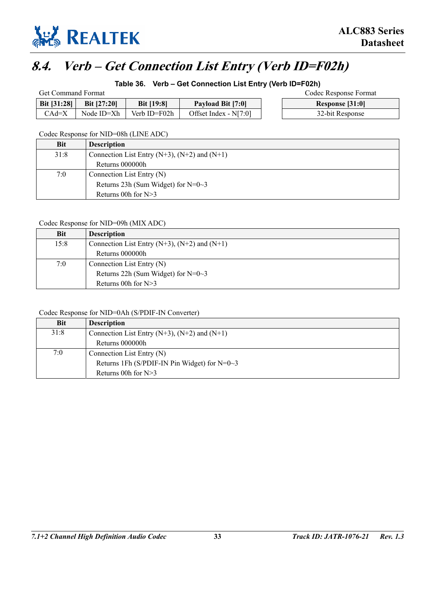

# **8.4. Verb – Get Connection List Entry (Verb ID=F02h)**

### **Table 36. Verb – Get Connection List Entry (Verb ID=F02h)**

| <b>Get Command Format</b> |                    |                   | Codec Response Format   |                 |
|---------------------------|--------------------|-------------------|-------------------------|-----------------|
| Bit $[31:28]$             | <b>Bit [27:20]</b> | <b>Bit [19:8]</b> | Payload Bit [7:0]       | Response [31:0] |
| CAd=X                     | Node ID=Xh         | Verb ID=F02h      | Offset Index - $N[7:0]$ | 32-bit Response |

Codec Response for NID=08h (LINE ADC)

| Bit  | <b>Description</b>                                  |
|------|-----------------------------------------------------|
| 31:8 | Connection List Entry $(N+3)$ , $(N+2)$ and $(N+1)$ |
|      | Returns 000000h                                     |
| 7:0  | Connection List Entry $(N)$                         |
|      | Returns 23h (Sum Widget) for $N=0-3$                |
|      | Returns 00h for $N>3$                               |

### Codec Response for NID=09h (MIX ADC)

| <b>Bit</b> | <b>Description</b>                                  |
|------------|-----------------------------------------------------|
| 15:8       | Connection List Entry $(N+3)$ , $(N+2)$ and $(N+1)$ |
|            | Returns 000000h                                     |
| 7:0        | Connection List Entry (N)                           |
|            | Returns 22h (Sum Widget) for $N=0-3$                |
|            | Returns 00h for $N>3$                               |

### Codec Response for NID=0Ah (S/PDIF-IN Converter)

| <b>Bit</b> | <b>Description</b>                                  |
|------------|-----------------------------------------------------|
| 31:8       | Connection List Entry $(N+3)$ , $(N+2)$ and $(N+1)$ |
|            | Returns 000000h                                     |
| 7:0        | Connection List Entry (N)                           |
|            | Returns 1Fh (S/PDIF-IN Pin Widget) for $N=0-3$      |
|            | Returns 00h for $N>3$                               |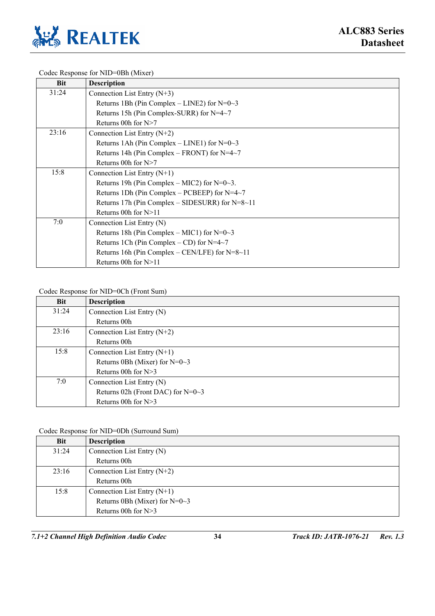

Codec Response for NID=0Bh (Mixer)

| <b>Bit</b> | <b>Description</b>                              |
|------------|-------------------------------------------------|
| 31:24      | Connection List Entry $(N+3)$                   |
|            | Returns 1Bh (Pin Complex – LINE2) for $N=0$ ~3  |
|            | Returns 15h (Pin Complex-SURR) for N=4~7        |
|            | Returns 00h for N>7                             |
| 23:16      | Connection List Entry $(N+2)$                   |
|            | Returns 1Ah (Pin Complex – LINE1) for $N=0-3$   |
|            | Returns 14h (Pin Complex – FRONT) for N=4~7     |
|            | Returns 00h for $N>7$                           |
| 15:8       | Connection List Entry $(N+1)$                   |
|            | Returns 19h (Pin Complex – MIC2) for $N=0-3$ .  |
|            | Returns 1Dh (Pin Complex – PCBEEP) for $N=4~7$  |
|            | Returns 17h (Pin Complex – SIDESURR) for N=8~11 |
|            | Returns 00h for N>11                            |
| 7:0        | Connection List Entry (N)                       |
|            | Returns 18h (Pin Complex – MIC1) for $N=0$ ~3   |
|            | Returns 1Ch (Pin Complex – CD) for $N=4~7$      |
|            | Returns 16h (Pin Complex – CEN/LFE) for N=8~11  |
|            | Returns 00h for N>11                            |

#### Codec Response for NID=0Ch (Front Sum)

| <b>Bit</b> | <b>Description</b>                  |
|------------|-------------------------------------|
| 31:24      | Connection List Entry (N)           |
|            | Returns 00h                         |
| 23:16      | Connection List Entry $(N+2)$       |
|            | Returns 00h                         |
| 15:8       | Connection List Entry $(N+1)$       |
|            | Returns 0Bh (Mixer) for $N=0-3$     |
|            | Returns 00h for $N>3$               |
| 7:0        | Connection List Entry (N)           |
|            | Returns 02h (Front DAC) for $N=0-3$ |
|            | Returns 00h for $N>3$               |

### Codec Response for NID=0Dh (Surround Sum)

| <b>Bit</b> | <b>Description</b>               |
|------------|----------------------------------|
| 31:24      | Connection List Entry (N)        |
|            | Returns 00h                      |
| 23:16      | Connection List Entry $(N+2)$    |
|            | Returns 00h                      |
| 15:8       | Connection List Entry $(N+1)$    |
|            | Returns 0Bh (Mixer) for $N=0$ ~3 |
|            | Returns 00h for $N>3$            |

*7.1+2 Channel High Definition Audio Codec* **34** *Track ID: JATR-1076-21 Rev. 1.3*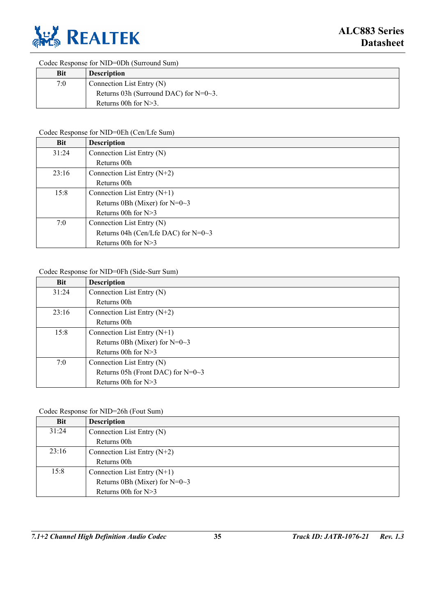

Codec Response for NID=0Dh (Surround Sum)

| <b>Bit</b> | <b>Description</b>                       |
|------------|------------------------------------------|
| 7:0        | Connection List Entry $(N)$              |
|            | Returns 03h (Surround DAC) for $N=0-3$ . |
|            | Returns 00h for $N>3$ .                  |

### Codec Response for NID=0Eh (Cen/Lfe Sum)

| <b>Bit</b> | <b>Description</b>                     |
|------------|----------------------------------------|
| 31:24      | Connection List Entry (N)              |
|            | Returns 00h                            |
| 23:16      | Connection List Entry $(N+2)$          |
|            | Returns 00h                            |
| 15:8       | Connection List Entry $(N+1)$          |
|            | Returns 0Bh (Mixer) for $N=0-3$        |
|            | Returns 00h for $N>3$                  |
| 7:0        | Connection List Entry (N)              |
|            | Returns 04h (Cen/Lfe DAC) for $N=0$ ~3 |
|            | Returns 00h for N>3                    |

### Codec Response for NID=0Fh (Side-Surr Sum)

| <b>Bit</b> | <b>Description</b>                  |
|------------|-------------------------------------|
| 31:24      | Connection List Entry (N)           |
|            | Returns 00h                         |
| 23:16      | Connection List Entry $(N+2)$       |
|            | Returns 00h                         |
| 15:8       | Connection List Entry $(N+1)$       |
|            | Returns 0Bh (Mixer) for $N=0-3$     |
|            | Returns 00h for $N>3$               |
| 7:0        | Connection List Entry (N)           |
|            | Returns 05h (Front DAC) for $N=0-3$ |
|            | Returns 00h for N>3                 |

### Codec Response for NID=26h (Fout Sum)

| <b>Bit</b> | <b>Description</b>              |
|------------|---------------------------------|
| 31:24      | Connection List Entry (N)       |
|            | Returns 00h                     |
| 23:16      | Connection List Entry $(N+2)$   |
|            | Returns 00h                     |
| 15:8       | Connection List Entry $(N+1)$   |
|            | Returns 0Bh (Mixer) for $N=0-3$ |
|            | Returns 00h for $N>3$           |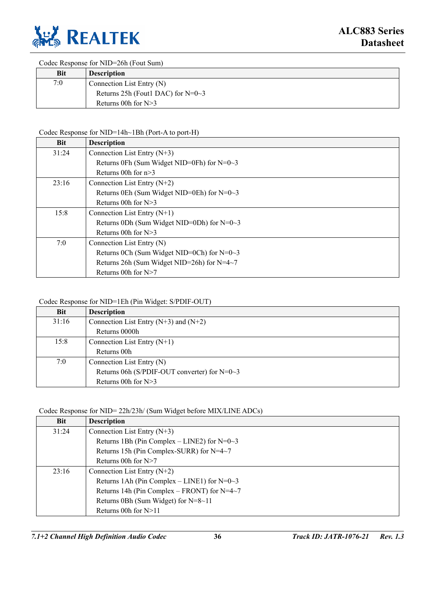

Codec Response for NID=26h (Fout Sum)

| <b>Bit</b> | <b>Description</b>                  |
|------------|-------------------------------------|
| 7:0        | Connection List Entry (N)           |
|            | Returns 25h (Fout1 DAC) for $N=0-3$ |
|            | Returns 00h for $N>3$               |

### Codec Response for NID=14h~1Bh (Port-A to port-H)

| <b>Bit</b> | <b>Description</b>                            |
|------------|-----------------------------------------------|
| 31:24      | Connection List Entry $(N+3)$                 |
|            | Returns 0Fh (Sum Widget NID=0Fh) for $N=0$ ~3 |
|            | Returns 00h for $n>3$                         |
| 23:16      | Connection List Entry $(N+2)$                 |
|            | Returns 0Eh (Sum Widget NID=0Eh) for $N=0$ ~3 |
|            | Returns 00h for $N>3$                         |
| 15:8       | Connection List Entry $(N+1)$                 |
|            | Returns 0Dh (Sum Widget NID=0Dh) for $N=0$ ~3 |
|            | Returns 00h for $N>3$                         |
| 7:0        | Connection List Entry (N)                     |
|            | Returns 0Ch (Sum Widget NID=0Ch) for $N=0.3$  |
|            | Returns 26h (Sum Widget NID=26h) for N=4~7    |
|            | Returns 00h for $N>7$                         |

### Codec Response for NID=1Eh (Pin Widget: S/PDIF-OUT)

| <b>Bit</b> | <b>Description</b>                              |  |  |  |
|------------|-------------------------------------------------|--|--|--|
| 31:16      | Connection List Entry $(N+3)$ and $(N+2)$       |  |  |  |
|            | Returns 0000h                                   |  |  |  |
| 15:8       | Connection List Entry $(N+1)$                   |  |  |  |
|            | Returns 00h                                     |  |  |  |
| 7:0        | Connection List Entry (N)                       |  |  |  |
|            | Returns 06h (S/PDIF-OUT converter) for $N=0$ ~3 |  |  |  |
|            | Returns 00h for $N>3$                           |  |  |  |

### Codec Response for NID= 22h/23h/ (Sum Widget before MIX/LINE ADCs)

| <b>Bit</b> | <b>Description</b>                             |
|------------|------------------------------------------------|
| 31:24      | Connection List Entry $(N+3)$                  |
|            | Returns 1Bh (Pin Complex – LINE2) for $N=0$ ~3 |
|            | Returns 15h (Pin Complex-SURR) for N=4~7       |
|            | Returns 00h for $N>7$                          |
| 23:16      | Connection List Entry $(N+2)$                  |
|            | Returns 1Ah (Pin Complex – LINE1) for $N=0$ ~3 |
|            | Returns 14h (Pin Complex – FRONT) for $N=4~7$  |
|            | Returns 0Bh (Sum Widget) for $N=8~11$          |
|            | Returns 00h for $N>11$                         |

*7.1+2 Channel High Definition Audio Codec* **36** *Track ID: JATR-1076-21 Rev. 1.3*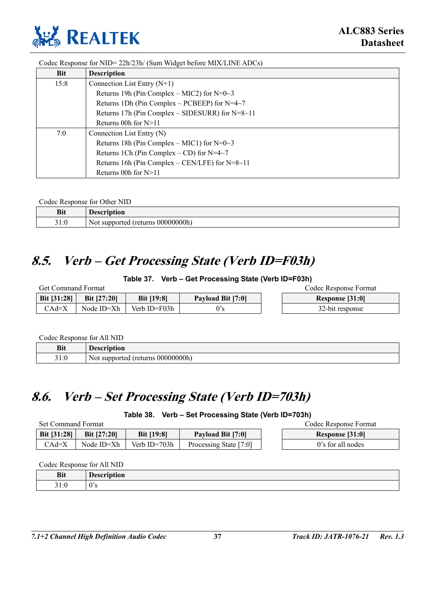

Codec Response for NID= 22h/23h/ (Sum Widget before MIX/LINE ADCs)

| <b>Bit</b> | <b>Description</b>                                       |  |  |  |
|------------|----------------------------------------------------------|--|--|--|
| 15:8       | Connection List Entry $(N+1)$                            |  |  |  |
|            | Returns 19h (Pin Complex – MIC2) for $N=0$ ~3            |  |  |  |
|            | Returns 1Dh (Pin Complex – PCBEEP) for $N=4~7$           |  |  |  |
|            | Returns 17h (Pin Complex $-$ SIDESURR) for N=8 $\sim$ 11 |  |  |  |
|            | Returns 00h for $N>11$                                   |  |  |  |
| 7:0        | Connection List Entry (N)                                |  |  |  |
|            | Returns 18h (Pin Complex – MIC1) for $N=0$ ~3            |  |  |  |
|            | Returns 1Ch (Pin Complex – CD) for $N=4~7$               |  |  |  |
|            | Returns 16h (Pin Complex – CEN/LFE) for $N=8~11$         |  |  |  |
|            | Returns 00h for $N>11$                                   |  |  |  |

Codec Response for Other NID

| <b>Bit</b>                                    | Hacorintian<br>-101.<br>w.                 |
|-----------------------------------------------|--------------------------------------------|
| $\sim$ $\sim$<br>$\sim$<br>$\cdots$<br>J I .U | $00000000$ h<br>teturns '<br>Not supported |

# **8.5. Verb – Get Processing State (Verb ID=F03h)**

### **Table 37. Verb – Get Processing State (Verb ID=F03h)**

| <b>Get Command Format</b> |                    |                   |                   |  | Codec Response Format |
|---------------------------|--------------------|-------------------|-------------------|--|-----------------------|
| <b>Bit [31:28]</b>        | <b>Bit [27:20]</b> | <b>Bit [19:8]</b> | Payload Bit [7:0] |  | Response [31:0]       |
| $CAd=X$                   | Node $ID=Xh$       | Verb ID=F03h      | 0's               |  | 32-bit response       |

Codec Response for All NID

| <b>Bit</b> | <b>LOCOPINTION</b><br>ион<br>чни              |
|------------|-----------------------------------------------|
| 31:0       | $000000000$ h)<br>Not supported<br>' (returns |

# **8.6. Verb – Set Processing State (Verb ID=703h)**

**Table 38. Verb – Set Processing State (Verb ID=703h)** 

| Set Command Format |                    |                   |                          |  | Codec Response Format |
|--------------------|--------------------|-------------------|--------------------------|--|-----------------------|
| Bit $[31:28]$      | <b>Bit [27:20]</b> | <b>Bit</b> [19:8] | <b>Payload Bit [7:0]</b> |  | Response [31:0]       |
| CAd=X              | Node ID=Xh         | Verb $ID=703h$    | Processing State [7:0]   |  | 0's for all nodes     |

Codec Response for All NID

| D:4<br>DIL                     | $\overline{\phantom{a}}$<br>$-$ 1000 $-$<br>$\sim$<br>:rıptıon<br>تا قات<br>. <b>. .</b><br>$- - - -$ |
|--------------------------------|-------------------------------------------------------------------------------------------------------|
| $\sim$ $\sim$<br>. . r<br>91.U | $\Omega$<br>v v                                                                                       |

*7.1+2 Channel High Definition Audio Codec* **37** *Track ID: JATR-1076-21 Rev. 1.3*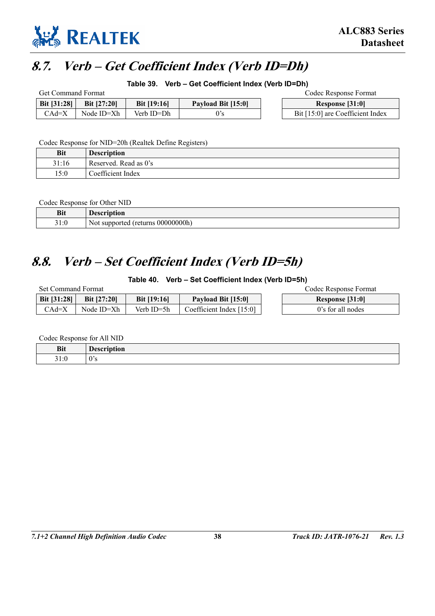

# **8.7. Verb – Get Coefficient Index (Verb ID=Dh)**

**Table 39. Verb – Get Coefficient Index (Verb ID=Dh)** 

| <b>Get Command Format</b> |                    |                    |                    |  | Codec Response Format            |
|---------------------------|--------------------|--------------------|--------------------|--|----------------------------------|
| Bit [31:28]               | <b>Bit [27:20]</b> | <b>Bit</b> [19:16] | Payload Bit [15:0] |  | Response [31:0]                  |
| CAd=X                     | Node ID=Xh         | Verb ID=Dh         |                    |  | Bit [15:0] are Coefficient Index |

Codec Response for NID=20h (Realtek Define Registers)

| <b>Bit</b> | <b>Description</b>    |
|------------|-----------------------|
| 31:16      | Reserved. Read as 0's |
| 15:0       | Coefficient Index     |

Codec Response for Other NID

| <b>Bit</b>       | awintian'<br>w                                                                  |
|------------------|---------------------------------------------------------------------------------|
| 210<br><br>J 1.U | $\mathbf{r}$<br>00000000h<br>l ret<br><b>irns</b><br>N0t<br>suppor<br>. TAC<br> |

# **8.8. Verb – Set Coefficient Index (Verb ID=5h)**

### **Table 40. Verb – Set Coefficient Index (Verb ID=5h)**

| Set Command Format |                    |               |                          | Codec Response Format |
|--------------------|--------------------|---------------|--------------------------|-----------------------|
| <b>Bit [31:28]</b> | <b>Bit [27:20]</b> | Bit $[19:16]$ | Payload Bit [15:0]       | Response [31:0]       |
| CAd=X              | Node ID=Xh         | Verb $ID=5h$  | Coefficient Index [15:0] | 0's for all nodes     |

Codec Response for All NID

| <b>Bit</b><br>---       | - - -<br>'uvu<br>-- |
|-------------------------|---------------------|
| <u>т</u><br>.<br>J I .U |                     |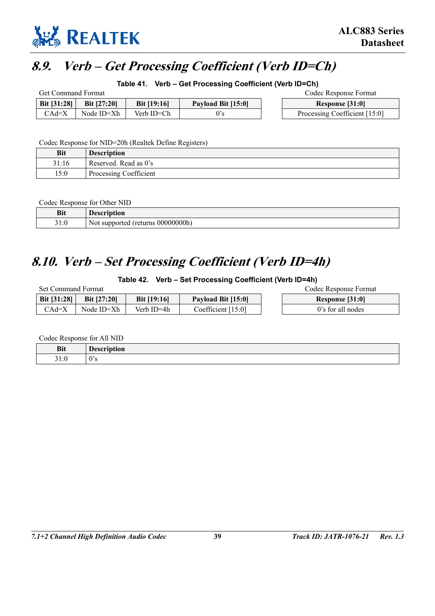

# **8.9. Verb – Get Processing Coefficient (Verb ID=Ch)**

**Table 41. Verb – Get Processing Coefficient (Verb ID=Ch)** 

| <b>Get Command Format</b> |                    |                      |                    |  | Codec Response Format         |
|---------------------------|--------------------|----------------------|--------------------|--|-------------------------------|
| <b>Bit [31:28]</b>        | <b>Bit [27:20]</b> | <b>Bit</b> $[19:16]$ | Payload Bit [15:0] |  | Response [31:0]               |
| $CAd=X$                   | Node ID=Xh         | Verb ID=Ch           | 0's                |  | Processing Coefficient [15:0] |

Codec Response for NID=20h (Realtek Define Registers)

| Bit   | <b>Description</b>     |
|-------|------------------------|
| 31:16 | Reserved. Read as 0's  |
| 15:0  | Processing Coefficient |

Codec Response for Other NID

| <b>Bit</b>   | <b>Descript</b><br>tıon                    |
|--------------|--------------------------------------------|
| 21.0<br>91.U | Not<br>00000000h<br>urns<br>5u<br>$\sim$ . |

### **8.10. Verb – Set Processing Coefficient (Verb ID=4h)**

### **Table 42. Verb – Set Processing Coefficient (Verb ID=4h)**

| <b>Set Command Format</b> |                    |                    |                      | Codec Response Format |
|---------------------------|--------------------|--------------------|----------------------|-----------------------|
| <b>Bit [31:28]</b>        | <b>Bit [27:20]</b> | <b>Bit [19:16]</b> | Payload Bit [15:0]   | Response [31:0]       |
| $CAd=X$                   | Node ID=Xh         | Verb ID=4h         | Coefficient $[15:0]$ | 0's for all nodes     |

Codec Response for All NID

| <b>Bit</b><br>---       | - - -<br>'uvu<br>-- |
|-------------------------|---------------------|
| <u>т</u><br>.<br>J I .U |                     |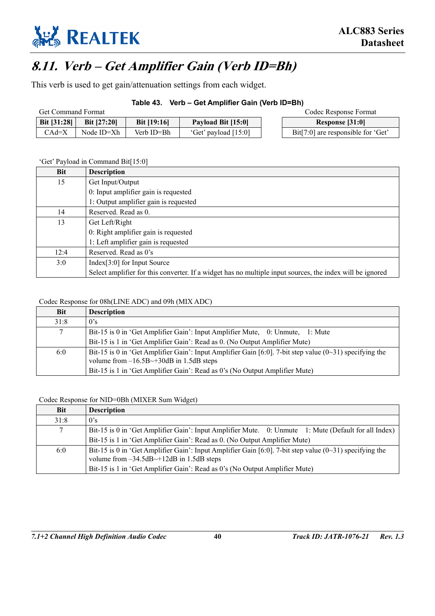

# **8.11. Verb – Get Amplifier Gain (Verb ID=Bh)**

This verb is used to get gain/attenuation settings from each widget.

### **Table 43. Verb – Get Amplifier Gain (Verb ID=Bh)**

| <b>Get Command Format</b> |                    |                    |                        | Codec Response Format              |
|---------------------------|--------------------|--------------------|------------------------|------------------------------------|
| Bit $[31:28]$             | <b>Bit [27:20]</b> | <b>Bit [19:16]</b> | Payload Bit [15:0]     | Response [31:0]                    |
| $CAd=X$                   | Node ID=Xh         | Verb ID=Bh         | 'Get' payload $[15:0]$ | Bit[7:0] are responsible for 'Get' |

### 'Get' Payload in Command Bit[15:0]

| Bit  | <b>Description</b>                                                                                        |
|------|-----------------------------------------------------------------------------------------------------------|
| 15   | Get Input/Output                                                                                          |
|      | 0: Input amplifier gain is requested                                                                      |
|      | 1: Output amplifier gain is requested                                                                     |
| 14   | Reserved. Read as 0.                                                                                      |
| 13   | Get Left/Right                                                                                            |
|      | 0: Right amplifier gain is requested                                                                      |
|      | 1: Left amplifier gain is requested                                                                       |
| 12:4 | Reserved. Read as 0's                                                                                     |
| 3:0  | $Index[3:0]$ for Input Source                                                                             |
|      | Select amplifier for this converter. If a widget has no multiple input sources, the index will be ignored |

### Codec Response for 08h(LINE ADC) and 09h (MIX ADC)

| <b>Bit</b> | <b>Description</b>                                                                                                                                                  |
|------------|---------------------------------------------------------------------------------------------------------------------------------------------------------------------|
| 31:8       | 0's                                                                                                                                                                 |
|            | Bit-15 is 0 in 'Get Amplifier Gain': Input Amplifier Mute, 0: Unmute, 1: Mute                                                                                       |
|            | Bit-15 is 1 in 'Get Amplifier Gain': Read as 0. (No Output Amplifier Mute)                                                                                          |
| 6:0        | Bit-15 is 0 in 'Get Amplifier Gain': Input Amplifier Gain [6:0]. 7-bit step value $(0\sim31)$ specifying the<br>volume from $-16.5B\rightarrow+30dB$ in 1.5dB steps |
|            | Bit-15 is 1 in 'Get Amplifier Gain': Read as 0's (No Output Amplifier Mute)                                                                                         |

### Codec Response for NID=0Bh (MIXER Sum Widget)

| Bit  | <b>Description</b>                                                                                                                                                  |
|------|---------------------------------------------------------------------------------------------------------------------------------------------------------------------|
| 31:8 | $0$ 's                                                                                                                                                              |
|      | Bit-15 is 0 in 'Get Amplifier Gain': Input Amplifier Mute. 0: Unmute 1: Mute (Default for all Index)                                                                |
|      | Bit-15 is 1 in 'Get Amplifier Gain': Read as 0. (No Output Amplifier Mute)                                                                                          |
| 6:0  | Bit-15 is 0 in 'Get Amplifier Gain': Input Amplifier Gain [6:0]. 7-bit step value $(0-31)$ specifying the<br>volume from $-34.5dB \rightarrow +12dB$ in 1.5dB steps |
|      | Bit-15 is 1 in 'Get Amplifier Gain': Read as 0's (No Output Amplifier Mute)                                                                                         |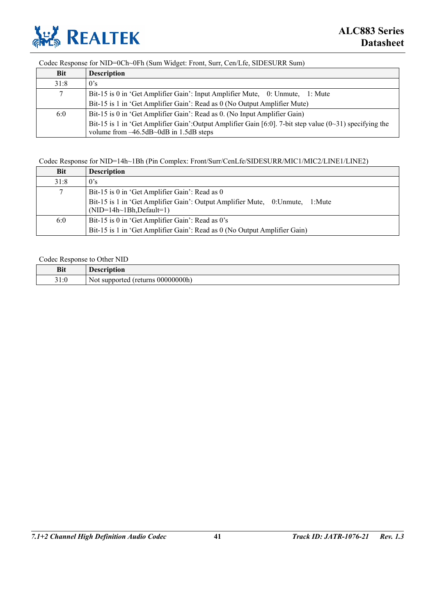

### Codec Response for NID=0Ch~0Fh (Sum Widget: Front, Surr, Cen/Lfe, SIDESURR Sum)

| <b>Bit</b> | <b>Description</b>                                                                                                                                              |
|------------|-----------------------------------------------------------------------------------------------------------------------------------------------------------------|
| 31:8       | 0's                                                                                                                                                             |
| 7          | Bit-15 is 0 in 'Get Amplifier Gain': Input Amplifier Mute, 0: Unmute, 1: Mute                                                                                   |
|            | Bit-15 is 1 in 'Get Amplifier Gain': Read as 0 (No Output Amplifier Mute)                                                                                       |
| 6:0        | Bit-15 is 0 in 'Get Amplifier Gain': Read as 0. (No Input Amplifier Gain)                                                                                       |
|            | Bit-15 is 1 in 'Get Amplifier Gain': Output Amplifier Gain [6:0]. 7-bit step value $(0\text{~31})$ specifying the<br>volume from $-46.5dB - 0dB$ in 1.5dB steps |

### Codec Response for NID=14h~1Bh (Pin Complex: Front/Surr/CenLfe/SIDESURR/MIC1/MIC2/LINE1/LINE2)

| Bit  | <b>Description</b>                                                                                                 |
|------|--------------------------------------------------------------------------------------------------------------------|
| 31:8 | 0's                                                                                                                |
| 7    | Bit-15 is 0 in 'Get Amplifier Gain': Read as 0                                                                     |
|      | Bit-15 is 1 in 'Get Amplifier Gain': Output Amplifier Mute, 0: Unmute,<br>1:Mute<br>$(NID=14h\sim 1Bh, Default=1)$ |
| 6:0  | Bit-15 is 0 in 'Get Amplifier Gain': Read as 0's                                                                   |
|      | Bit-15 is 1 in 'Get Amplifier Gain': Read as 0 (No Output Amplifier Gain)                                          |

#### Codec Response to Other NID

| <b>Bit</b>   | ---                                       |
|--------------|-------------------------------------------|
| 21.1<br>91.U | $00000000$ h<br>returns)<br>Not supported |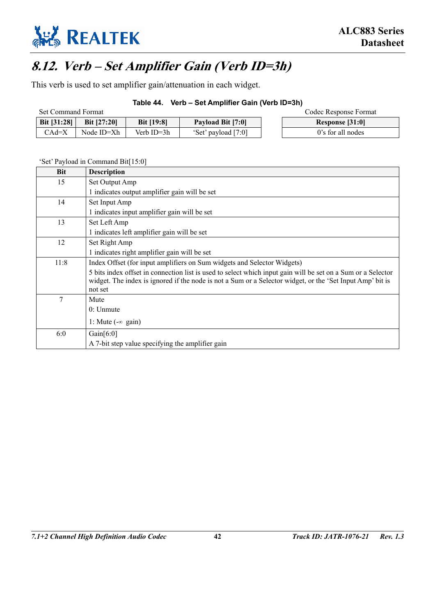

# **8.12. Verb – Set Amplifier Gain (Verb ID=3h)**

This verb is used to set amplifier gain/attenuation in each widget.

### **Table 44. Verb – Set Amplifier Gain (Verb ID=3h)**

| <b>Set Command Format</b> |                    |                   |                     | Codec Response Format |
|---------------------------|--------------------|-------------------|---------------------|-----------------------|
| Bit $[31:28]$             | <b>Bit [27:20]</b> | <b>Bit [19:8]</b> | Payload Bit [7:0]   | Response [31:0]       |
| CAd=X                     | Node ID=Xh         | Verb ID=3h        | "Set" payload [7:0] | 0's for all nodes     |

| <b>Bit</b> | <b>Description</b>                                                                                                   |
|------------|----------------------------------------------------------------------------------------------------------------------|
| 15         | Set Output Amp                                                                                                       |
|            | 1 indicates output amplifier gain will be set                                                                        |
| 14         | Set Input Amp                                                                                                        |
|            | 1 indicates input amplifier gain will be set                                                                         |
| 13         | Set Left Amp                                                                                                         |
|            | 1 indicates left amplifier gain will be set                                                                          |
| 12         | Set Right Amp                                                                                                        |
|            | 1 indicates right amplifier gain will be set                                                                         |
| 11:8       | Index Offset (for input amplifiers on Sum widgets and Selector Widgets)                                              |
|            | 5 bits index offset in connection list is used to select which input gain will be set on a Sum or a Selector         |
|            | widget. The index is ignored if the node is not a Sum or a Selector widget, or the 'Set Input Amp' bit is<br>not set |
| 7          | Mute                                                                                                                 |
|            | $0:$ Unmute                                                                                                          |
|            |                                                                                                                      |
|            | 1: Mute $(-\infty$ gain)                                                                                             |
| 6:0        | Gain $[6:0]$                                                                                                         |
|            | A 7-bit step value specifying the amplifier gain                                                                     |

#### 'Set' Payload in Command Bit[15:0]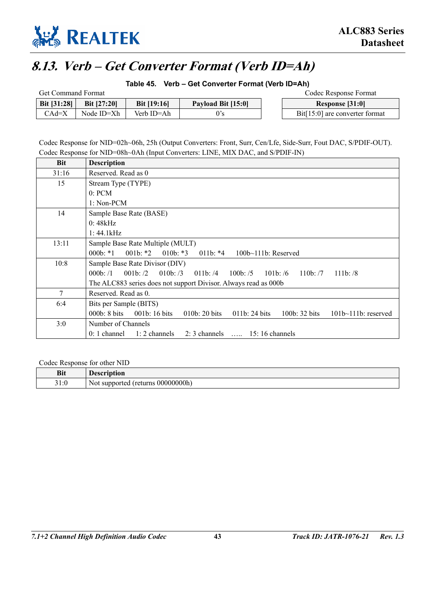

# **8.13. Verb – Get Converter Format (Verb ID=Ah)**

**Table 45. Verb – Get Converter Format (Verb ID=Ah)** 

| <b>Get Command Format</b> |                    |                    |                    |  | Codec Response Format            |
|---------------------------|--------------------|--------------------|--------------------|--|----------------------------------|
| Bit [31:28]               | <b>Bit [27:20]</b> | <b>Bit [19:16]</b> | Payload Bit [15:0] |  | Response [31:0]                  |
| $CAd=X$                   | Node ID=Xh         | Verb ID=Ah         |                    |  | $Bit[15:0]$ are converter format |

Codec Response for NID=02h~06h, 25h (Output Converters: Front, Surr, Cen/Lfe, Side-Surr, Fout DAC, S/PDIF-OUT). Codec Response for NID=08h~0Ah (Input Converters: LINE, MIX DAC, and S/PDIF-IN)

| <b>Bit</b> | <b>Description</b>                                                                                                                                   |  |  |  |  |  |
|------------|------------------------------------------------------------------------------------------------------------------------------------------------------|--|--|--|--|--|
| 31:16      | Reserved. Read as 0                                                                                                                                  |  |  |  |  |  |
| 15         | Stream Type (TYPE)                                                                                                                                   |  |  |  |  |  |
|            | 0: PCM                                                                                                                                               |  |  |  |  |  |
|            | 1: Non-PCM                                                                                                                                           |  |  |  |  |  |
| 14         | Sample Base Rate (BASE)                                                                                                                              |  |  |  |  |  |
|            | 0:48kHz                                                                                                                                              |  |  |  |  |  |
|            | 1:44.1kHz                                                                                                                                            |  |  |  |  |  |
| 13:11      | Sample Base Rate Multiple (MULT)                                                                                                                     |  |  |  |  |  |
|            | $000b: *1$<br>$001b: *2$<br>010b: $*3$<br>$011b: *4$<br>$100b-111b$ : Reserved                                                                       |  |  |  |  |  |
| 10:8       | Sample Base Rate Divisor (DIV)                                                                                                                       |  |  |  |  |  |
|            | 000 <sub>b</sub> : /1<br>$001b$ : $/2$<br>010 $b: /3$<br>011b: $/4$<br>$100b$ : /5<br>$101b$ : /6<br>110 <sub>b</sub> : /7<br>$111b$ : $/8$          |  |  |  |  |  |
|            | The ALC883 series does not support Divisor. Always read as 000b                                                                                      |  |  |  |  |  |
| 7          | Reserved. Read as 0.                                                                                                                                 |  |  |  |  |  |
| 6:4        | Bits per Sample (BITS)                                                                                                                               |  |  |  |  |  |
|            | 000 <sub>b</sub> : 8 bits<br>001 $b: 16$ bits<br>010 <sub>b</sub> : 20 bits<br>011b: 24 bits<br>100 <sub>b</sub> : 32 bits<br>$101b~111b$ : reserved |  |  |  |  |  |
| 3:0        | Number of Channels                                                                                                                                   |  |  |  |  |  |
|            | $1:2$ channels<br>$0:1$ channel<br>2: 3 channels $\ldots$ 15: 16 channels                                                                            |  |  |  |  |  |

Codec Response for other NID

| <b>Bit</b>     | escription<br>$\sim$                                                     |
|----------------|--------------------------------------------------------------------------|
| 21.0<br>J I .U | $-000000000h$<br>. .<br>t returns<br>supported<br>N <sub>OL</sub><br>. . |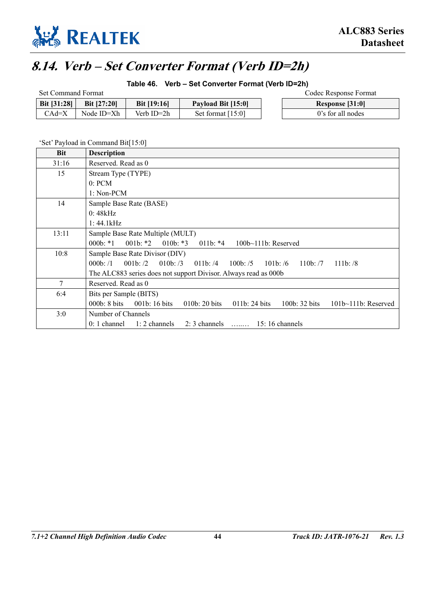

# **8.14. Verb – Set Converter Format (Verb ID=2h)**

### **Table 46. Verb – Set Converter Format (Verb ID=2h)**

| Set Command Format |                    |                    |                     | Codec Response Format |
|--------------------|--------------------|--------------------|---------------------|-----------------------|
| <b>Bit [31:28]</b> | <b>Bit [27:20]</b> | <b>Bit [19:16]</b> | Payload Bit [15:0]  | Response [31:0]       |
| CAd=X              | Node ID=Xh         | Verb ID=2h         | Set format $[15:0]$ | 0's for all nodes     |

'Set' Payload in Command Bit[15:0]

| <b>Bit</b> | <b>Description</b>                                                                                                                              |
|------------|-------------------------------------------------------------------------------------------------------------------------------------------------|
| 31:16      | Reserved, Read as 0                                                                                                                             |
| 15         | Stream Type (TYPE)                                                                                                                              |
|            | 0: PCM                                                                                                                                          |
|            | $1: Non-PCM$                                                                                                                                    |
| 14         | Sample Base Rate (BASE)                                                                                                                         |
|            | 0:48kHz                                                                                                                                         |
|            | 1:44.1kHz                                                                                                                                       |
| 13:11      | Sample Base Rate Multiple (MULT)                                                                                                                |
|            | 011b: $*4$<br>$000b: *1$<br>001b: $*2$<br>010b: $*3$<br>$100b-111b$ : Reserved                                                                  |
| 10:8       | Sample Base Rate Divisor (DIV)                                                                                                                  |
|            | 001 <sub>b</sub> : /2<br>010b: $/3$<br>$111b$ : $/8$<br>000 <sub>b</sub> : /1<br>011b:/4<br>100 $b: /5$<br>$101b$ : /6<br>110 <sub>b</sub> : /7 |
|            | The ALC883 series does not support Divisor. Always read as 000b                                                                                 |
| $\tau$     | Reserved. Read as 0                                                                                                                             |
| 6:4        | Bits per Sample (BITS)                                                                                                                          |
|            | 000 <sub>b</sub> : 8 bits<br>001b: 16 bits<br>010 <sub>b</sub> : 20 bits<br>011b: 24 bits<br>100 $b:$ 32 bits<br>$101b~111b$ : Reserved         |
| 3:0        | Number of Channels                                                                                                                              |
|            | 2: 3 channels $\ldots$ 15: 16 channels<br>$0:1$ channel<br>$1:2$ channels                                                                       |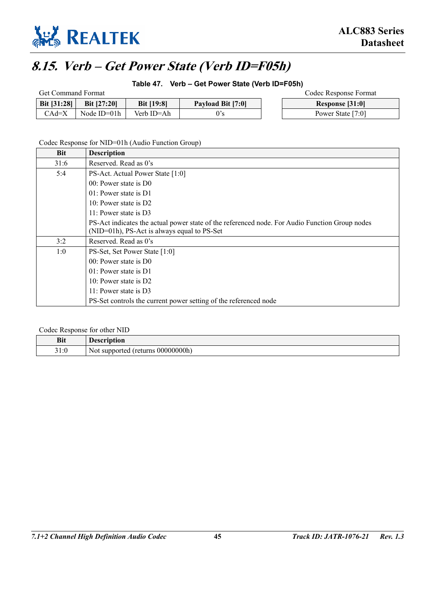

# **8.15. Verb – Get Power State (Verb ID=F05h)**

### **Table 47. Verb – Get Power State (Verb ID=F05h)**

| <b>Get Command Format</b> |                    |                   |                          |  | Codec Response Format |
|---------------------------|--------------------|-------------------|--------------------------|--|-----------------------|
| <b>Bit [31:28]</b>        | <b>Bit [27:20]</b> | <b>Bit [19:8]</b> | <b>Payload Bit [7:0]</b> |  | Response [31:0]       |
| CAd=X                     | Node $ID=01h$      | Verb ID=Ah        |                          |  | Power State [7:0]     |

### Codec Response for NID=01h (Audio Function Group)

| <b>Bit</b> | <b>Description</b>                                                                             |
|------------|------------------------------------------------------------------------------------------------|
| 31:6       | Reserved. Read as 0's                                                                          |
| 5:4        | PS-Act. Actual Power State [1:0]                                                               |
|            | $00$ : Power state is D $0$                                                                    |
|            | $01$ : Power state is D1                                                                       |
|            | $10:$ Power state is D2                                                                        |
|            | 11: Power state is $D3$                                                                        |
|            | PS-Act indicates the actual power state of the referenced node. For Audio Function Group nodes |
|            | $(NID=01h)$ , PS-Act is always equal to PS-Set                                                 |
| 3:2        | Reserved. Read as 0's                                                                          |
| 1:0        | PS-Set, Set Power State [1:0]                                                                  |
|            | $00$ Power state is D0                                                                         |
|            | $01$ : Power state is D1                                                                       |
|            | $10:$ Power state is D2                                                                        |
|            | 11: Power state is $D3$                                                                        |
|            | PS-Set controls the current power setting of the referenced node                               |

#### Codec Response for other NID

| <b>Bit</b>                 | <b>Pescription</b><br>DESLI        |
|----------------------------|------------------------------------|
| $21 \cdot \Omega$<br>J I.U | Not supported (returns 000000000h) |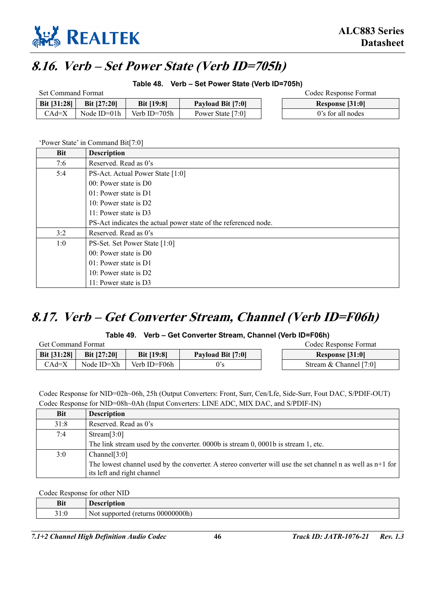

# **8.16. Verb – Set Power State (Verb ID=705h)**

**Table 48. Verb – Set Power State (Verb ID=705h)** 

| <b>Set Command Format</b> |                    |                   |                   | Codec Response Format |
|---------------------------|--------------------|-------------------|-------------------|-----------------------|
| Bit $[31:28]$             | <b>Bit [27:20]</b> | <b>Bit [19:8]</b> | Payload Bit [7:0] | Response [31:0]       |
| CAd=X                     | Node ID=01h        | Verb ID=705h      | Power State [7:0] | 0's for all nodes     |

'Power State' in Command Bit[7:0]

| <b>Bit</b> | <b>Description</b>                                              |  |  |  |  |  |
|------------|-----------------------------------------------------------------|--|--|--|--|--|
| 7:6        | Reserved. Read as 0's                                           |  |  |  |  |  |
| 5:4        | PS-Act. Actual Power State [1:0]                                |  |  |  |  |  |
|            | $00$ : Power state is D $0$                                     |  |  |  |  |  |
|            | $01$ : Power state is D1                                        |  |  |  |  |  |
|            | 10: Power state is D2                                           |  |  |  |  |  |
|            | 11: Power state is $D3$                                         |  |  |  |  |  |
|            | PS-Act indicates the actual power state of the referenced node. |  |  |  |  |  |
| 3:2        | Reserved. Read as 0's                                           |  |  |  |  |  |
| 1:0        | PS-Set. Set Power State [1:0]                                   |  |  |  |  |  |
|            | $00$ : Power state is D $0$                                     |  |  |  |  |  |
|            | $01$ : Power state is D1                                        |  |  |  |  |  |
|            | 10: Power state is D2                                           |  |  |  |  |  |
|            | 11: Power state is D3                                           |  |  |  |  |  |

# **8.17. Verb – Get Converter Stream, Channel (Verb ID=F06h)**

### **Table 49. Verb – Get Converter Stream, Channel (Verb ID=F06h)**

| <b>Get Command Format</b> |                    |                   |                   |  | Codec Response Format  |
|---------------------------|--------------------|-------------------|-------------------|--|------------------------|
| <b>Bit [31:28]</b>        | <b>Bit [27:20]</b> | <b>Bit [19:8]</b> | Payload Bit [7:0] |  | Response [31:0]        |
| CAd=X                     | Node ID=Xh         | Verb ID=F06h      |                   |  | Stream & Channel [7:0] |

Codec Response for NID=02h~06h, 25h (Output Converters: Front, Surr, Cen/Lfe, Side-Surr, Fout DAC, S/PDIF-OUT) Codec Response for NID=08h~0Ah (Input Converters: LINE ADC, MIX DAC, and S/PDIF-IN)

| <b>Bit</b> | <b>Description</b>                                                                                                                         |
|------------|--------------------------------------------------------------------------------------------------------------------------------------------|
| 31:8       | Reserved. Read as 0's                                                                                                                      |
| 7:4        | Stream[ $3:0$ ]                                                                                                                            |
|            | The link stream used by the converter. 0000b is stream 0, 0001b is stream 1, etc.                                                          |
| 3:0        | Channel[3:0]                                                                                                                               |
|            | The lowest channel used by the converter. A stereo converter will use the set channel n as well as $n+1$ for<br>its left and right channel |

Codec Response for other NID

| <b>Bit</b>   | <b>Description</b>                       |
|--------------|------------------------------------------|
| 21.0<br>21.V | 000000000h<br>(returns)<br>Not supported |
|              |                                          |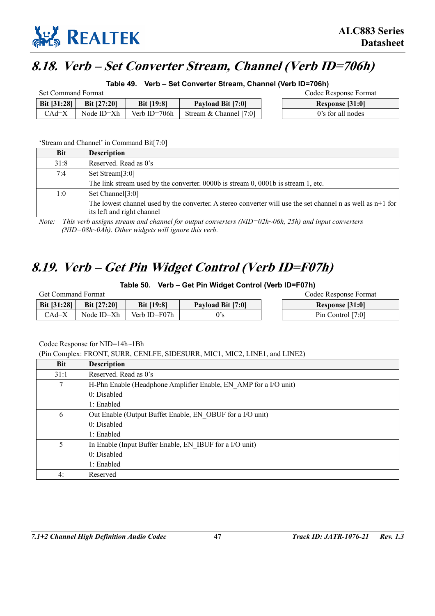

# **8.18. Verb – Set Converter Stream, Channel (Verb ID=706h)**

**Table 49. Verb – Set Converter Stream, Channel (Verb ID=706h)** 

| Set Command Format |               |                   |                          | Codec Response Format |
|--------------------|---------------|-------------------|--------------------------|-----------------------|
| Bit $[31:28]$      | Bit $[27:20]$ | <b>Bit [19:8]</b> | Payload Bit [7:0]        | Response [31:0]       |
| $CAd=X$            | Node ID=Xh    | Verb ID=706h      | Stream & Channel $[7:0]$ | 0's for all nodes     |

'Stream and Channel' in Command Bit[7:0]

| <b>Bit</b> | <b>Description</b>                                                                                                                         |
|------------|--------------------------------------------------------------------------------------------------------------------------------------------|
| 31:8       | Reserved. Read as 0's                                                                                                                      |
| 7:4        | Set Stream[3:0]                                                                                                                            |
|            | The link stream used by the converter. $0000b$ is stream 0, $0001b$ is stream 1, etc.                                                      |
| 1:0        | Set Channel <sup>[3:0]</sup>                                                                                                               |
|            | The lowest channel used by the converter. A stereo converter will use the set channel n as well as $n+1$ for<br>its left and right channel |

*Note: This verb assigns stream and channel for output converters (NID=02h~06h, 25h) and input converters (NID=08h~0Ah). Other widgets will ignore this verb.* 

# **8.19. Verb – Get Pin Widget Control (Verb ID=F07h)**

**Table 50. Verb – Get Pin Widget Control (Verb ID=F07h)** 

| <b>Get Command Format</b> |                    |                   |                   |  | Codec Response Format |
|---------------------------|--------------------|-------------------|-------------------|--|-----------------------|
| Bit [31:28]               | <b>Bit [27:20]</b> | <b>Bit [19:8]</b> | Payload Bit [7:0] |  | Response [31:0]       |
| CAd=X                     | Node ID=Xh         | Verb ID=F07h      |                   |  | Pin Control [7:0]     |

Codec Response for NID=14h~1Bh

(Pin Complex: FRONT, SURR, CENLFE, SIDESURR, MIC1, MIC2, LINE1, and LINE2)

| <b>Bit</b> | <b>Description</b>                                               |
|------------|------------------------------------------------------------------|
| 31:1       | Reserved. Read as 0's                                            |
| 7          | H-Phn Enable (Headphone Amplifier Enable, EN AMP for a I/O unit) |
|            | 0: Disable                                                       |
|            | $1:$ Enabled                                                     |
| 6          | Out Enable (Output Buffet Enable, EN OBUF for a I/O unit)        |
|            | 0: Disable                                                       |
|            | 1: Enabled                                                       |
| 5          | In Enable (Input Buffer Enable, EN IBUF for a I/O unit)          |
|            | 0: Disabled                                                      |
|            | 1: Enabled                                                       |
| 4:         | Reserved                                                         |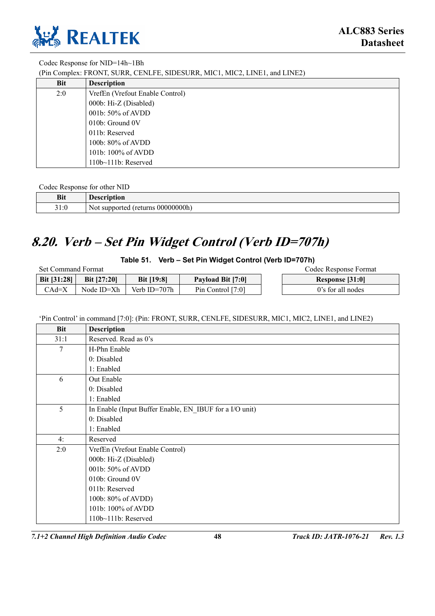

### Codec Response for NID=14h~1Bh

(Pin Complex: FRONT, SURR, CENLFE, SIDESURR, MIC1, MIC2, LINE1, and LINE2)

| Bit | <b>Description</b>              |
|-----|---------------------------------|
| 2:0 | VrefEn (Vrefout Enable Control) |
|     | 000b: Hi-Z (Disabled)           |
|     | 001b: 50% of AVDD               |
|     | 010b: Ground 0V                 |
|     | 011b: Reserved                  |
|     | 100b: 80% of AVDD               |
|     | 101b: 100% of AVDD              |
|     | 110b~111b: Reserved             |

#### Codec Response for other NID

| <b>Bit</b>          | $\blacksquare$<br>1.100022222<br>э о и<br>лоп<br>v.          |
|---------------------|--------------------------------------------------------------|
| $^{\sim}$ 1<br>91.U | $00000000$ h)<br>teturns <b>that</b><br>Not .<br>: supported |

# **8.20. Verb – Set Pin Widget Control (Verb ID=707h)**

**Table 51. Verb – Set Pin Widget Control (Verb ID=707h)** 

| <b>Set Command Format</b> |                    |                   |                     | Codec Response Format |
|---------------------------|--------------------|-------------------|---------------------|-----------------------|
| <b>Bit</b> $[31:28]$      | <b>Bit [27:20]</b> | <b>Bit</b> [19:8] | Payload Bit [7:0]   | Response [31:0]       |
| CAd=X                     | Node ID=Xh         | Verb ID=707h      | Pin Control $[7:0]$ | 0's for all nodes     |

'Pin Control' in command [7:0]: (Pin: FRONT, SURR, CENLFE, SIDESURR, MIC1, MIC2, LINE1, and LINE2)

| <b>Bit</b> | <b>Description</b>                                      |
|------------|---------------------------------------------------------|
| 31:1       | Reserved. Read as 0's                                   |
| 7          | H-Phn Enable                                            |
|            | 0: Disabled                                             |
|            | 1: Enabled                                              |
| 6          | Out Enable                                              |
|            | 0: Disabled                                             |
|            | 1: Enabled                                              |
| 5          | In Enable (Input Buffer Enable, EN IBUF for a I/O unit) |
|            | 0: Disabled                                             |
|            | 1: Enabled                                              |
| 4:         | Reserved                                                |
| 2:0        | VrefEn (Vrefout Enable Control)                         |
|            | 000b: Hi-Z (Disabled)                                   |
|            | 001b: 50% of AVDD                                       |
|            | 010b: Ground 0V                                         |
|            | 011b: Reserved                                          |
|            | 100b: 80% of AVDD)                                      |
|            | 101b: 100% of AVDD                                      |
|            | 110b~111b: Reserved                                     |

*7.1+2 Channel High Definition Audio Codec* **48** *Track ID: JATR-1076-21 Rev. 1.3*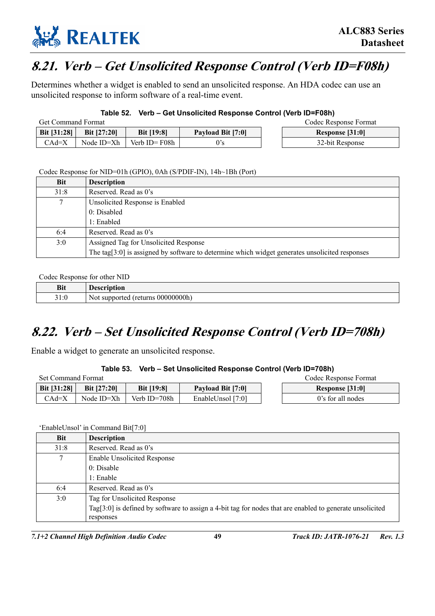

# **8.21. Verb – Get Unsolicited Response Control (Verb ID=F08h)**

Determines whether a widget is enabled to send an unsolicited response. An HDA codec can use an unsolicited response to inform software of a real-time event.

### **Table 52. Verb – Get Unsolicited Response Control (Verb ID=F08h)**

| <b>Get Command Format</b> |                    |                   |                   | Codec Response Format |
|---------------------------|--------------------|-------------------|-------------------|-----------------------|
| <b>Bit [31:28]</b>        | <b>Bit [27:20]</b> | <b>Bit [19:8]</b> | Payload Bit [7:0] | Response [31:0]       |
| CAd=X                     | Node ID=Xh         | Verb ID=F08h      | 0's               | 32-bit Response       |

Codec Response for NID=01h (GPIO), 0Ah (S/PDIF-IN), 14h~1Bh (Port)

| Bit    | <b>Description</b>                                                                                 |
|--------|----------------------------------------------------------------------------------------------------|
| 31:8   | Reserved. Read as 0's                                                                              |
| $\tau$ | Unsolicited Response is Enabled                                                                    |
|        | 0: Disabled                                                                                        |
|        | $1:$ Enabled                                                                                       |
| 6:4    | Reserved. Read as 0's                                                                              |
| 3:0    | Assigned Tag for Unsolicited Response                                                              |
|        | The tag[ $3:0$ ] is assigned by software to determine which widget generates unsolicited responses |

#### Codec Response for other NID

| <b>Bit</b> | <b>Description</b>                       |
|------------|------------------------------------------|
| 31:0       | 000000000<br>" (returns<br>Not supported |

# **8.22. Verb – Set Unsolicited Response Control (Verb ID=708h)**

Enable a widget to generate an unsolicited response.

### **Table 53. Verb – Set Unsolicited Response Control (Verb ID=708h)**

| Set Command Format |                    |                   |                          | Codec Response Format |
|--------------------|--------------------|-------------------|--------------------------|-----------------------|
| <b>Bit [31:28]</b> | <b>Bit [27:20]</b> | <b>Bit [19:8]</b> | <b>Payload Bit [7:0]</b> | Response [31:0]       |
| $CAd=X$            | Node ID=Xh         | Verb ID=708h      | EnableUnsol [7:0]        | 0's for all nodes     |

### 'EnableUnsol' in Command Bit[7:0]

| <b>Bit</b> | <b>Description</b>                                                                                           |
|------------|--------------------------------------------------------------------------------------------------------------|
| 31:8       | Reserved. Read as 0's                                                                                        |
| 7          | Enable Unsolicited Response                                                                                  |
|            | 0: Disable                                                                                                   |
|            | 1: Enable                                                                                                    |
| 6:4        | Reserved. Read as 0's                                                                                        |
| 3:0        | Tag for Unsolicited Response                                                                                 |
|            | Tag[ $3:0$ ] is defined by software to assign a 4-bit tag for nodes that are enabled to generate unsolicited |
|            | responses                                                                                                    |

*7.1+2 Channel High Definition Audio Codec* **49** *Track ID: JATR-1076-21 Rev. 1.3*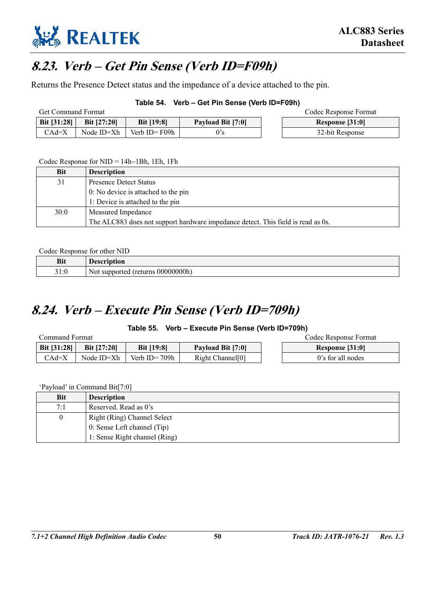

# **8.23. Verb – Get Pin Sense (Verb ID=F09h)**

Returns the Presence Detect status and the impedance of a device attached to the pin.

### **Table 54. Verb – Get Pin Sense (Verb ID=F09h)**

| <b>Get Command Format</b> |               |                   |                   | Codec Response Format |
|---------------------------|---------------|-------------------|-------------------|-----------------------|
| <b>Bit [31:28]</b>        | Bit $[27:20]$ | <b>Bit [19:8]</b> | Payload Bit [7:0] | Response [31:0]       |
| $CAd=X$                   | Node ID=Xh    | Verb ID= $F09h$   |                   | 32-bit Response       |

#### Codec Response for  $NID = 14h~1Bh$ , 1Eh, 1Fh

| <b>Bit</b> | <b>Description</b>                                                               |
|------------|----------------------------------------------------------------------------------|
| 31         | <b>Presence Detect Status</b>                                                    |
|            | 0: No device is attached to the pin                                              |
|            | 1: Device is attached to the pin                                                 |
| 30:0       | Measured Impedance                                                               |
|            | The ALC883 does not support hardware impedance detect. This field is read as 0s. |

#### Codec Response for other NID

| <b>Bit</b> | <b>'escription</b>                                    |
|------------|-------------------------------------------------------|
| 31:0       | 0.000001<br>: 00000000h<br>t returns<br>Not supported |

# **8.24. Verb – Execute Pin Sense (Verb ID=709h)**

### **Table 55. Verb – Execute Pin Sense (Verb ID=709h)**

| Command Format |                    |                   |                              |  | Codec Response Format |
|----------------|--------------------|-------------------|------------------------------|--|-----------------------|
| Bit $[31:28]$  | <b>Bit [27:20]</b> | <b>Bit [19:8]</b> | <b>Payload Bit [7:0]</b>     |  | Response [31:0]       |
| $CAd=X$        | Node ID=Xh         | Verb ID= $709h$   | Right Channel <sup>[0]</sup> |  | 0's for all nodes     |

'Payload' in Command Bit[7:0]

| Bit | <b>Description</b>            |
|-----|-------------------------------|
| 7:1 | Reserved. Read as 0's         |
| 0   | Right (Ring) Channel Select   |
|     | 0: Sense Left channel (Tip)   |
|     | 1: Sense Right channel (Ring) |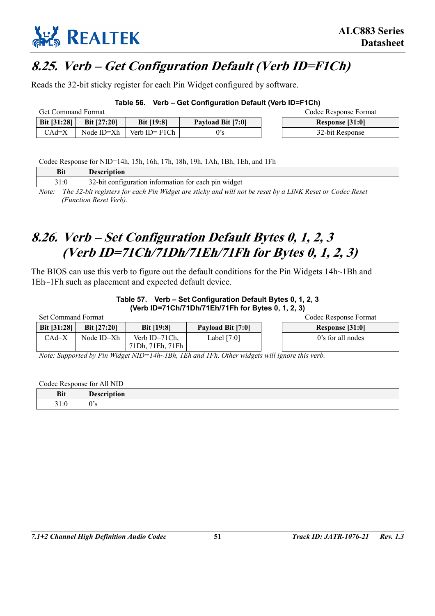

# **8.25. Verb – Get Configuration Default (Verb ID=F1Ch)**

Reads the 32-bit sticky register for each Pin Widget configured by software.

### **Table 56. Verb – Get Configuration Default (Verb ID=F1Ch)**

| <b>Get Command Format</b> |                    |                   |                   |  | Codec Response Format |
|---------------------------|--------------------|-------------------|-------------------|--|-----------------------|
| <b>Bit [31:28]</b>        | <b>Bit [27:20]</b> | <b>Bit [19:8]</b> | Payload Bit [7:0] |  | Response [31:0]       |
| CAd=X                     | Node ID=Xh         | Verb $ID = F1Ch$  |                   |  | 32-bit Response       |

Codec Response for NID=14h, 15h, 16h, 17h, 18h, 19h, 1Ah, 1Bh, 1Eh, and 1Fh

| Bit   | <b>Description</b>                                                                                       |
|-------|----------------------------------------------------------------------------------------------------------|
| 31:0  | 32-bit configuration information for each pin widget                                                     |
| Note: | The 32-bit registers for each Pin Widget are sticky and will not be reset by a LINK Reset or Codec Reset |

*(Function Reset Verb).* 

# **8.26. Verb – Set Configuration Default Bytes 0, 1, 2, 3 (Verb ID=71Ch/71Dh/71Eh/71Fh for Bytes 0, 1, 2, 3)**

The BIOS can use this verb to figure out the default conditions for the Pin Widgets 14h~1Bh and 1Eh~1Fh such as placement and expected default device.

### **Table 57. Verb – Set Configuration Default Bytes 0, 1, 2, 3 (Verb ID=71Ch/71Dh/71Eh/71Fh for Bytes 0, 1, 2, 3)**

| <b>Set Command Format</b> |                    |                                   |                   | Codec Response Format |
|---------------------------|--------------------|-----------------------------------|-------------------|-----------------------|
| Bit [31:28]               | <b>Bit [27:20]</b> | <b>Bit</b> [19:8]                 | Payload Bit [7:0] | Response [31:0]       |
| CAd=X                     | Node ID=Xh         | Verb ID=71Ch.<br>71Dh, 71Eh, 71Fh | Label $[7:0]$     | 0's for all nodes     |

*Note: Supported by Pin Widget NID=14h~1Bh, 1Eh and 1Fh. Other widgets will ignore this verb.* 

Codec Response for All NID

| <b>Bit</b> | $\blacksquare$<br>tion<br>יע |
|------------|------------------------------|
| 21.0       | Λ,                           |
| 31.0       | U D                          |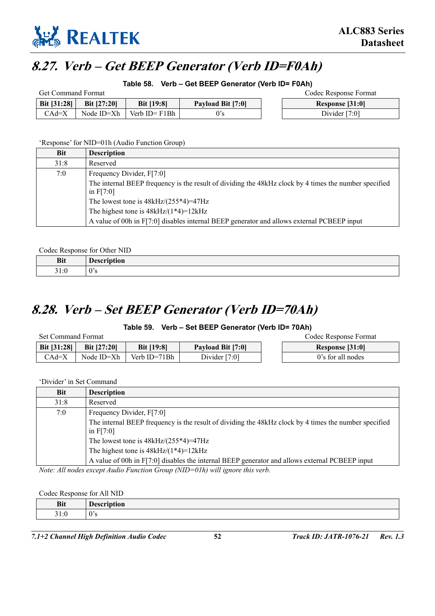

# **8.27. Verb – Get BEEP Generator (Verb ID=F0Ah)**

**Table 58. Verb – Get BEEP Generator (Verb ID= F0Ah)** 

| <b>Get Command Format</b> |               |                   |                   |  | Codec Response Format |
|---------------------------|---------------|-------------------|-------------------|--|-----------------------|
| <b>Bit [31:28]</b>        | Bit $[27:20]$ | <b>Bit [19:8]</b> | Payload Bit [7:0] |  | Response [31:0]       |
| $CAd=X$                   | Node ID=Xh    | Verb $ID = F1Bh$  |                   |  | Divider $[7:0]$       |

'Response' for NID=01h (Audio Function Group)

| Bit  | <b>Description</b>                                                                                                   |
|------|----------------------------------------------------------------------------------------------------------------------|
| 31:8 | Reserved                                                                                                             |
| 7:0  | Frequency Divider, F[7:0]                                                                                            |
|      | The internal BEEP frequency is the result of dividing the 48kHz clock by 4 times the number specified<br>in $F[7:0]$ |
|      | The lowest tone is $48kHz/(255*4)=47Hz$                                                                              |
|      | The highest tone is $48kHz/(1*4)=12kHz$                                                                              |
|      | A value of 00h in F[7:0] disables internal BEEP generator and allows external PCBEEP input                           |

Codec Response for Other NID

| <b>Bit</b> | <b>Description</b>     |
|------------|------------------------|
| 31:0       | $\sim$<br>$\cdot$<br>. |

# **8.28. Verb – Set BEEP Generator (Verb ID=70Ah)**

### **Table 59. Verb – Set BEEP Generator (Verb ID= 70Ah)**

| Set Command Format |                    |                   |                   |  | Codec Response Format |
|--------------------|--------------------|-------------------|-------------------|--|-----------------------|
| <b>Bit [31:28]</b> | <b>Bit [27:20]</b> | <b>Bit [19:8]</b> | Payload Bit [7:0] |  | Response [31:0]       |
| $CAd=X$            | Node ID=Xh         | Verb ID=71Bh      | Divider $[7:0]$   |  | 0's for all nodes     |

'Divider' in Set Command

| Bit  | <b>Description</b>                                                                                                   |
|------|----------------------------------------------------------------------------------------------------------------------|
| 31:8 | Reserved                                                                                                             |
| 7:0  | Frequency Divider, F[7:0]                                                                                            |
|      | The internal BEEP frequency is the result of dividing the 48kHz clock by 4 times the number specified<br>in $F[7:0]$ |
|      | The lowest tone is $48kHz/(255*4)=47Hz$                                                                              |
|      | The highest tone is $48kHz/(1*4)=12kHz$                                                                              |
|      | A value of 00h in F[7:0] disables the internal BEEP generator and allows external PCBEEP input                       |

*Note: All nodes except Audio Function Group (NID=01h) will ignore this verb.* 

Codec Response for All NID

| <b>Bit</b>                 | ∽<br>10000<br>$\cdots$<br>чон<br><b>DCSC</b> |
|----------------------------|----------------------------------------------|
| $^{\sim}$ 1<br>، ،<br>J1.0 | $\Omega$<br>U S                              |

*7.1+2 Channel High Definition Audio Codec* **52** *Track ID: JATR-1076-21 Rev. 1.3*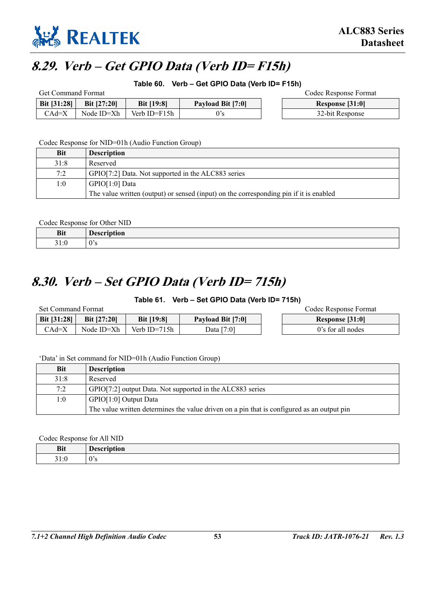

# **8.29. Verb – Get GPIO Data (Verb ID= F15h)**

**Table 60. Verb – Get GPIO Data (Verb ID= F15h)** 

| Get Command Format |               |                   |                   |  | Codec Response Format |
|--------------------|---------------|-------------------|-------------------|--|-----------------------|
| <b>Bit [31:28]</b> | Bit $[27:20]$ | <b>Bit</b> [19:8] | Payload Bit [7:0] |  | Response [31:0]       |
| $CAd=X$            | Node ID=Xh    | Verb ID=F15h      |                   |  | 32-bit Response       |

Codec Response for NID=01h (Audio Function Group)

| Bit  | <b>Description</b>                                                                     |
|------|----------------------------------------------------------------------------------------|
| 31:8 | Reserved                                                                               |
| 7:2  | GPIO[7:2] Data. Not supported in the ALC883 series                                     |
| 1:0  | GPIO[1:0] Data                                                                         |
|      | The value written (output) or sensed (input) on the corresponding pin if it is enabled |

Codec Response for Other NID

| <b>Bit</b> | ---<br>.<br>uvu<br>$\cdot$ |
|------------|----------------------------|
| 21.1       | Λ.                         |
| 7. J       | ັບມ                        |

# **8.30. Verb – Set GPIO Data (Verb ID= 715h)**

**Table 61. Verb – Set GPIO Data (Verb ID= 715h)** 

| Set Command Format |                    |                   |                          | Codec Response Format |
|--------------------|--------------------|-------------------|--------------------------|-----------------------|
| Bit [31:28]        | <b>Bit [27:20]</b> | <b>Bit [19:8]</b> | <b>Payload Bit [7:0]</b> | Response [31:0]       |
| CAd=X              | Node ID=Xh         | Verb ID= $715h$   | Data [7:0]               | 0's for all nodes     |

'Data' in Set command for NID=01h (Audio Function Group)

| <b>Bit</b> | <b>Description</b>                                                                         |
|------------|--------------------------------------------------------------------------------------------|
| 31:8       | Reserved                                                                                   |
| 7:2        | GPIO[7:2] output Data. Not supported in the ALC883 series                                  |
| 1:0        | GPIO[1:0] Output Data                                                                      |
|            | The value written determines the value driven on a pin that is configured as an output pin |

Codec Response for All NID

| <b>Bit</b>               | - - -<br>.<br>uvu<br>$\sim$<br>$\cdots$ |
|--------------------------|-----------------------------------------|
| 21<br>$\cdot$ .<br>J 1.U | 0's                                     |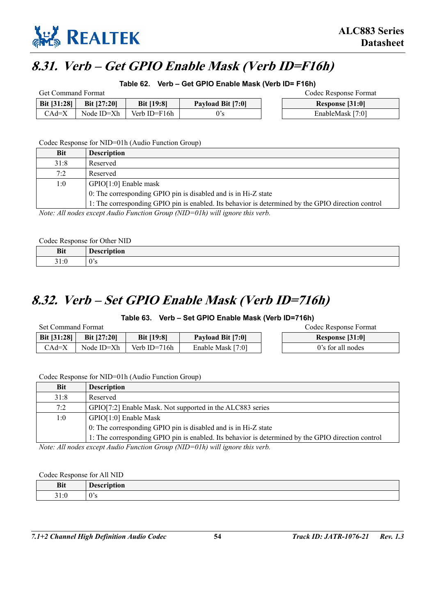

# **8.31. Verb – Get GPIO Enable Mask (Verb ID=F16h)**

**Table 62. Verb – Get GPIO Enable Mask (Verb ID= F16h)** 

| <b>Get Command Format</b> |                    |                   |                          |  | Codec Response Format |
|---------------------------|--------------------|-------------------|--------------------------|--|-----------------------|
| <b>Bit [31:28]</b>        | <b>Bit [27:20]</b> | <b>Bit [19:8]</b> | <b>Payload Bit [7:0]</b> |  | Response [31:0]       |
| CAd=X                     | Node ID=Xh         | Verb ID= $F16h$   |                          |  | EnableMask [7:0]      |

Codec Response for NID=01h (Audio Function Group)

|                                                 | <b>Bit</b> | <b>Description</b>                                                                                 |
|-------------------------------------------------|------------|----------------------------------------------------------------------------------------------------|
|                                                 | 31:8       | Reserved                                                                                           |
|                                                 | 7:2        | Reserved                                                                                           |
|                                                 | 1:0        | $GPIO[1:0]$ Enable mask                                                                            |
|                                                 |            | 0: The corresponding GPIO pin is disabled and is in Hi-Z state                                     |
|                                                 |            | 1: The corresponding GPIO pin is enabled. Its behavior is determined by the GPIO direction control |
| $\mathbf{1} \mathbf{r}$ $\mathbf{1} \mathbf{1}$ |            | $\cdots$ $\cdots$ $\cdots$ $\cdots$ $\cdots$ $\cdots$ $\cdots$<br>$\mathbf{1}$                     |

*Note: All nodes except Audio Function Group (NID=01h) will ignore this verb.* 

|  |  |  | Codec Response for Other NID |
|--|--|--|------------------------------|
|--|--|--|------------------------------|

| Bi                      |  |
|-------------------------|--|
| - 4<br>$\cdot$ .<br>1.V |  |

### **8.32. Verb – Set GPIO Enable Mask (Verb ID=716h)**

**Table 63. Verb – Set GPIO Enable Mask (Verb ID=716h)** 

| <b>Set Command Format</b> |                    |                   |                   | Codec Response Format |
|---------------------------|--------------------|-------------------|-------------------|-----------------------|
| <b>Bit [31:28]</b>        | <b>Bit [27:20]</b> | <b>Bit [19:8]</b> | Payload Bit [7:0] | Response [31:0]       |
| $CAd=X$                   | Node ID=Xh         | Verb ID=716 $h$   | Enable Mask [7:0] | 0's for all nodes     |

Codec Response for NID=01h (Audio Function Group)

| <b>Bit</b> | <b>Description</b>                                                                                 |  |  |
|------------|----------------------------------------------------------------------------------------------------|--|--|
| 31:8       | Reserved                                                                                           |  |  |
| 7:2        | GPIO[7:2] Enable Mask. Not supported in the ALC883 series                                          |  |  |
| 1:0        | GPIO[1:0] Enable Mask                                                                              |  |  |
|            | 0: The corresponding GPIO pin is disabled and is in Hi-Z state                                     |  |  |
|            | 1: The corresponding GPIO pin is enabled. Its behavior is determined by the GPIO direction control |  |  |

*Note: All nodes except Audio Function Group (NID=01h) will ignore this verb.* 

#### Codec Response for All NID

| <b>Bit</b>                    | `10 n<br>$-1000$ $P1+$<br>$- - -$<br>$-1$ |
|-------------------------------|-------------------------------------------|
| $^{\sim}$ 1<br>$\sim$<br>31:0 | $\mathbf{r}$<br>$\cdot$ v $\cdot$         |

*7.1+2 Channel High Definition Audio Codec* **54** *Track ID: JATR-1076-21 Rev. 1.3*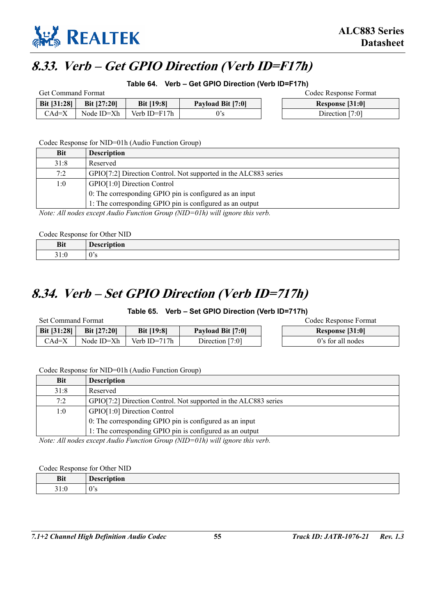

# **8.33. Verb – Get GPIO Direction (Verb ID=F17h)**

**Table 64. Verb – Get GPIO Direction (Verb ID=F17h)** 

| <b>Get Command Format</b> |                    |                   |                   | Codec Response Format |
|---------------------------|--------------------|-------------------|-------------------|-----------------------|
| <b>Bit [31:28]</b>        | <b>Bit [27:20]</b> | <b>Bit [19:8]</b> | Payload Bit [7:0] | Response [31:0]       |
| $CAd=X$                   | Node ID=Xh         | Verb ID=F17h      |                   | Direction $[7:0]$     |

Codec Response for NID=01h (Audio Function Group)

| Bit                         | <b>Description</b>                                                                                                                                                                                                                                                                                                                                                                                                                                           |
|-----------------------------|--------------------------------------------------------------------------------------------------------------------------------------------------------------------------------------------------------------------------------------------------------------------------------------------------------------------------------------------------------------------------------------------------------------------------------------------------------------|
| 31:8                        | Reserved                                                                                                                                                                                                                                                                                                                                                                                                                                                     |
| 7:2                         | GPIO[7:2] Direction Control. Not supported in the ALC883 series                                                                                                                                                                                                                                                                                                                                                                                              |
| 1:0                         | GPIO[1:0] Direction Control                                                                                                                                                                                                                                                                                                                                                                                                                                  |
|                             | 0: The corresponding GPIO pin is configured as an input                                                                                                                                                                                                                                                                                                                                                                                                      |
|                             | 1: The corresponding GPIO pin is configured as an output                                                                                                                                                                                                                                                                                                                                                                                                     |
| $\sqrt{1}$<br>$\rightarrow$ | $\mathcal{L} = \mathcal{L} + \mathcal{L} = \mathcal{L} = \mathcal{L} = \mathcal{L} = \mathcal{L} = \mathcal{L} = \mathcal{L} = \mathcal{L} = \mathcal{L} = \mathcal{L} = \mathcal{L} = \mathcal{L} = \mathcal{L} = \mathcal{L} = \mathcal{L} = \mathcal{L} = \mathcal{L} = \mathcal{L} = \mathcal{L} = \mathcal{L} = \mathcal{L} = \mathcal{L} = \mathcal{L} = \mathcal{L} = \mathcal{L} = \mathcal{L} = \mathcal{L} = \mathcal{L} = \mathcal{L} = \mathcal$ |

*Note: All nodes except Audio Function Group (NID=01h) will ignore this verb.* 

Codec Response for Other NID

| Bit               | $\sim$<br>--<br>wı |
|-------------------|--------------------|
| -<br>. .<br>J 1.V | $\theta$<br>້      |

# **8.34. Verb – Set GPIO Direction (Verb ID=717h)**

**Table 65. Verb – Set GPIO Direction (Verb ID=717h)** 

Set Command Format Codec Response Format

| Bit [31:28] | <b>Bit [27:20]</b> | <b>Bit [19:8]</b> | <b>Payload Bit [7:0]</b> | Response [31:0]   |
|-------------|--------------------|-------------------|--------------------------|-------------------|
| CAd=X       | Node ID=Xh         | Verb ID= $717h$   | [7:0]<br>$D$ irection    | 0's for all nodes |

Codec Response for NID=01h (Audio Function Group)

| <b>Bit</b> | <b>Description</b>                                              |  |  |
|------------|-----------------------------------------------------------------|--|--|
| 31:8       | Reserved                                                        |  |  |
| 7:2        | GPIO[7:2] Direction Control. Not supported in the ALC883 series |  |  |
| 1:0        | GPIO[1:0] Direction Control                                     |  |  |
|            | 0: The corresponding GPIO pin is configured as an input         |  |  |
|            | 1: The corresponding GPIO pin is configured as an output        |  |  |

*Note: All nodes except Audio Function Group (NID=01h) will ignore this verb.* 

### Codec Response for Other NID

| <b>Bit</b>                         | --<br>πυ.<br>. |
|------------------------------------|----------------|
| $\sim$<br>∼.<br>. .<br><b>JI.U</b> | $\cdot$        |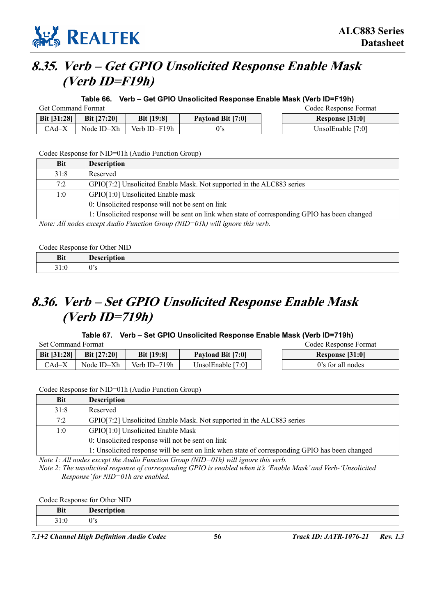

# **8.35. Verb – Get GPIO Unsolicited Response Enable Mask (Verb ID=F19h)**

**Table 66. Verb – Get GPIO Unsolicited Response Enable Mask (Verb ID=F19h)** 

| <b>Get Command Format</b> |                    |                   |                   | Codec Response Format |
|---------------------------|--------------------|-------------------|-------------------|-----------------------|
| Bit [31:28]               | <b>Bit [27:20]</b> | <b>Bit [19:8]</b> | Payload Bit [7:0] | Response [31:0]       |
| $CAd=X$                   | Node ID=Xh         | Verb ID=F19h      |                   | UnsolEnable [7:0]     |

#### Codec Response for NID=01h (Audio Function Group)

| <b>Bit</b> | <b>Description</b>                                                                                                                                                                                                                                                              |
|------------|---------------------------------------------------------------------------------------------------------------------------------------------------------------------------------------------------------------------------------------------------------------------------------|
| 31:8       | Reserved                                                                                                                                                                                                                                                                        |
| 7:2        | GPIO[7:2] Unsolicited Enable Mask. Not supported in the ALC883 series                                                                                                                                                                                                           |
| 1:0        | GPIO[1:0] Unsolicited Enable mask                                                                                                                                                                                                                                               |
|            | 0: Unsolicited response will not be sent on link                                                                                                                                                                                                                                |
|            | 1: Unsolicited response will be sent on link when state of corresponding GPIO has been changed                                                                                                                                                                                  |
|            | $\mathcal{M}$ and $\mathcal{M}$ is the state of $\mathcal{M}$ and $\mathcal{M}$ is the state of $\mathcal{M}$ is the state of $\mathcal{M}$ is the state of $\mathcal{M}$ is the state of $\mathcal{M}$ is the state of $\mathcal{M}$ is the state of $\mathcal{M}$ is the stat |

*Note: All nodes except Audio Function Group (NID=01h) will ignore this verb.* 

Codec Response for Other NID

| <b>Bit</b>                      | ---<br>-----<br>чоь.<br><u>v</u> |
|---------------------------------|----------------------------------|
| 21<br>$\epsilon$<br>ı∙ı<br>21.V | <b>US</b>                        |

# **8.36. Verb – Set GPIO Unsolicited Response Enable Mask (Verb ID=719h)**

### **Table 67. Verb – Set GPIO Unsolicited Response Enable Mask (Verb ID=719h)**

| Set Command Format |                    |                   |                          | Codec Response Format |
|--------------------|--------------------|-------------------|--------------------------|-----------------------|
| Bit [31:28]        | <b>Bit [27:20]</b> | <b>Bit [19:8]</b> | <b>Payload Bit [7:0]</b> | Response [31:0]       |
| $CAd=X$            | Node ID=Xh         | Verb ID= $719h$   | Unsol $Enable$ [7:0]     | 0's for all nodes     |

Codec Response for NID=01h (Audio Function Group)

| <b>Bit</b> | <b>Description</b>                                                                             |  |  |
|------------|------------------------------------------------------------------------------------------------|--|--|
| 31:8       | Reserved                                                                                       |  |  |
| 7:2        | GPIO[7:2] Unsolicited Enable Mask. Not supported in the ALC883 series                          |  |  |
| 1:0        | GPIO[1:0] Unsolicited Enable Mask                                                              |  |  |
|            | 0: Unsolicited response will not be sent on link                                               |  |  |
|            | 1: Unsolicited response will be sent on link when state of corresponding GPIO has been changed |  |  |

*Note 1: All nodes except the Audio Function Group (NID=01h) will ignore this verb.* 

*Note 2: The unsolicited response of corresponding GPIO is enabled when it's 'Enable Mask' and Verb-'Unsolicited Response' for NID=01h are enabled.* 

Codec Response for Other NID

| D.<br>DIL                             | $\blacksquare$<br>$\mathbf{h}$<br>.<br>Description |
|---------------------------------------|----------------------------------------------------|
| . . c<br>$\sim$ $\sim$<br><u>Ji.v</u> | $\sim$<br>.,<br>.                                  |
|                                       |                                                    |

*7.1+2 Channel High Definition Audio Codec* **56** *Track ID: JATR-1076-21 Rev. 1.3*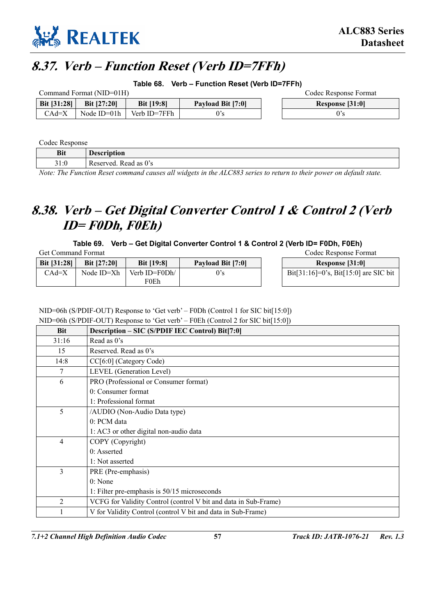

# **8.37. Verb – Function Reset (Verb ID=7FFh)**

**Table 68. Verb – Function Reset (Verb ID=7FFh)** 

| Command Format (NID=01H) |                    |                   |                   | Codec Response Format |
|--------------------------|--------------------|-------------------|-------------------|-----------------------|
| Bit [31:28]              | <b>Bit [27:20]</b> | <b>Bit [19:8]</b> | Payload Bit [7:0] | Response [31:0]       |
| CAd=X                    | Node $ID=01h$      | Verb ID=7FFh      | 0's               |                       |

Codec Response

| <b>Bit</b> | Description              |
|------------|--------------------------|
| 31:0       | Read as 0's<br>Reserved. |

*Note: The Function Reset command causes all widgets in the ALC883 series to return to their power on default state.* 

# **8.38. Verb – Get Digital Converter Control 1 & Control 2 (Verb ID= F0Dh, F0Eh)**

### **Table 69. Verb – Get Digital Converter Control 1 & Control 2 (Verb ID= F0Dh, F0Eh)**

Get Command Format Codec Response Format

| Bit [31:28] | <b>Bit [27:20]</b> | <b>Bit [19:8]</b>     | Payload Bit [7:0] | Response [31:0]               |
|-------------|--------------------|-----------------------|-------------------|-------------------------------|
| CAd=X       | Node ID=Xh         | Verb ID=F0Dh/<br>F0Eh | 0's               | Bit[31:16]=0's, Bit[15:0] and |

| Response [31:0]                         |
|-----------------------------------------|
| $Bit[31:16]=0's, Bit[15:0] are SIC bit$ |

NID=06h (S/PDIF-OUT) Response to 'Get verb' – F0Dh (Control 1 for SIC bit[15:0])

NID=06h (S/PDIF-OUT) Response to 'Get verb' – F0Eh (Control 2 for SIC bit[15:0])

| <b>Bit</b>     | Description - SIC (S/PDIF IEC Control) Bit[7:0]                 |  |  |  |
|----------------|-----------------------------------------------------------------|--|--|--|
| 31:16          | Read as 0's                                                     |  |  |  |
| 15             | Reserved, Read as 0's                                           |  |  |  |
| 14:8           | CC[6:0] (Category Code)                                         |  |  |  |
| 7              | LEVEL (Generation Level)                                        |  |  |  |
| 6              | PRO (Professional or Consumer format)                           |  |  |  |
|                | 0: Consumer format                                              |  |  |  |
|                | 1: Professional format                                          |  |  |  |
| 5              | /AUDIO (Non-Audio Data type)                                    |  |  |  |
|                | $0: PCM$ data                                                   |  |  |  |
|                | 1: AC3 or other digital non-audio data                          |  |  |  |
| 4              | COPY (Copyright)                                                |  |  |  |
|                | 0: Asserted                                                     |  |  |  |
|                | 1: Not asserted                                                 |  |  |  |
| 3              | PRE (Pre-emphasis)                                              |  |  |  |
|                | 0: None                                                         |  |  |  |
|                | 1: Filter pre-emphasis is 50/15 microseconds                    |  |  |  |
| $\overline{2}$ | VCFG for Validity Control (control V bit and data in Sub-Frame) |  |  |  |
|                | V for Validity Control (control V bit and data in Sub-Frame)    |  |  |  |

*7.1+2 Channel High Definition Audio Codec* **57** *Track ID: JATR-1076-21 Rev. 1.3*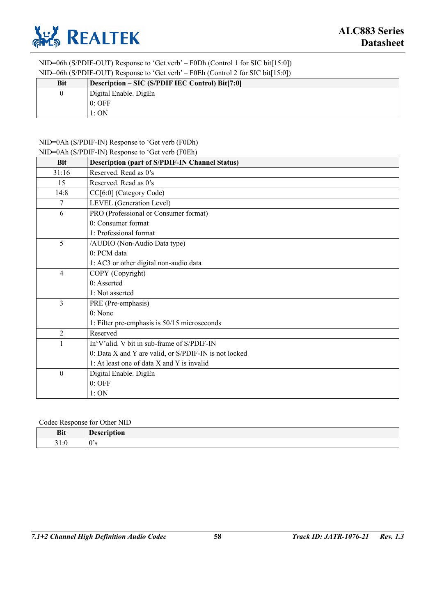

NID=06h (S/PDIF-OUT) Response to 'Get verb' – F0Dh (Control 1 for SIC bit[15:0]) NID=06h (S/PDIF-OUT) Response to 'Get verb' – F0Eh (Control 2 for SIC bit[15:0])

|            | $1$ and $0$ von $1$ and $0$ variation $0$ and $0$ variable $1$ and $0$ and $0$ and $0$ and $1$ variation $0$ |
|------------|--------------------------------------------------------------------------------------------------------------|
| <b>Bit</b> | Description – SIC (S/PDIF IEC Control) Bit[7:0]                                                              |
| 0          | Digital Enable. DigEn                                                                                        |
|            | $0:$ OFF                                                                                                     |
|            | 1:ON                                                                                                         |

### NID=0Ah (S/PDIF-IN) Response to 'Get verb (F0Dh)

|                  | NID=0Ah (S/PDIF-IN) Response to 'Get verb (F0Eh)      |  |  |  |
|------------------|-------------------------------------------------------|--|--|--|
| <b>Bit</b>       | <b>Description (part of S/PDIF-IN Channel Status)</b> |  |  |  |
| 31:16            | Reserved. Read as 0's                                 |  |  |  |
| 15               | Reserved. Read as 0's                                 |  |  |  |
| 14:8             | CC[6:0] (Category Code)                               |  |  |  |
| 7                | LEVEL (Generation Level)                              |  |  |  |
| 6                | PRO (Professional or Consumer format)                 |  |  |  |
|                  | 0: Consumer format                                    |  |  |  |
|                  | 1: Professional format                                |  |  |  |
| 5                | /AUDIO (Non-Audio Data type)                          |  |  |  |
|                  | 0: PCM data                                           |  |  |  |
|                  | 1: AC3 or other digital non-audio data                |  |  |  |
| $\overline{4}$   | COPY (Copyright)                                      |  |  |  |
|                  | 0: Asserted                                           |  |  |  |
|                  | 1: Not asserted                                       |  |  |  |
| 3                | PRE (Pre-emphasis)                                    |  |  |  |
|                  | 0: None                                               |  |  |  |
|                  | 1: Filter pre-emphasis is 50/15 microseconds          |  |  |  |
| $\overline{2}$   | Reserved                                              |  |  |  |
|                  | In'V'alid. V bit in sub-frame of S/PDIF-IN            |  |  |  |
|                  | 0: Data X and Y are valid, or S/PDIF-IN is not locked |  |  |  |
|                  | 1: At least one of data X and Y is invalid            |  |  |  |
| $\boldsymbol{0}$ | Digital Enable. DigEn                                 |  |  |  |
|                  | $0:$ OFF                                              |  |  |  |
|                  | 1:ON                                                  |  |  |  |

#### Codec Response for Other NID

| <b>Bit</b><br>___                          | ---<br>.<br>. ш.<br>---- |
|--------------------------------------------|--------------------------|
| $\sim$ $\sim$<br>$\sqrt{2}$<br>- -<br>31.0 | $\sim$<br>$\cdot$        |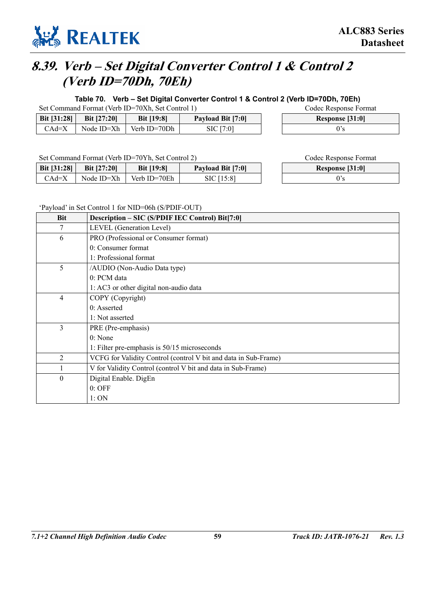

# **8.39. Verb – Set Digital Converter Control 1 & Control 2 (Verb ID=70Dh, 70Eh)**

**Table 70. Verb – Set Digital Converter Control 1 & Control 2 (Verb ID=70Dh, 70Eh)** 

Set Command Format (Verb ID=70Xh, Set Control 1) Codec Response Format

| <b>Bit [31:28]</b> | <b>Bit [27:20]</b> | Bit [19:8]   | Payload Bit [7:0] | Response |
|--------------------|--------------------|--------------|-------------------|----------|
| CAd=X              | Node ID=Xh         | Verb ID=70Dh | SIC [7:0]         | 0's      |

Set Command Format (Verb ID=70Yh, Set Control 2) Codec Response Format

| <b>Bit [31:28]</b> | <b>Bit [27:20]</b> | <b>Bit</b> [19:8] | Payload Bit [7:0] | Response |
|--------------------|--------------------|-------------------|-------------------|----------|
| CAd=X              | Node ID=Xh         | Verb ID=70Eh      | SIC [15:8]        |          |

**Response [31:0]** 

**Response [31:0]** 

### 'Payload' in Set Control 1 for NID=06h (S/PDIF-OUT)

| <b>Bit</b>       | Description - SIC (S/PDIF IEC Control) Bit[7:0]                 |  |  |  |
|------------------|-----------------------------------------------------------------|--|--|--|
| 7                | LEVEL (Generation Level)                                        |  |  |  |
| 6                | PRO (Professional or Consumer format)                           |  |  |  |
|                  | 0: Consumer format                                              |  |  |  |
|                  | 1: Professional format                                          |  |  |  |
| 5                | /AUDIO (Non-Audio Data type)                                    |  |  |  |
|                  | 0: PCM data                                                     |  |  |  |
|                  | 1: AC3 or other digital non-audio data                          |  |  |  |
| $\overline{4}$   | COPY (Copyright)                                                |  |  |  |
|                  | $0:$ Asserted                                                   |  |  |  |
|                  | 1: Not asserted                                                 |  |  |  |
| 3                | PRE (Pre-emphasis)                                              |  |  |  |
|                  | 0: None                                                         |  |  |  |
|                  | 1: Filter pre-emphasis is 50/15 microseconds                    |  |  |  |
| $\overline{2}$   | VCFG for Validity Control (control V bit and data in Sub-Frame) |  |  |  |
|                  | V for Validity Control (control V bit and data in Sub-Frame)    |  |  |  |
| $\boldsymbol{0}$ | Digital Enable. DigEn                                           |  |  |  |
|                  | $0:$ OFF                                                        |  |  |  |
|                  | 1:ON                                                            |  |  |  |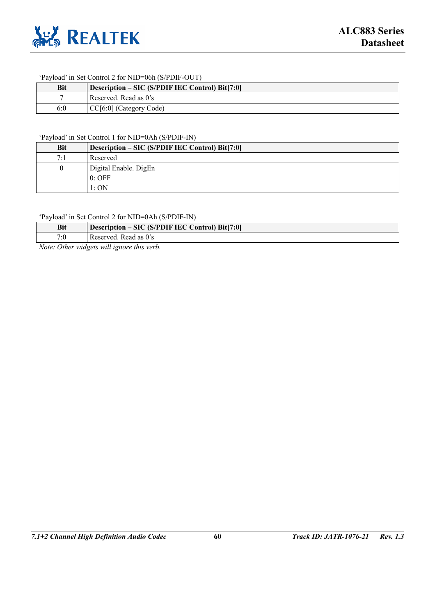

### 'Payload' in Set Control 2 for NID=06h (S/PDIF-OUT)

| <b>Bit</b> | Description – SIC (S/PDIF IEC Control) Bit[7:0] |
|------------|-------------------------------------------------|
|            | Reserved. Read as 0's                           |
| 6:0        | CC[6:0] (Category Code)                         |

#### 'Payload' in Set Control 1 for NID=0Ah (S/PDIF-IN)

| Bit | Description – SIC (S/PDIF IEC Control) Bit[7:0] |
|-----|-------------------------------------------------|
| 7:1 | Reserved                                        |
|     | Digital Enable. DigEn                           |
|     | $0:$ OFF                                        |
|     | 1:ON                                            |

#### 'Payload' in Set Control 2 for NID=0Ah (S/PDIF-IN)

| <b>Bit</b>     | Description – SIC (S/PDIF IEC Control) Bit[7:0] |
|----------------|-------------------------------------------------|
| $7\cdot\Omega$ | Reserved. Read as 0's                           |

*Note: Other widgets will ignore this verb.*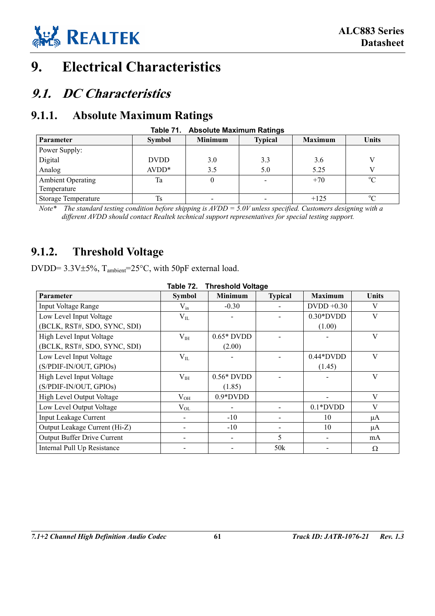

# **9. Electrical Characteristics**

# **9.1. DC Characteristics**

### **9.1.1. Absolute Maximum Ratings**

| rapie 71.<br>ADSOIUTE MAXIMUM RATINGS   |               |                |                |                |             |  |  |  |
|-----------------------------------------|---------------|----------------|----------------|----------------|-------------|--|--|--|
| Parameter                               | <b>Symbol</b> | <b>Minimum</b> | <b>Typical</b> | <b>Maximum</b> | Units       |  |  |  |
| Power Supply:                           |               |                |                |                |             |  |  |  |
| Digital                                 | <b>DVDD</b>   | 3.0            | 3.3            | 3.6            |             |  |  |  |
| Analog                                  | $AVDD*$       | 3.5            | 5.0            | 5.25           |             |  |  |  |
| <b>Ambient Operating</b><br>Temperature | Ta            |                |                | $+70$          | $\rm ^{o}C$ |  |  |  |
| Storage Temperature                     | <b>Ts</b>     |                |                | $+125$         | $^{\circ}C$ |  |  |  |

**Table 71. Absolute Maximum Ratings** 

*Note\* The standard testing condition before shipping is AVDD = 5.0V unless specified. Customers designing with a different AVDD should contact Realtek technical support representatives for special testing support.*

### **9.1.2. Threshold Voltage**

DVDD= 3.3V±5%, T<sub>ambient</sub>=25°C, with 50pF external load.

| Table 72.<br><b>Threshold Voltage</b> |               |                |                |                |              |  |  |
|---------------------------------------|---------------|----------------|----------------|----------------|--------------|--|--|
| Parameter                             | <b>Symbol</b> | <b>Minimum</b> | <b>Typical</b> | <b>Maximum</b> | <b>Units</b> |  |  |
| <b>Input Voltage Range</b>            | $V_{in}$      | $-0.30$        |                | $D VDD +0.30$  | V            |  |  |
| Low Level Input Voltage               | $V_{IL}$      |                |                | $0.30*$ DVDD   | V            |  |  |
| (BCLK, RST#, SDO, SYNC, SDI)          |               |                |                | (1.00)         |              |  |  |
| High Level Input Voltage              | $V_{IH}$      | $0.65*$ DVDD   |                |                | V            |  |  |
| (BCLK, RST#, SDO, SYNC, SDI)          |               | (2.00)         |                |                |              |  |  |
| Low Level Input Voltage               | $V_{IL}$      |                |                | $0.44*$ DVDD   | V            |  |  |
| (S/PDIF-IN/OUT, GPIOs)                |               |                |                | (1.45)         |              |  |  |
| High Level Input Voltage              | $V_{IH}$      | $0.56*$ DVDD   |                |                | V            |  |  |
| (S/PDIF-IN/OUT, GPIOs)                |               | (1.85)         |                |                |              |  |  |
| High Level Output Voltage             | $V_{OH}$      | $0.9*DVDD$     |                |                | V            |  |  |
| Low Level Output Voltage              | $V_{OL}$      |                |                | $0.1*$ DVDD    | V            |  |  |
| <b>Input Leakage Current</b>          |               | $-10$          |                | 10             | μA           |  |  |
| Output Leakage Current (Hi-Z)         |               | $-10$          |                | 10             | μA           |  |  |
| <b>Output Buffer Drive Current</b>    |               |                | 5              |                | mA           |  |  |
| Internal Pull Up Resistance           |               |                | 50k            |                | Ω            |  |  |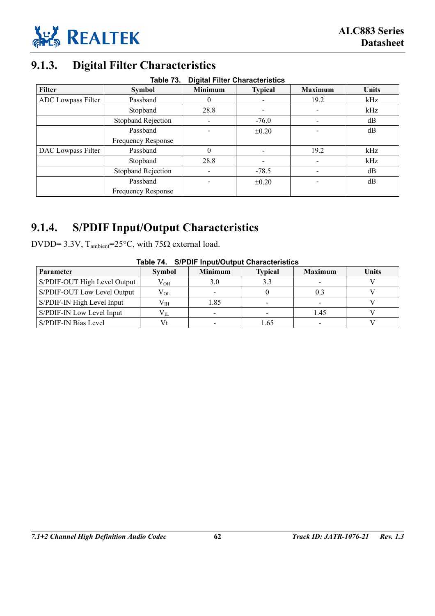

# **9.1.3. Digital Filter Characteristics**

| <b>Digital Filter Characteristics</b><br>Table 73. |                           |                |                |                |              |  |  |
|----------------------------------------------------|---------------------------|----------------|----------------|----------------|--------------|--|--|
| <b>Filter</b>                                      | <b>Symbol</b>             | <b>Minimum</b> | <b>Typical</b> | <b>Maximum</b> | <b>Units</b> |  |  |
| ADC Lowpass Filter                                 | Passband                  | $\theta$       |                | 19.2           | kHz          |  |  |
|                                                    | Stopband                  | 28.8           |                |                | kHz          |  |  |
|                                                    | <b>Stopband Rejection</b> | -              | $-76.0$        |                | dB           |  |  |
|                                                    | Passband                  |                | $\pm 0.20$     |                | dB           |  |  |
|                                                    | Frequency Response        |                |                |                |              |  |  |
| DAC Lowpass Filter                                 | Passband                  | $\Omega$       |                | 19.2           | kHz          |  |  |
|                                                    | Stopband                  | 28.8           |                |                | kHz          |  |  |
|                                                    | <b>Stopband Rejection</b> |                | $-78.5$        |                | dB           |  |  |
|                                                    | Passband                  |                | $\pm 0.20$     |                | dB           |  |  |
|                                                    | <b>Frequency Response</b> |                |                |                |              |  |  |

### **9.1.4. S/PDIF Input/Output Characteristics**

DVDD= 3.3V, T<sub>ambient</sub>=25°C, with 75Ω external load.

| Table 74. S/PDIF Input/Output Characteristics |               |                          |                |                |              |  |  |
|-----------------------------------------------|---------------|--------------------------|----------------|----------------|--------------|--|--|
| <b>Parameter</b>                              | <b>Symbol</b> | <b>Minimum</b>           | <b>Typical</b> | <b>Maximum</b> | <b>Units</b> |  |  |
| S/PDIF-OUT High Level Output                  | $\rm V_{OH}$  | 3.0                      | 3.3            |                |              |  |  |
| S/PDIF-OUT Low Level Output                   | $\rm V_{OL}$  | $\overline{\phantom{a}}$ |                | 0.3            |              |  |  |
| S/PDIF-IN High Level Input                    | $\rm V_{IH}$  | 1.85                     |                |                |              |  |  |
| S/PDIF-IN Low Level Input                     | $V_{IL}$      |                          |                | 1.45           |              |  |  |
| S/PDIF-IN Bias Level                          |               |                          | 1.65           |                |              |  |  |

### **Table 74. S/PDIF Input/Output Characteristics**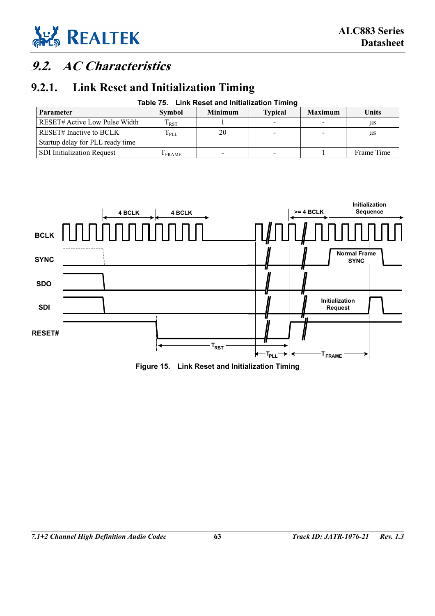

# **9.2. AC Characteristics**

### **9.2.1. Link Reset and Initialization Timing**

| Table 75. Link Reset and Initialization Timing |                |                |                          |                |              |  |  |  |
|------------------------------------------------|----------------|----------------|--------------------------|----------------|--------------|--|--|--|
| <b>Parameter</b>                               | Symbol         | <b>Minimum</b> | <b>Typical</b>           | <b>Maximum</b> | <b>Units</b> |  |  |  |
| RESET# Active Low Pulse Width                  | $\rm T_{RST}$  |                | $\overline{\phantom{0}}$ |                | us           |  |  |  |
| <b>RESET#</b> Inactive to BCLK                 | $T_{\rm{PLL}}$ | 20             |                          |                | μs           |  |  |  |
| Startup delay for PLL ready time               |                |                |                          |                |              |  |  |  |
| <b>SDI</b> Initialization Request              | $1$ FRAME      |                |                          |                | Frame Time   |  |  |  |



**Figure 15. Link Reset and Initialization Timing**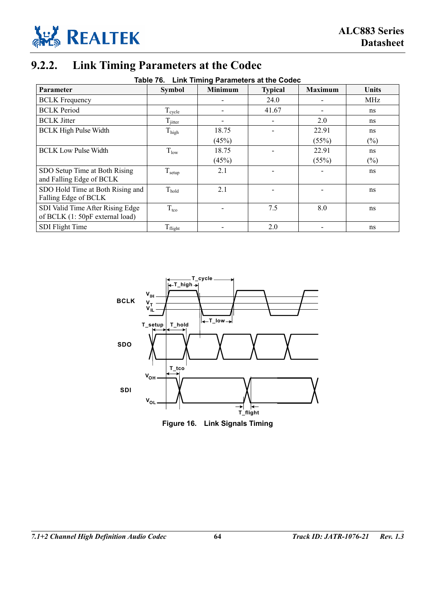

# **9.2.2. Link Timing Parameters at the Codec**

| Table 76. Link Timing Parameters at the Codec |
|-----------------------------------------------|
|                                               |

| Parameter                                                           | <b>Symbol</b>        | Minimum | <b>Typical</b> | <b>Maximum</b> | Units  |
|---------------------------------------------------------------------|----------------------|---------|----------------|----------------|--------|
| <b>BCLK</b> Frequency                                               |                      |         | 24.0           |                | MHz    |
| <b>BCLK</b> Period                                                  | $T_{\rm cycle}$      |         | 41.67          |                | ns     |
| <b>BCLK</b> Jitter                                                  | $\rm T_{\rm jitter}$ |         |                | 2.0            | ns     |
| <b>BCLK High Pulse Width</b>                                        | $T_{\text{high}}$    | 18.75   |                | 22.91          | ns     |
|                                                                     |                      | (45%)   |                | (55%)          | $(\%)$ |
| <b>BCLK Low Pulse Width</b>                                         | $T_{low}$            | 18.75   |                | 22.91          | ns     |
|                                                                     |                      | (45%)   |                | (55%)          | $(\%)$ |
| SDO Setup Time at Both Rising<br>and Falling Edge of BCLK           | T <sub>setup</sub>   | 2.1     |                |                | ns     |
| SDO Hold Time at Both Rising and<br>Falling Edge of BCLK            | $T_{hold}$           | 2.1     |                |                | ns     |
| SDI Valid Time After Rising Edge<br>of BCLK (1: 50pF external load) | $T_{\text{tco}}$     |         | 7.5            | 8.0            | ns     |
| SDI Flight Time                                                     | $T_{\rm flight}$     |         | 2.0            |                | ns     |

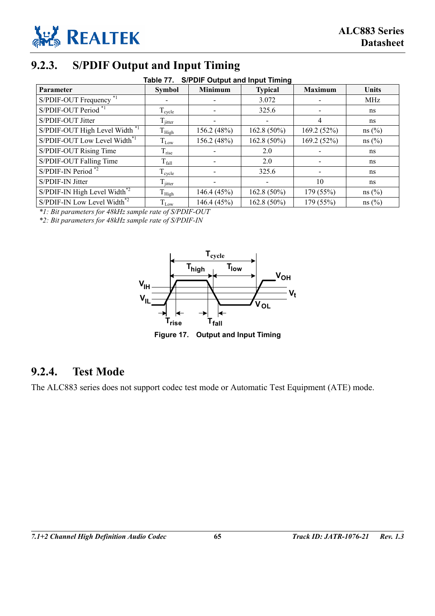

### **9.2.3. S/PDIF Output and Input Timing**

|  | Table 77. S/PDIF Output and Input Timing |  |  |
|--|------------------------------------------|--|--|
|  |                                          |  |  |

| Parameter                          | <b>Symbol</b>       | .<br>Minimum | <b>Typical</b>           | <b>Maximum</b> | Units |
|------------------------------------|---------------------|--------------|--------------------------|----------------|-------|
| S/PDIF-OUT Frequency <sup>*1</sup> |                     |              | 3.072                    |                | MHz   |
| S/PDIF-OUT Period *1               | $T_{cycle}$         |              | 325.6                    |                | ns    |
| S/PDIF-OUT Jitter                  | $T_{\text{jitter}}$ |              |                          | 4              | ns    |
| S/PDIF-OUT High Level Width *1     | $\mathrm{T_{High}}$ | 156.2 (48%)  | $162.8(50\%)$            | 169.2(52%)     | ns(%) |
| S/PDIF-OUT Low Level Width*1       | $T_{Low}$           | 156.2 (48%)  | $162.8(50\%)$            | 169.2 (52%)    | ns(%) |
| S/PDIF-OUT Rising Time             | $T_{\rm rise}$      |              | 2.0                      |                | ns    |
| S/PDIF-OUT Falling Time            | $T_{fall}$          |              | 2.0                      |                | ns    |
| $S/P$ DIF-IN Period <sup>*2</sup>  | $T_{cycle}$         |              | 325.6                    |                | ns    |
| S/PDIF-IN Jitter                   | $T_{\text{jitter}}$ |              | $\overline{\phantom{a}}$ | 10             | ns    |
| S/PDIF-IN High Level Width*2       | $T_{High}$          | 146.4 (45%)  | $162.8(50\%)$            | 179 (55%)      | ns(%) |
| S/PDIF-IN Low Level Width*2        | $T_{Low}$           | 146.4 (45%)  | $162.8(50\%)$            | 179 (55%)      | ns(%) |

*\*1: Bit parameters for 48kHz sample rate of S/PDIF-OUT* 

*\*2: Bit parameters for 48kHz sample rate of S/PDIF-IN* 



**Figure 17. Output and Input Timing** 

#### **9.2.4. Test Mode**

The ALC883 series does not support codec test mode or Automatic Test Equipment (ATE) mode.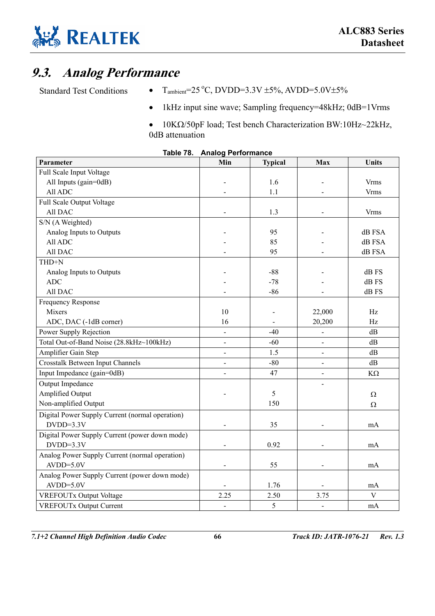

## **9.3. Analog Performance**

- Standard Test Conditions  $T_{\text{ambient}} = 25 \degree C$ , DVDD=3.3V ±5%, AVDD=5.0V±5%
	- 1kHz input sine wave; Sampling frequency=48kHz; 0dB=1Vrms
	- 10KΩ/50pF load; Test bench Characterization BW:10Hz~22kHz, 0dB attenuation

| Parameter                                       | Min                      | <b>Typical</b> | Max    | <b>Units</b> |
|-------------------------------------------------|--------------------------|----------------|--------|--------------|
| Full Scale Input Voltage                        |                          |                |        |              |
| All Inputs (gain=0dB)                           |                          | 1.6            |        | <b>Vrms</b>  |
| All ADC                                         |                          | 1.1            |        | <b>Vrms</b>  |
| Full Scale Output Voltage                       |                          |                |        |              |
| All DAC                                         |                          | 1.3            |        | <b>Vrms</b>  |
| S/N (A Weighted)                                |                          |                |        |              |
| Analog Inputs to Outputs                        |                          | 95             |        | dB FSA       |
| All ADC                                         |                          | 85             |        | dB FSA       |
| All DAC                                         |                          | 95             |        | dB FSA       |
| THD+N                                           |                          |                |        |              |
| Analog Inputs to Outputs                        |                          | $-88$          |        | dB FS        |
| <b>ADC</b>                                      |                          | $-78$          |        | dB FS        |
| All DAC                                         |                          | $-86$          |        | dB FS        |
| <b>Frequency Response</b>                       |                          |                |        |              |
| Mixers                                          | 10                       |                | 22,000 | Hz           |
| ADC, DAC (-1dB corner)                          | 16                       |                | 20,200 | Hz           |
| Power Supply Rejection                          |                          | $-40$          |        | dB           |
| Total Out-of-Band Noise (28.8kHz~100kHz)        | $\overline{\phantom{m}}$ | $-60$          |        | dB           |
| Amplifier Gain Step                             |                          | 1.5            |        | dB           |
| <b>Crosstalk Between Input Channels</b>         |                          | $-80$          |        | dB           |
| Input Impedance (gain=0dB)                      |                          | 47             |        | $K\Omega$    |
| Output Impedance                                |                          |                |        |              |
| Amplified Output                                |                          | 5              |        | Ω            |
| Non-amplified Output                            |                          | 150            |        | Ω            |
| Digital Power Supply Current (normal operation) |                          |                |        |              |
| $DVDD=3.3V$                                     |                          | 35             |        | mA           |
| Digital Power Supply Current (power down mode)  |                          |                |        |              |
| $DVDD=3.3V$                                     |                          | 0.92           |        | mA           |
| Analog Power Supply Current (normal operation)  |                          |                |        |              |
| $AVDD=5.0V$                                     |                          | 55             |        | mA           |
| Analog Power Supply Current (power down mode)   |                          |                |        |              |
| $AVDD=5.0V$                                     |                          | 1.76           |        | mA           |
| <b>VREFOUTx Output Voltage</b>                  | 2.25                     | 2.50           | 3.75   | $\mathbf{V}$ |
| <b>VREFOUTx Output Current</b>                  |                          | $\mathfrak{S}$ |        | mA           |

| Table 78. |  | <b>Analog Performance</b> |
|-----------|--|---------------------------|
|-----------|--|---------------------------|

*7.1+2 Channel High Definition Audio Codec* **66** *Track ID: JATR-1076-21 Rev. 1.3*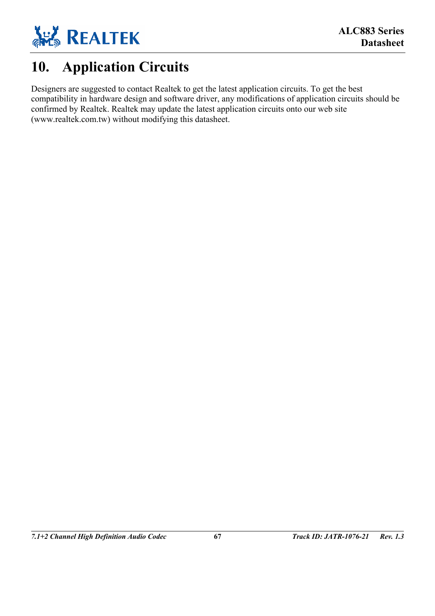

# **10. Application Circuits**

Designers are suggested to contact Realtek to get the latest application circuits. To get the best compatibility in hardware design and software driver, any modifications of application circuits should be confirmed by Realtek. Realtek may update the latest application circuits onto our web site (www.realtek.com.tw) without modifying this datasheet.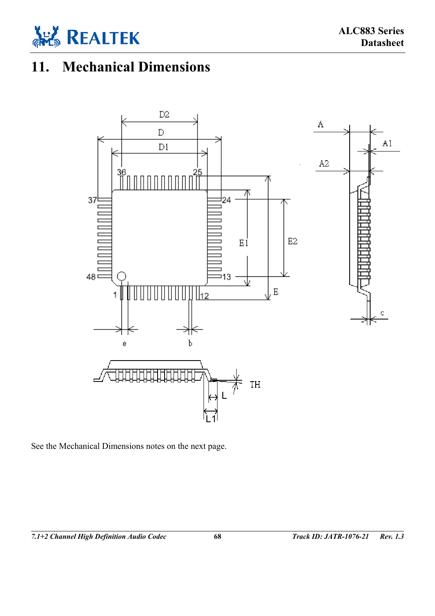

# **11. Mechanical Dimensions**



See the Mechanical Dimensions notes on the next page.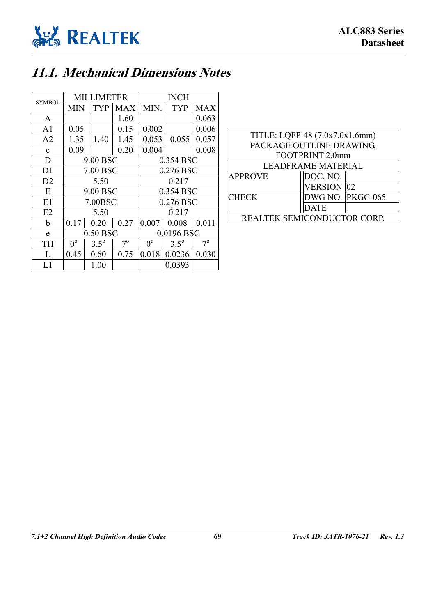

## **11.1. Mechanical Dimensions Notes**

| <b>SYMBOL</b>  | <b>MILLIMETER</b> |               |             | <b>INCH</b> |               |             |
|----------------|-------------------|---------------|-------------|-------------|---------------|-------------|
|                | <b>MIN</b>        | <b>TYP</b>    | MAX         | MIN.        | <b>TYP</b>    | <b>MAX</b>  |
| A              |                   |               | 1.60        |             |               | 0.063       |
| A <sub>1</sub> | 0.05              |               | 0.15        | 0.002       |               | 0.006       |
| A <sub>2</sub> | 1.35              | 1.40          | 1.45        | 0.053       | 0.055         | 0.057       |
| $\mathbf c$    | 0.09              |               | 0.20        | 0.004       |               | 0.008       |
| D              | 9.00 BSC          |               |             | 0.354 BSC   |               |             |
| D1             | 7.00 BSC          |               |             | 0.276 BSC   |               |             |
| D2             | 5.50              |               |             | 0.217       |               |             |
| E              | 9.00 BSC          |               |             | 0.354 BSC   |               |             |
| E1             | 7.00BSC           |               |             | 0.276 BSC   |               |             |
| E2             | 5.50              |               |             | 0.217       |               |             |
| b              | 0.17              | 0.20          | 0.27        | 0.007       | 0.008         | 0.011       |
| e              | 0.50 BSC          |               | 0.0196 BSC  |             |               |             |
| TH             | $0^{\circ}$       | $3.5^{\circ}$ | $7^{\circ}$ | $0^{\circ}$ | $3.5^{\circ}$ | $7^{\rm o}$ |
| L              | 0.45              | 0.60          | 0.75        | 0.018       | 0.0236        | 0.030       |
| L1             |                   | 1.00          |             |             | 0.0393        |             |

| TITLE: LQFP-48 (7.0x7.0x1.6mm) |                           |                  |  |  |  |  |
|--------------------------------|---------------------------|------------------|--|--|--|--|
| PACKAGE OUTLINE DRAWING,       |                           |                  |  |  |  |  |
|                                | FOOTPRINT 2.0mm           |                  |  |  |  |  |
|                                | <b>LEADFRAME MATERIAL</b> |                  |  |  |  |  |
| <b>APPROVE</b>                 | DOC. NO.                  |                  |  |  |  |  |
|                                | <b>VERSION 02</b>         |                  |  |  |  |  |
| <b>CHECK</b>                   |                           | DWG NO. PKGC-065 |  |  |  |  |
|                                | <b>DATE</b>               |                  |  |  |  |  |
| REALTEK SEMICONDUCTOR CORP.    |                           |                  |  |  |  |  |
|                                |                           |                  |  |  |  |  |